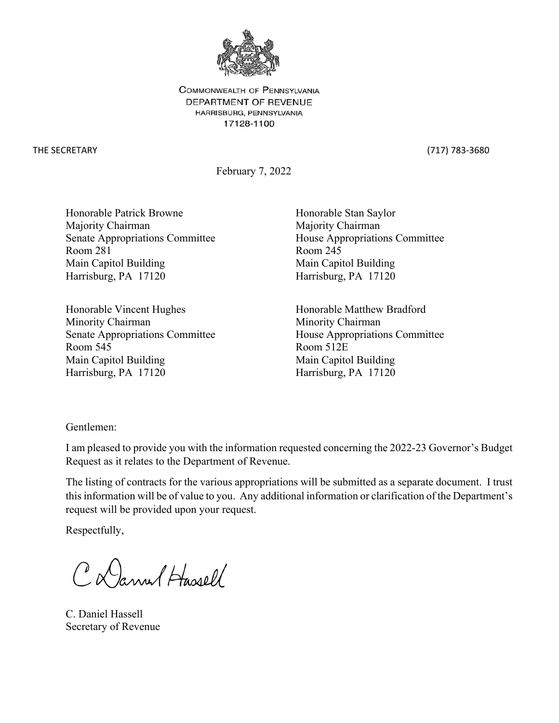

COMMONWEALTH OF PENNSYLVANIA DEPARTMENT OF REVENUE HARRISBURG, PENNSYLVANIA 17128-1100

THE SECRETARY (717) 783-3680

February 7, 2022

Honorable Patrick Browne Honorable Stan Saylor Majority Chairman Majority Chairman Room 281 Room 245 Main Capitol Building Main Capitol Building Harrisburg, PA 17120 Harrisburg, PA 17120

Honorable Vincent Hughes Honorable Matthew Bradford Minority Chairman Minority Chairman Senate Appropriations Committee House Appropriations Committee Room 545 Room 512E Main Capitol Building Main Capitol Building Harrisburg, PA 17120 Harrisburg, PA 17120

Senate Appropriations Committee House Appropriations Committee

Gentlemen:

I am pleased to provide you with the information requested concerning the 2022-23 Governor's Budget Request as it relates to the Department of Revenue.

The listing of contracts for the various appropriations will be submitted as a separate document. I trust this information will be of value to you. Any additional information or clarification of the Department's request will be provided upon your request.

Respectfully,

CD annel Hassell

C. Daniel Hassell Secretary of Revenue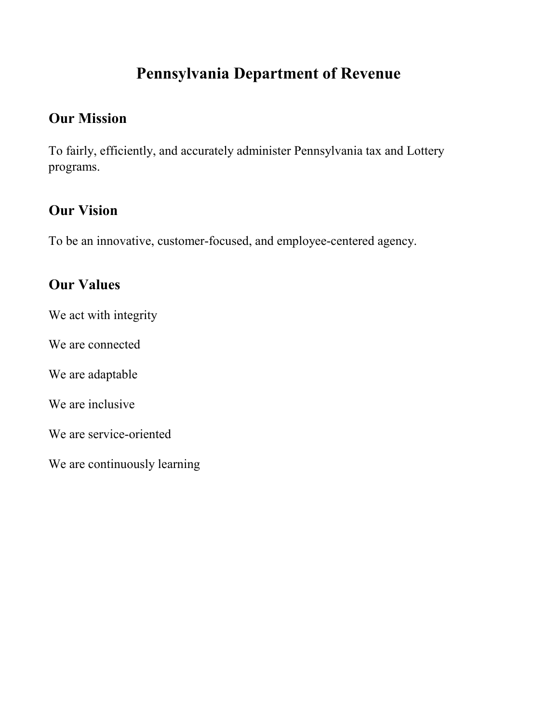# **Pennsylvania Department of Revenue**

# **Our Mission**

To fairly, efficiently, and accurately administer Pennsylvania tax and Lottery programs.

# **Our Vision**

To be an innovative, customer-focused, and employee-centered agency.

# **Our Values**

We act with integrity

We are connected

We are adaptable

We are inclusive

We are service-oriented

We are continuously learning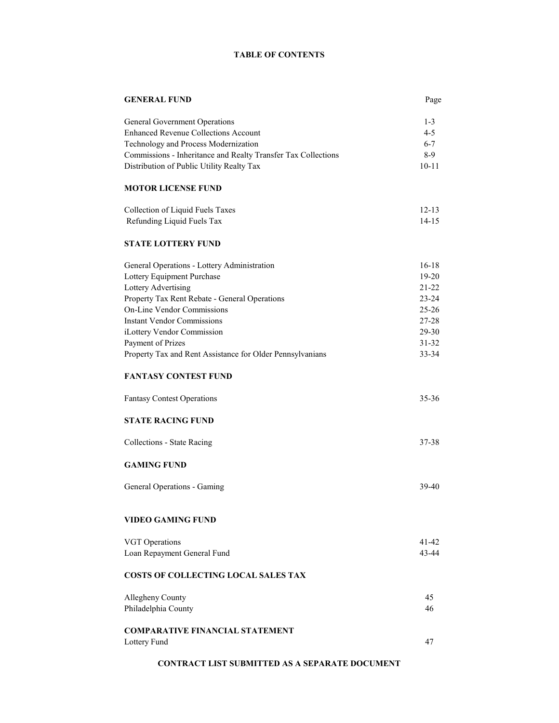#### **TABLE OF CONTENTS**

| <b>GENERAL FUND</b>                                           | Page               |
|---------------------------------------------------------------|--------------------|
| General Government Operations                                 | $1 - 3$            |
| <b>Enhanced Revenue Collections Account</b>                   | $4 - 5$            |
| Technology and Process Modernization                          | $6 - 7$            |
| Commissions - Inheritance and Realty Transfer Tax Collections | $8-9$              |
| Distribution of Public Utility Realty Tax                     | $10 - 11$          |
| <b>MOTOR LICENSE FUND</b>                                     |                    |
| Collection of Liquid Fuels Taxes                              | $12 - 13$          |
| Refunding Liquid Fuels Tax                                    | $14 - 15$          |
| <b>STATE LOTTERY FUND</b>                                     |                    |
| General Operations - Lottery Administration                   | $16-18$            |
| Lottery Equipment Purchase                                    | $19-20$            |
| Lottery Advertising                                           | $21 - 22$          |
| Property Tax Rent Rebate - General Operations                 | $23 - 24$          |
| <b>On-Line Vendor Commissions</b>                             | $25 - 26$          |
| <b>Instant Vendor Commissions</b>                             | 27-28              |
| iLottery Vendor Commission                                    | 29-30              |
| Payment of Prizes                                             | $31 - 32$          |
| Property Tax and Rent Assistance for Older Pennsylvanians     | 33-34              |
| <b>FANTASY CONTEST FUND</b>                                   |                    |
| <b>Fantasy Contest Operations</b>                             | $35 - 36$          |
| <b>STATE RACING FUND</b>                                      |                    |
| Collections - State Racing                                    | 37-38              |
| <b>GAMING FUND</b>                                            |                    |
| General Operations - Gaming                                   | 39-40              |
| <b>VIDEO GAMING FUND</b>                                      |                    |
|                                                               |                    |
| <b>VGT</b> Operations                                         | $41 - 42$<br>43-44 |
| Loan Repayment General Fund                                   |                    |
| <b>COSTS OF COLLECTING LOCAL SALES TAX</b>                    |                    |
| Allegheny County                                              | 45                 |
| Philadelphia County                                           | 46                 |
| <b>COMPARATIVE FINANCIAL STATEMENT</b>                        |                    |
| Lottery Fund                                                  | 47                 |
|                                                               |                    |

#### **CONTRACT LIST SUBMITTED AS A SEPARATE DOCUMENT**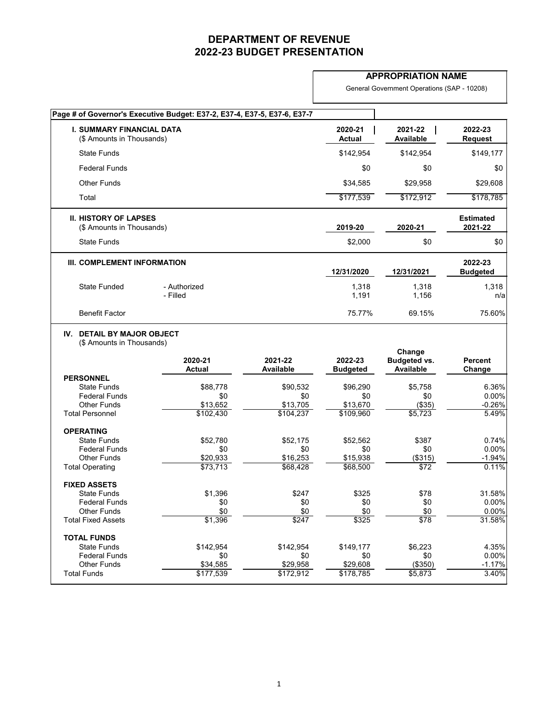#### **APPROPRIATION NAME**

General Government Operations (SAP - 10208)

|                                                               | Page # of Governor's Executive Budget: E37-2, E37-4, E37-5, E37-6, E37-7 |                             |                            |                                                   |                             |
|---------------------------------------------------------------|--------------------------------------------------------------------------|-----------------------------|----------------------------|---------------------------------------------------|-----------------------------|
| <b>I. SUMMARY FINANCIAL DATA</b><br>(\$ Amounts in Thousands) |                                                                          |                             | 2020-21<br><b>Actual</b>   | 2021-22<br><b>Available</b>                       | 2022-23<br><b>Request</b>   |
| <b>State Funds</b>                                            |                                                                          |                             | \$142,954                  | \$142,954                                         | \$149,177                   |
| <b>Federal Funds</b>                                          |                                                                          |                             | \$0                        | \$0                                               | \$0                         |
| <b>Other Funds</b>                                            |                                                                          |                             | \$34,585                   | \$29,958                                          | \$29,608                    |
| Total                                                         |                                                                          |                             | \$177,539                  | \$172,912                                         | \$178,785                   |
| <b>II. HISTORY OF LAPSES</b><br>(\$ Amounts in Thousands)     |                                                                          |                             | 2019-20                    | 2020-21                                           | <b>Estimated</b><br>2021-22 |
| <b>State Funds</b>                                            |                                                                          |                             | \$2,000                    | \$0                                               | \$0                         |
| III. COMPLEMENT INFORMATION                                   |                                                                          |                             | 12/31/2020                 | 12/31/2021                                        | 2022-23<br><b>Budgeted</b>  |
| <b>State Funded</b>                                           | - Authorized<br>- Filled                                                 |                             | 1,318<br>1,191             | 1,318<br>1,156                                    | 1,318<br>n/a                |
| <b>Benefit Factor</b>                                         |                                                                          |                             | 75.77%                     | 69.15%                                            | 75.60%                      |
| (\$ Amounts in Thousands)<br><b>PERSONNEL</b>                 | 2020-21<br><b>Actual</b>                                                 | 2021-22<br><b>Available</b> | 2022-23<br><b>Budgeted</b> | Change<br><b>Budgeted vs.</b><br><b>Available</b> | <b>Percent</b><br>Change    |
| <b>State Funds</b>                                            | \$88,778                                                                 | \$90,532                    | \$96,290                   | \$5,758                                           | 6.36%                       |
| <b>Federal Funds</b>                                          | \$0                                                                      | \$0                         | \$0                        | \$0                                               | 0.00%                       |
| <b>Other Funds</b><br><b>Total Personnel</b>                  | \$13,652<br>\$102,430                                                    | \$13,705<br>\$104,237       | \$13,670<br>\$109,960      | (\$35)<br>\$5,723                                 | $-0.26%$<br>5.49%           |
| <b>OPERATING</b>                                              |                                                                          |                             |                            |                                                   |                             |
| <b>State Funds</b>                                            | \$52,780                                                                 | \$52,175                    | \$52,562                   | \$387                                             | 0.74%                       |
| <b>Federal Funds</b>                                          | \$0                                                                      | \$0                         | \$0                        | \$0                                               | 0.00%                       |
| <b>Other Funds</b>                                            | \$20,933                                                                 | \$16,253                    | \$15,938                   | (\$315)                                           | $-1.94%$                    |
| <b>Total Operating</b>                                        | \$73,713                                                                 | \$68,428                    | \$68,500                   | $\sqrt{$72}$                                      | 0.11%                       |
| <b>FIXED ASSETS</b>                                           |                                                                          |                             |                            |                                                   |                             |
| <b>State Funds</b><br><b>Federal Funds</b>                    | \$1,396<br>\$0                                                           | \$247<br>\$0                | \$325<br>\$0               | \$78<br>\$0                                       | 31.58%<br>0.00%             |
| <b>Other Funds</b>                                            | \$0                                                                      | \$0                         | \$0                        | \$0                                               | 0.00%                       |
| <b>Total Fixed Assets</b>                                     | \$1,396                                                                  | \$247                       | \$325                      | \$78                                              | 31.58%                      |
| <b>TOTAL FUNDS</b>                                            |                                                                          |                             |                            |                                                   |                             |
| <b>State Funds</b>                                            | \$142,954                                                                | \$142,954                   | \$149,177                  | \$6,223                                           | 4.35%                       |
| <b>Federal Funds</b>                                          | \$0                                                                      | \$0                         | \$0                        | \$0                                               | 0.00%                       |
| <b>Other Funds</b><br><b>Total Funds</b>                      | \$34,585<br>\$177,539                                                    | \$29,958<br>\$172,912       | \$29,608<br>\$178,785      | (\$350)<br>\$5,873                                | $-1.17%$<br>3.40%           |
|                                                               |                                                                          |                             |                            |                                                   |                             |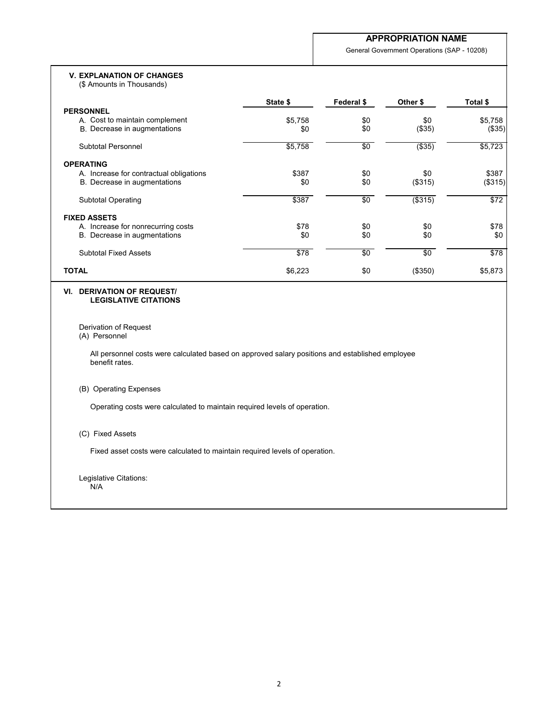General Government Operations (SAP - 10208)

#### **V. EXPLANATION OF CHANGES**

(\$ Amounts in Thousands)

|                                         | State \$ | Federal \$ | Other \$   | Total \$     |
|-----------------------------------------|----------|------------|------------|--------------|
| <b>PERSONNEL</b>                        |          |            |            |              |
| A. Cost to maintain complement          | \$5,758  | \$0        | \$0        | \$5,758      |
| B. Decrease in augmentations            | \$0      | \$0        | (\$35)     | (\$35)       |
| Subtotal Personnel                      | \$5,758  | \$0        | $($ \$35)  | \$5,723      |
| <b>OPERATING</b>                        |          |            |            |              |
| A. Increase for contractual obligations | \$387    | \$0        | \$0        | \$387        |
| B. Decrease in augmentations            | \$0      | \$0        | (\$315)    | (\$315)      |
| <b>Subtotal Operating</b>               | \$387    | $\sqrt{6}$ | ( \$315)   | $\sqrt{$72}$ |
| <b>FIXED ASSETS</b>                     |          |            |            |              |
| A. Increase for nonrecurring costs      | \$78     | \$0        | \$0        | \$78         |
| B. Decrease in augmentations            | \$0      | \$0        | \$0        | \$0          |
| <b>Subtotal Fixed Assets</b>            | \$78     | $\sqrt{6}$ | $\sqrt{6}$ | \$78         |
| <b>TOTAL</b>                            | \$6,223  | \$0        | (\$350)    | \$5,873      |

#### **VI. DERIVATION OF REQUEST/ LEGISLATIVE CITATIONS**

Derivation of Request

### (A) Personnel

All personnel costs were calculated based on approved salary positions and established employee benefit rates.

#### (B) Operating Expenses

Operating costs were calculated to maintain required levels of operation.

#### (C) Fixed Assets

Fixed asset costs were calculated to maintain required levels of operation.

Legislative Citations: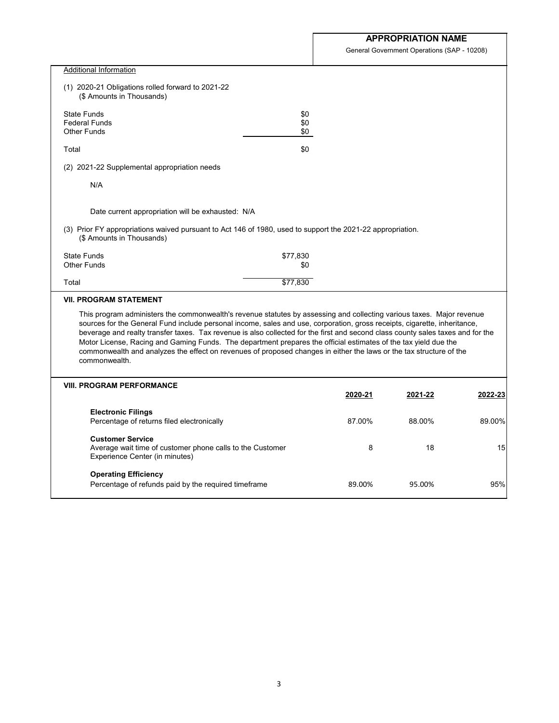General Government Operations (SAP - 10208)

| <b>Additional Information</b>                                                                                                                                                                                                                                                                                                                                                                                                                                                                                                                                                                                                                    |          |         |         |         |
|--------------------------------------------------------------------------------------------------------------------------------------------------------------------------------------------------------------------------------------------------------------------------------------------------------------------------------------------------------------------------------------------------------------------------------------------------------------------------------------------------------------------------------------------------------------------------------------------------------------------------------------------------|----------|---------|---------|---------|
| (1) 2020-21 Obligations rolled forward to 2021-22<br>(\$ Amounts in Thousands)                                                                                                                                                                                                                                                                                                                                                                                                                                                                                                                                                                   |          |         |         |         |
| <b>State Funds</b>                                                                                                                                                                                                                                                                                                                                                                                                                                                                                                                                                                                                                               | \$0      |         |         |         |
| <b>Federal Funds</b>                                                                                                                                                                                                                                                                                                                                                                                                                                                                                                                                                                                                                             | \$0      |         |         |         |
| <b>Other Funds</b>                                                                                                                                                                                                                                                                                                                                                                                                                                                                                                                                                                                                                               | \$0      |         |         |         |
|                                                                                                                                                                                                                                                                                                                                                                                                                                                                                                                                                                                                                                                  |          |         |         |         |
| Total                                                                                                                                                                                                                                                                                                                                                                                                                                                                                                                                                                                                                                            | \$0      |         |         |         |
| (2) 2021-22 Supplemental appropriation needs                                                                                                                                                                                                                                                                                                                                                                                                                                                                                                                                                                                                     |          |         |         |         |
| N/A                                                                                                                                                                                                                                                                                                                                                                                                                                                                                                                                                                                                                                              |          |         |         |         |
| Date current appropriation will be exhausted: N/A                                                                                                                                                                                                                                                                                                                                                                                                                                                                                                                                                                                                |          |         |         |         |
| (3) Prior FY appropriations waived pursuant to Act 146 of 1980, used to support the 2021-22 appropriation.<br>(\$ Amounts in Thousands)                                                                                                                                                                                                                                                                                                                                                                                                                                                                                                          |          |         |         |         |
| <b>State Funds</b>                                                                                                                                                                                                                                                                                                                                                                                                                                                                                                                                                                                                                               | \$77,830 |         |         |         |
| <b>Other Funds</b>                                                                                                                                                                                                                                                                                                                                                                                                                                                                                                                                                                                                                               | \$0      |         |         |         |
|                                                                                                                                                                                                                                                                                                                                                                                                                                                                                                                                                                                                                                                  |          |         |         |         |
| Total                                                                                                                                                                                                                                                                                                                                                                                                                                                                                                                                                                                                                                            | \$77,830 |         |         |         |
| <b>VII. PROGRAM STATEMENT</b>                                                                                                                                                                                                                                                                                                                                                                                                                                                                                                                                                                                                                    |          |         |         |         |
| This program administers the commonwealth's revenue statutes by assessing and collecting various taxes. Major revenue<br>sources for the General Fund include personal income, sales and use, corporation, gross receipts, cigarette, inheritance,<br>beverage and realty transfer taxes. Tax revenue is also collected for the first and second class county sales taxes and for the<br>Motor License, Racing and Gaming Funds. The department prepares the official estimates of the tax yield due the<br>commonwealth and analyzes the effect on revenues of proposed changes in either the laws or the tax structure of the<br>commonwealth. |          |         |         |         |
| <b>VIII. PROGRAM PERFORMANCE</b>                                                                                                                                                                                                                                                                                                                                                                                                                                                                                                                                                                                                                 |          | 2020-21 | 2021-22 | 2022-23 |
| <b>Electronic Filings</b><br>Percentage of returns filed electronically                                                                                                                                                                                                                                                                                                                                                                                                                                                                                                                                                                          |          | 87.00%  | 88.00%  | 89.00%  |
| <b>Customer Service</b><br>Average wait time of customer phone calls to the Customer<br>Experience Center (in minutes)                                                                                                                                                                                                                                                                                                                                                                                                                                                                                                                           |          | 8       | 18      | 15      |
| <b>Operating Efficiency</b><br>Percentage of refunds paid by the required timeframe                                                                                                                                                                                                                                                                                                                                                                                                                                                                                                                                                              |          | 89.00%  | 95.00%  | 95%     |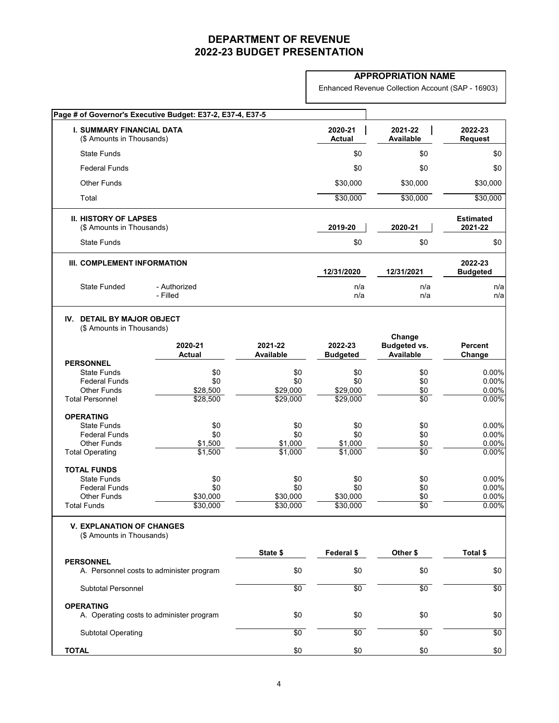#### **APPROPRIATION NAME**

Enhanced Revenue Collection Account (SAP - 16903)

| Page # of Governor's Executive Budget: E37-2, E37-4, E37-5        |                          |                             |                            |                                         |                             |
|-------------------------------------------------------------------|--------------------------|-----------------------------|----------------------------|-----------------------------------------|-----------------------------|
| <b>I. SUMMARY FINANCIAL DATA</b><br>(\$ Amounts in Thousands)     |                          |                             | 2020-21<br><b>Actual</b>   | 2021-22<br><b>Available</b>             | 2022-23<br><b>Request</b>   |
| <b>State Funds</b>                                                |                          |                             | \$0                        | \$0                                     | \$0                         |
| <b>Federal Funds</b>                                              |                          |                             | \$0                        | \$0                                     | \$0                         |
| <b>Other Funds</b>                                                |                          |                             | \$30,000                   | \$30,000                                | \$30,000                    |
| Total                                                             |                          |                             | \$30,000                   | \$30,000                                | \$30,000                    |
| <b>II. HISTORY OF LAPSES</b><br>(\$ Amounts in Thousands)         |                          |                             | 2019-20                    | 2020-21                                 | <b>Estimated</b><br>2021-22 |
| <b>State Funds</b>                                                |                          |                             | \$0                        | \$0                                     | \$0                         |
| <b>III. COMPLEMENT INFORMATION</b>                                |                          |                             | 12/31/2020                 | 12/31/2021                              | 2022-23<br><b>Budgeted</b>  |
| <b>State Funded</b>                                               | - Authorized<br>- Filled |                             | n/a<br>n/a                 | n/a<br>n/a                              | n/a<br>n/a                  |
| <b>DETAIL BY MAJOR OBJECT</b><br>IV.<br>(\$ Amounts in Thousands) |                          |                             |                            | Change                                  |                             |
|                                                                   | 2020-21<br><b>Actual</b> | 2021-22<br><b>Available</b> | 2022-23<br><b>Budgeted</b> | <b>Budgeted vs.</b><br><b>Available</b> | <b>Percent</b><br>Change    |
| <b>PERSONNEL</b>                                                  |                          |                             |                            |                                         |                             |
| <b>State Funds</b><br><b>Federal Funds</b>                        | \$0<br>\$0               | \$0<br>\$0                  | \$0<br>\$0                 | \$0                                     | 0.00%<br>0.00%              |
| <b>Other Funds</b>                                                | \$28,500                 | \$29,000                    | \$29,000                   | \$0<br>\$0                              | 0.00%                       |
| <b>Total Personnel</b>                                            | \$28,500                 | \$29,000                    | \$29,000                   | $\overline{60}$                         | 0.00%                       |
| <b>OPERATING</b>                                                  |                          |                             |                            |                                         |                             |
| <b>State Funds</b>                                                | \$0                      | \$0                         | \$0                        | \$0                                     | $0.00\%$                    |
| <b>Federal Funds</b>                                              | \$0                      | \$0                         | \$0                        | \$0                                     | 0.00%                       |
| <b>Other Funds</b>                                                | \$1,500                  | \$1,000                     | \$1,000                    | \$0                                     | 0.00%                       |
| <b>Total Operating</b>                                            | \$1,500                  | \$1,000                     | \$1,000                    | $\overline{50}$                         | 0.00%                       |
| <b>TOTAL FUNDS</b>                                                |                          |                             |                            |                                         |                             |
| <b>State Funds</b>                                                | \$0                      | \$0                         | \$0                        | \$0                                     | $0.00\%$                    |
| <b>Federal Funds</b>                                              | \$0                      | \$0                         | \$0                        | \$0                                     | 0.00%                       |
| <b>Other Funds</b><br><b>Total Funds</b>                          | \$30,000<br>\$30,000     | \$30,000<br>\$30,000        | \$30,000<br>\$30,000       | \$0<br>$\overline{50}$                  | 0.00%<br>0.00%              |
| <b>V. EXPLANATION OF CHANGES</b>                                  |                          |                             |                            |                                         |                             |
| (\$ Amounts in Thousands)                                         |                          |                             |                            |                                         |                             |
| <b>PERSONNEL</b>                                                  |                          | State \$                    | Federal \$                 | Other \$                                | Total \$                    |
| A. Personnel costs to administer program                          |                          | \$0                         | \$0                        | \$0                                     | \$0                         |
| <b>Subtotal Personnel</b>                                         |                          | \$0                         | \$0                        | $\overline{50}$                         | $\sqrt{6}$                  |
| <b>OPERATING</b><br>A. Operating costs to administer program      |                          | \$0                         | \$0                        | \$0                                     | \$0                         |
| <b>Subtotal Operating</b>                                         |                          | \$0                         | \$0                        | $\sqrt{6}$                              | $\sqrt{6}$                  |
| <b>TOTAL</b>                                                      |                          | \$0                         | \$0                        | \$0                                     | \$0                         |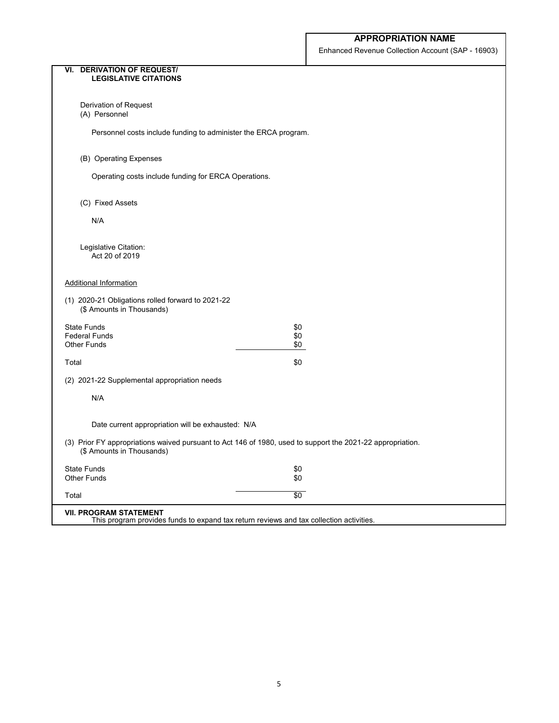Enhanced Revenue Collection Account (SAP - 16903)

| <b>VI. DERIVATION OF REQUEST/</b><br><b>LEGISLATIVE CITATIONS</b>              |                                                                                                            |
|--------------------------------------------------------------------------------|------------------------------------------------------------------------------------------------------------|
|                                                                                |                                                                                                            |
| Derivation of Request<br>(A) Personnel                                         |                                                                                                            |
| Personnel costs include funding to administer the ERCA program.                |                                                                                                            |
| (B) Operating Expenses                                                         |                                                                                                            |
| Operating costs include funding for ERCA Operations.                           |                                                                                                            |
| (C) Fixed Assets                                                               |                                                                                                            |
| N/A                                                                            |                                                                                                            |
| Legislative Citation:<br>Act 20 of 2019                                        |                                                                                                            |
| <b>Additional Information</b>                                                  |                                                                                                            |
| (1) 2020-21 Obligations rolled forward to 2021-22<br>(\$ Amounts in Thousands) |                                                                                                            |
| <b>State Funds</b>                                                             | \$0                                                                                                        |
| <b>Federal Funds</b><br><b>Other Funds</b>                                     | \$0<br>\$0                                                                                                 |
| Total                                                                          | \$0                                                                                                        |
| (2) 2021-22 Supplemental appropriation needs                                   |                                                                                                            |
| N/A                                                                            |                                                                                                            |
| Date current appropriation will be exhausted: N/A                              |                                                                                                            |
| (\$ Amounts in Thousands)                                                      | (3) Prior FY appropriations waived pursuant to Act 146 of 1980, used to support the 2021-22 appropriation. |
| <b>State Funds</b><br><b>Other Funds</b>                                       | \$0<br>\$0                                                                                                 |
| Total                                                                          | $\sqrt{60}$                                                                                                |
| <b>VII. PROGRAM STATEMENT</b>                                                  | This program provides funds to expand tax return reviews and tax collection activities.                    |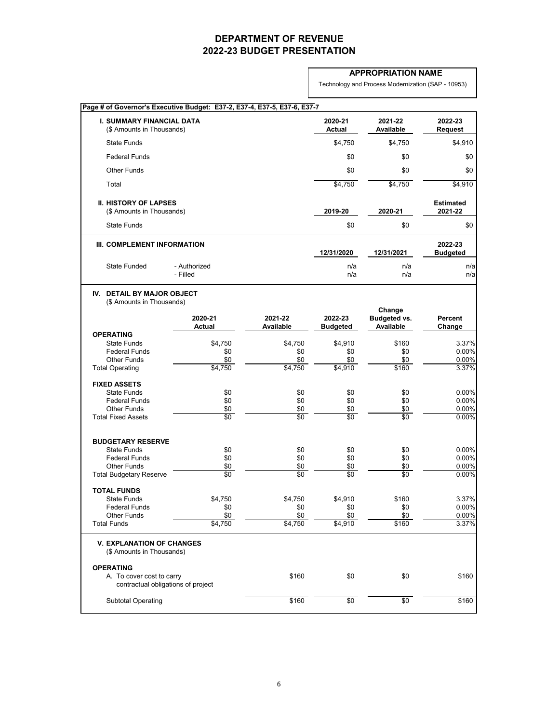### **APPROPRIATION NAME**

Technology and Process Modernization (SAP - 10953)

| <b>I. SUMMARY FINANCIAL DATA</b><br>(\$ Amounts in Thousands)   |                          |                             | 2020-21<br><b>Actual</b>   | 2021-22<br><b>Available</b>                       | 2022-23<br><b>Request</b>   |
|-----------------------------------------------------------------|--------------------------|-----------------------------|----------------------------|---------------------------------------------------|-----------------------------|
| <b>State Funds</b>                                              |                          |                             | \$4,750                    | \$4,750                                           | \$4,910                     |
| <b>Federal Funds</b>                                            |                          |                             | \$0                        | \$0                                               | \$0                         |
| <b>Other Funds</b>                                              |                          |                             | \$0                        | \$0                                               | \$0                         |
| Total                                                           |                          |                             | \$4,750                    | \$4,750                                           | \$4,910                     |
| <b>II. HISTORY OF LAPSES</b><br>(\$ Amounts in Thousands)       |                          |                             | 2019-20                    | 2020-21                                           | <b>Estimated</b><br>2021-22 |
| <b>State Funds</b>                                              |                          |                             | \$0                        | \$0                                               | \$0                         |
| III. COMPLEMENT INFORMATION                                     |                          |                             | 12/31/2020                 | 12/31/2021                                        | 2022-23<br><b>Budgeted</b>  |
| <b>State Funded</b>                                             | - Authorized<br>- Filled |                             | n/a<br>n/a                 | n/a<br>n/a                                        | n/a<br>n/a                  |
| IV. DETAIL BY MAJOR OBJECT<br>(\$ Amounts in Thousands)         |                          |                             |                            |                                                   |                             |
|                                                                 | 2020-21<br><b>Actual</b> | 2021-22<br><b>Available</b> | 2022-23<br><b>Budgeted</b> | Change<br><b>Budgeted vs.</b><br><b>Available</b> | <b>Percent</b><br>Change    |
| <b>OPERATING</b>                                                |                          |                             |                            |                                                   |                             |
| <b>State Funds</b><br><b>Federal Funds</b>                      | \$4,750<br>\$0           | \$4,750<br>\$0              | \$4,910<br>\$0             | \$160<br>\$0                                      | 3.37%<br>0.00%              |
| <b>Other Funds</b>                                              | \$0                      | \$0                         | \$0                        | \$0                                               | 0.00%                       |
| <b>Total Operating</b>                                          | \$4,750                  | \$4,750                     | \$4,910                    | \$160                                             | 3.37%                       |
| <b>FIXED ASSETS</b>                                             |                          |                             |                            |                                                   |                             |
| <b>State Funds</b>                                              | \$0                      | \$0                         | \$0                        | \$0                                               | 0.00%                       |
| <b>Federal Funds</b>                                            | \$0                      | \$0                         | \$0                        | \$0                                               | 0.00%                       |
| <b>Other Funds</b>                                              | \$0                      | \$0                         | \$0                        | \$0                                               | 0.00%                       |
| <b>Total Fixed Assets</b>                                       | $\sqrt{6}$               | $\overline{60}$             | $\overline{50}$            | $\overline{60}$                                   | 0.00%                       |
| <b>BUDGETARY RESERVE</b>                                        |                          |                             |                            |                                                   |                             |
| <b>State Funds</b>                                              | \$0                      | \$0                         | \$0                        | \$0                                               | 0.00%                       |
| <b>Federal Funds</b>                                            | \$0                      | \$0                         | \$0                        | \$0                                               | 0.00%                       |
| <b>Other Funds</b><br><b>Total Budgetary Reserve</b>            | \$0<br>$\sqrt{6}$        | \$0<br>$\overline{60}$      | \$0<br>$\overline{50}$     | \$0<br>$\sqrt{6}$                                 | $0.00\%$<br>0.00%           |
| <b>TOTAL FUNDS</b>                                              |                          |                             |                            |                                                   |                             |
| <b>State Funds</b>                                              | \$4,750                  | \$4,750                     | \$4,910                    | \$160                                             | 3.37%                       |
| <b>Federal Funds</b>                                            | \$0                      | \$0                         | \$0                        | \$0                                               | 0.00%                       |
| <b>Other Funds</b>                                              | \$0                      | \$0                         | \$0                        | \$0                                               | 0.00%                       |
| <b>Total Funds</b>                                              | \$4,750                  | \$4,750                     | \$4,910                    | \$160                                             | 3.37%                       |
| <b>V. EXPLANATION OF CHANGES</b><br>(\$ Amounts in Thousands)   |                          |                             |                            |                                                   |                             |
| <b>OPERATING</b>                                                |                          |                             |                            |                                                   |                             |
| A. To cover cost to carry<br>contractual obligations of project |                          | \$160                       | \$0                        | \$0                                               | \$160                       |
| <b>Subtotal Operating</b>                                       |                          | \$160                       | \$0                        | $\sqrt{60}$                                       | \$160                       |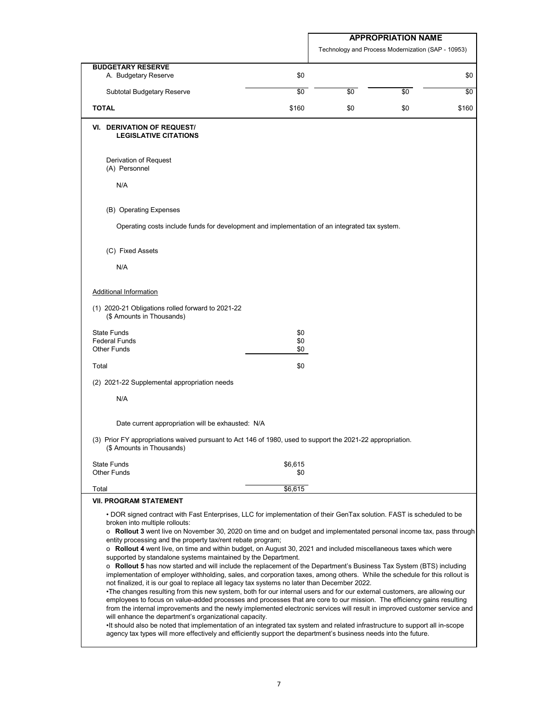Technology and Process Modernization (SAP - 10953)

| <b>BUDGETARY RESERVE</b>                                                                                                                                                                                                                                                                                                                                                                                                                                                                                                                                                                                                                                                                                                                                                                                                                                                                                                                                                                                                                                                                                                                                                                                                                                                                                                                                                                                                                                                                                                                                                                  | \$0            |     |     |       |
|-------------------------------------------------------------------------------------------------------------------------------------------------------------------------------------------------------------------------------------------------------------------------------------------------------------------------------------------------------------------------------------------------------------------------------------------------------------------------------------------------------------------------------------------------------------------------------------------------------------------------------------------------------------------------------------------------------------------------------------------------------------------------------------------------------------------------------------------------------------------------------------------------------------------------------------------------------------------------------------------------------------------------------------------------------------------------------------------------------------------------------------------------------------------------------------------------------------------------------------------------------------------------------------------------------------------------------------------------------------------------------------------------------------------------------------------------------------------------------------------------------------------------------------------------------------------------------------------|----------------|-----|-----|-------|
| A. Budgetary Reserve                                                                                                                                                                                                                                                                                                                                                                                                                                                                                                                                                                                                                                                                                                                                                                                                                                                                                                                                                                                                                                                                                                                                                                                                                                                                                                                                                                                                                                                                                                                                                                      |                |     |     | \$0   |
| <b>Subtotal Budgetary Reserve</b>                                                                                                                                                                                                                                                                                                                                                                                                                                                                                                                                                                                                                                                                                                                                                                                                                                                                                                                                                                                                                                                                                                                                                                                                                                                                                                                                                                                                                                                                                                                                                         | \$0            | \$0 | \$0 | \$0   |
| <b>TOTAL</b>                                                                                                                                                                                                                                                                                                                                                                                                                                                                                                                                                                                                                                                                                                                                                                                                                                                                                                                                                                                                                                                                                                                                                                                                                                                                                                                                                                                                                                                                                                                                                                              | \$160          | \$0 | \$0 | \$160 |
| <b>DERIVATION OF REQUEST/</b><br>VI.<br><b>LEGISLATIVE CITATIONS</b>                                                                                                                                                                                                                                                                                                                                                                                                                                                                                                                                                                                                                                                                                                                                                                                                                                                                                                                                                                                                                                                                                                                                                                                                                                                                                                                                                                                                                                                                                                                      |                |     |     |       |
| Derivation of Request<br>(A) Personnel                                                                                                                                                                                                                                                                                                                                                                                                                                                                                                                                                                                                                                                                                                                                                                                                                                                                                                                                                                                                                                                                                                                                                                                                                                                                                                                                                                                                                                                                                                                                                    |                |     |     |       |
| N/A                                                                                                                                                                                                                                                                                                                                                                                                                                                                                                                                                                                                                                                                                                                                                                                                                                                                                                                                                                                                                                                                                                                                                                                                                                                                                                                                                                                                                                                                                                                                                                                       |                |     |     |       |
| (B) Operating Expenses                                                                                                                                                                                                                                                                                                                                                                                                                                                                                                                                                                                                                                                                                                                                                                                                                                                                                                                                                                                                                                                                                                                                                                                                                                                                                                                                                                                                                                                                                                                                                                    |                |     |     |       |
| Operating costs include funds for development and implementation of an integrated tax system.                                                                                                                                                                                                                                                                                                                                                                                                                                                                                                                                                                                                                                                                                                                                                                                                                                                                                                                                                                                                                                                                                                                                                                                                                                                                                                                                                                                                                                                                                             |                |     |     |       |
| (C) Fixed Assets                                                                                                                                                                                                                                                                                                                                                                                                                                                                                                                                                                                                                                                                                                                                                                                                                                                                                                                                                                                                                                                                                                                                                                                                                                                                                                                                                                                                                                                                                                                                                                          |                |     |     |       |
| N/A                                                                                                                                                                                                                                                                                                                                                                                                                                                                                                                                                                                                                                                                                                                                                                                                                                                                                                                                                                                                                                                                                                                                                                                                                                                                                                                                                                                                                                                                                                                                                                                       |                |     |     |       |
| <b>Additional Information</b>                                                                                                                                                                                                                                                                                                                                                                                                                                                                                                                                                                                                                                                                                                                                                                                                                                                                                                                                                                                                                                                                                                                                                                                                                                                                                                                                                                                                                                                                                                                                                             |                |     |     |       |
| (1) 2020-21 Obligations rolled forward to 2021-22<br>(\$ Amounts in Thousands)                                                                                                                                                                                                                                                                                                                                                                                                                                                                                                                                                                                                                                                                                                                                                                                                                                                                                                                                                                                                                                                                                                                                                                                                                                                                                                                                                                                                                                                                                                            |                |     |     |       |
| <b>State Funds</b><br><b>Federal Funds</b>                                                                                                                                                                                                                                                                                                                                                                                                                                                                                                                                                                                                                                                                                                                                                                                                                                                                                                                                                                                                                                                                                                                                                                                                                                                                                                                                                                                                                                                                                                                                                | \$0            |     |     |       |
| <b>Other Funds</b>                                                                                                                                                                                                                                                                                                                                                                                                                                                                                                                                                                                                                                                                                                                                                                                                                                                                                                                                                                                                                                                                                                                                                                                                                                                                                                                                                                                                                                                                                                                                                                        | \$0<br>\$0     |     |     |       |
| Total                                                                                                                                                                                                                                                                                                                                                                                                                                                                                                                                                                                                                                                                                                                                                                                                                                                                                                                                                                                                                                                                                                                                                                                                                                                                                                                                                                                                                                                                                                                                                                                     | \$0            |     |     |       |
| (2) 2021-22 Supplemental appropriation needs                                                                                                                                                                                                                                                                                                                                                                                                                                                                                                                                                                                                                                                                                                                                                                                                                                                                                                                                                                                                                                                                                                                                                                                                                                                                                                                                                                                                                                                                                                                                              |                |     |     |       |
| N/A                                                                                                                                                                                                                                                                                                                                                                                                                                                                                                                                                                                                                                                                                                                                                                                                                                                                                                                                                                                                                                                                                                                                                                                                                                                                                                                                                                                                                                                                                                                                                                                       |                |     |     |       |
| Date current appropriation will be exhausted: N/A                                                                                                                                                                                                                                                                                                                                                                                                                                                                                                                                                                                                                                                                                                                                                                                                                                                                                                                                                                                                                                                                                                                                                                                                                                                                                                                                                                                                                                                                                                                                         |                |     |     |       |
| (3) Prior FY appropriations waived pursuant to Act 146 of 1980, used to support the 2021-22 appropriation.<br>(\$ Amounts in Thousands)                                                                                                                                                                                                                                                                                                                                                                                                                                                                                                                                                                                                                                                                                                                                                                                                                                                                                                                                                                                                                                                                                                                                                                                                                                                                                                                                                                                                                                                   |                |     |     |       |
| <b>State Funds</b><br><b>Other Funds</b>                                                                                                                                                                                                                                                                                                                                                                                                                                                                                                                                                                                                                                                                                                                                                                                                                                                                                                                                                                                                                                                                                                                                                                                                                                                                                                                                                                                                                                                                                                                                                  | \$6,615<br>\$0 |     |     |       |
| Total                                                                                                                                                                                                                                                                                                                                                                                                                                                                                                                                                                                                                                                                                                                                                                                                                                                                                                                                                                                                                                                                                                                                                                                                                                                                                                                                                                                                                                                                                                                                                                                     | \$6,615        |     |     |       |
| <b>VII. PROGRAM STATEMENT</b>                                                                                                                                                                                                                                                                                                                                                                                                                                                                                                                                                                                                                                                                                                                                                                                                                                                                                                                                                                                                                                                                                                                                                                                                                                                                                                                                                                                                                                                                                                                                                             |                |     |     |       |
| • DOR signed contract with Fast Enterprises, LLC for implementation of their GenTax solution. FAST is scheduled to be<br>broken into multiple rollouts:<br>o Rollout 3 went live on November 30, 2020 on time and on budget and implementated personal income tax, pass through<br>entity processing and the property tax/rent rebate program;<br>o Rollout 4 went live, on time and within budget, on August 30, 2021 and included miscellaneous taxes which were<br>supported by standalone systems maintained by the Department.<br>o Rollout 5 has now started and will include the replacement of the Department's Business Tax System (BTS) including<br>implementation of employer withholding, sales, and corporation taxes, among others. While the schedule for this rollout is<br>not finalized, it is our goal to replace all legacy tax systems no later than December 2022.<br>•The changes resulting from this new system, both for our internal users and for our external customers, are allowing our<br>employees to focus on value-added processes and processes that are core to our mission. The efficiency gains resulting<br>from the internal improvements and the newly implemented electronic services will result in improved customer service and<br>will enhance the department's organizational capacity.<br>•If should also be noted that implementation of an integrated tax system and related infrastructure to support all in-scope<br>agency tax types will more effectively and efficiently support the department's business needs into the future. |                |     |     |       |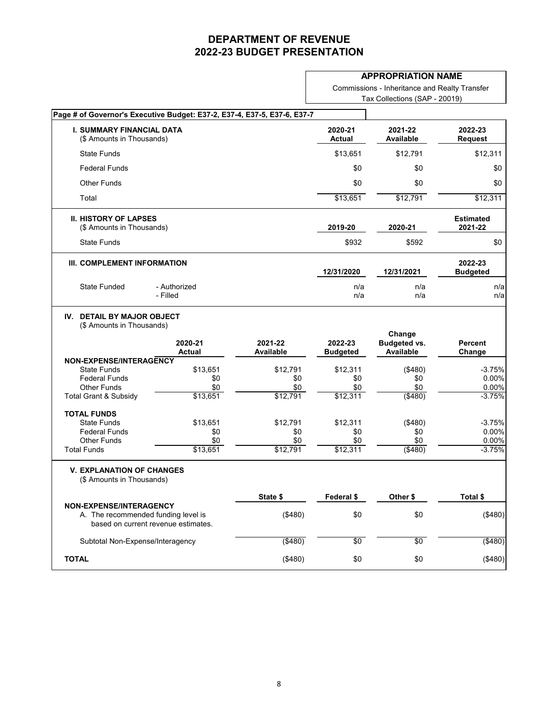#### **APPROPRIATION NAME**

Commissions - Inheritance and Realty Transfer Tax Collections (SAP - 20019)

|                                                                                     |                                                                            |                             | Page # of Governor's Executive Budget: E37-2, E37-4, E37-5, E37-6, E37-7 |                                                   |                                                             |
|-------------------------------------------------------------------------------------|----------------------------------------------------------------------------|-----------------------------|--------------------------------------------------------------------------|---------------------------------------------------|-------------------------------------------------------------|
| <b>I. SUMMARY FINANCIAL DATA</b><br>(\$ Amounts in Thousands)                       |                                                                            |                             | 2020-21<br><b>Actual</b>                                                 | 2021-22<br><b>Available</b>                       | 2022-23<br><b>Request</b>                                   |
| <b>State Funds</b>                                                                  |                                                                            |                             | \$13,651                                                                 | \$12,791                                          | \$12,311                                                    |
| <b>Federal Funds</b>                                                                |                                                                            |                             | \$0                                                                      | \$0                                               | \$0                                                         |
| <b>Other Funds</b>                                                                  |                                                                            |                             | \$0                                                                      | \$0                                               | \$0                                                         |
| Total                                                                               |                                                                            |                             | \$13,651                                                                 | \$12,791                                          | \$12,311                                                    |
| <b>II. HISTORY OF LAPSES</b><br>(\$ Amounts in Thousands)                           |                                                                            |                             | 2019-20                                                                  | 2020-21                                           | <b>Estimated</b><br>2021-22                                 |
| <b>State Funds</b>                                                                  |                                                                            |                             | \$932                                                                    | \$592                                             | \$0                                                         |
| III. COMPLEMENT INFORMATION                                                         |                                                                            |                             | 12/31/2020                                                               | 12/31/2021                                        | 2022-23<br><b>Budgeted</b>                                  |
| <b>State Funded</b>                                                                 | - Authorized<br>- Filled                                                   |                             | n/a<br>n/a                                                               | n/a<br>n/a                                        | n/a<br>n/a                                                  |
| (\$ Amounts in Thousands)                                                           | 2020-21<br><b>Actual</b>                                                   | 2021-22<br><b>Available</b> | 2022-23<br><b>Budgeted</b>                                               | Change<br><b>Budgeted vs.</b><br><b>Available</b> | <b>Percent</b><br>Change                                    |
| NON-EXPENSE/INTERAGENCY<br><b>State Funds</b>                                       | \$13,651                                                                   | \$12,791                    | \$12,311                                                                 |                                                   |                                                             |
|                                                                                     |                                                                            |                             |                                                                          |                                                   |                                                             |
| <b>Federal Funds</b>                                                                | \$0                                                                        | \$0                         | \$0                                                                      | (\$480)                                           |                                                             |
| <b>Other Funds</b>                                                                  | \$0                                                                        | \$0                         | \$0                                                                      | \$0<br>\$0                                        |                                                             |
|                                                                                     | \$13,651                                                                   | \$12,791                    | \$12,311                                                                 | $($ \$480)                                        |                                                             |
|                                                                                     |                                                                            |                             |                                                                          |                                                   |                                                             |
| <b>State Funds</b>                                                                  | \$13,651                                                                   | \$12,791                    | \$12,311                                                                 | (\$480)                                           |                                                             |
| <b>Federal Funds</b>                                                                | \$0                                                                        | \$0                         | \$0                                                                      | \$0                                               | $-3.75%$<br>0.00%<br>0.00%<br>$-3.75%$<br>$-3.75%$<br>0.00% |
| <b>Total Grant &amp; Subsidy</b><br><b>TOTAL FUNDS</b><br><b>Other Funds</b>        | \$0                                                                        | \$0                         | \$0                                                                      | \$0                                               |                                                             |
| <b>Total Funds</b><br><b>V. EXPLANATION OF CHANGES</b><br>(\$ Amounts in Thousands) | \$13,651                                                                   | \$12,791                    | \$12,311                                                                 | ( \$480)                                          |                                                             |
|                                                                                     |                                                                            | State \$                    | Federal \$                                                               | Other \$                                          | Total \$                                                    |
|                                                                                     | A. The recommended funding level is<br>based on current revenue estimates. | (\$480)                     | \$0                                                                      | \$0                                               |                                                             |
| NON-EXPENSE/INTERAGENCY<br>Subtotal Non-Expense/Interagency                         |                                                                            | $($ \$480)                  | \$0                                                                      | $\sqrt{6}$                                        | 0.00%<br>$-3.75%$<br>(\$480)<br>(\$480)                     |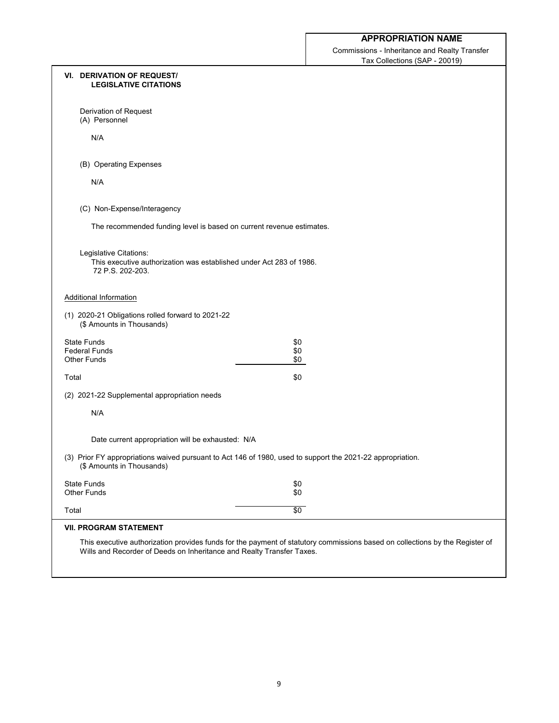Commissions - Inheritance and Realty Transfer Tax Collections (SAP - 20019)

| <b>VI. DERIVATION OF REQUEST/</b><br><b>LEGISLATIVE CITATIONS</b>                                                                       |                                                                                                                              |
|-----------------------------------------------------------------------------------------------------------------------------------------|------------------------------------------------------------------------------------------------------------------------------|
| Derivation of Request<br>(A) Personnel                                                                                                  |                                                                                                                              |
| N/A                                                                                                                                     |                                                                                                                              |
| (B) Operating Expenses                                                                                                                  |                                                                                                                              |
| N/A                                                                                                                                     |                                                                                                                              |
| (C) Non-Expense/Interagency                                                                                                             |                                                                                                                              |
| The recommended funding level is based on current revenue estimates.                                                                    |                                                                                                                              |
| Legislative Citations:<br>This executive authorization was established under Act 283 of 1986.<br>72 P.S. 202-203.                       |                                                                                                                              |
| <b>Additional Information</b>                                                                                                           |                                                                                                                              |
| (1) 2020-21 Obligations rolled forward to 2021-22<br>(\$ Amounts in Thousands)                                                          |                                                                                                                              |
| <b>State Funds</b>                                                                                                                      | \$0                                                                                                                          |
| <b>Federal Funds</b><br><b>Other Funds</b>                                                                                              | \$0<br>\$0                                                                                                                   |
| Total                                                                                                                                   | \$0                                                                                                                          |
| (2) 2021-22 Supplemental appropriation needs                                                                                            |                                                                                                                              |
| N/A                                                                                                                                     |                                                                                                                              |
| Date current appropriation will be exhausted: N/A                                                                                       |                                                                                                                              |
| (3) Prior FY appropriations waived pursuant to Act 146 of 1980, used to support the 2021-22 appropriation.<br>(\$ Amounts in Thousands) |                                                                                                                              |
| <b>State Funds</b><br><b>Other Funds</b>                                                                                                | \$0<br>\$0                                                                                                                   |
| Total                                                                                                                                   | $\sqrt{6}$                                                                                                                   |
| <b>VII. PROGRAM STATEMENT</b>                                                                                                           |                                                                                                                              |
| Wills and Recorder of Deeds on Inheritance and Realty Transfer Taxes.                                                                   | This executive authorization provides funds for the payment of statutory commissions based on collections by the Register of |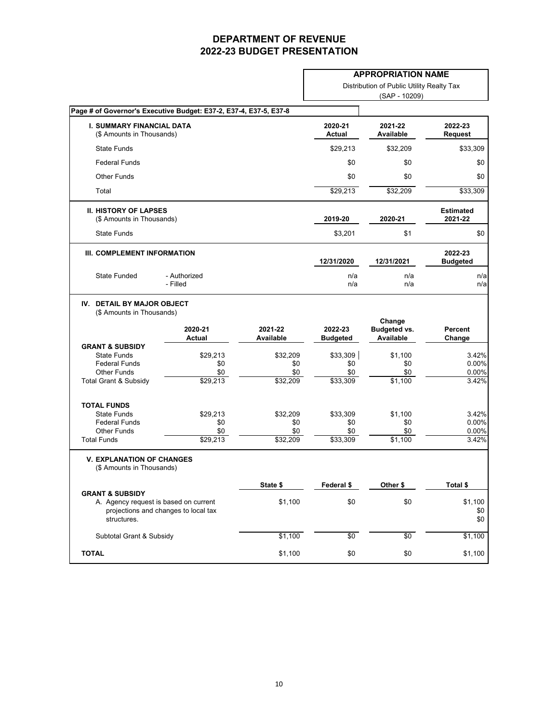|                                                                                                              |                                      |                                    |                                    | <b>APPROPRIATION NAME</b>                         |                                  |
|--------------------------------------------------------------------------------------------------------------|--------------------------------------|------------------------------------|------------------------------------|---------------------------------------------------|----------------------------------|
|                                                                                                              |                                      |                                    |                                    | Distribution of Public Utility Realty Tax         |                                  |
|                                                                                                              |                                      |                                    |                                    | (SAP - 10209)                                     |                                  |
| Page # of Governor's Executive Budget: E37-2, E37-4, E37-5, E37-8                                            |                                      |                                    |                                    |                                                   |                                  |
| <b>I. SUMMARY FINANCIAL DATA</b><br>(\$ Amounts in Thousands)                                                |                                      |                                    | 2020-21<br><b>Actual</b>           | 2021-22<br><b>Available</b>                       | 2022-23<br><b>Request</b>        |
| <b>State Funds</b>                                                                                           |                                      |                                    | \$29,213                           | \$32,209                                          | \$33,309                         |
| <b>Federal Funds</b>                                                                                         |                                      |                                    | \$0                                | \$0                                               | \$0                              |
| <b>Other Funds</b>                                                                                           |                                      |                                    | \$0                                | \$0                                               | \$0                              |
| Total                                                                                                        |                                      |                                    | \$29,213                           | \$32,209                                          | \$33,309                         |
| <b>II. HISTORY OF LAPSES</b><br>(\$ Amounts in Thousands)                                                    |                                      |                                    | 2019-20                            | 2020-21                                           | <b>Estimated</b><br>2021-22      |
| <b>State Funds</b>                                                                                           |                                      |                                    | \$3,201                            | \$1                                               | \$0                              |
| III. COMPLEMENT INFORMATION                                                                                  |                                      |                                    | 12/31/2020                         | 12/31/2021                                        | 2022-23<br><b>Budgeted</b>       |
| <b>State Funded</b>                                                                                          | - Authorized<br>- Filled             |                                    | n/a<br>n/a                         | n/a<br>n/a                                        | n/a<br>n/a                       |
| <b>DETAIL BY MAJOR OBJECT</b><br>IV.<br>(\$ Amounts in Thousands)                                            | 2020-21<br><b>Actual</b>             | 2021-22<br><b>Available</b>        | 2022-23<br><b>Budgeted</b>         | Change<br><b>Budgeted vs.</b><br><b>Available</b> | <b>Percent</b><br>Change         |
| <b>GRANT &amp; SUBSIDY</b><br><b>State Funds</b><br><b>Federal Funds</b><br><b>Other Funds</b>               | \$29,213<br>\$0<br>\$0               | \$32,209<br>\$0<br>\$0             | \$33,309<br>\$0<br>\$0             | \$1,100<br>\$0<br>\$0                             | 3.42%<br>0.00%<br>0.00%          |
| Total Grant & Subsidy                                                                                        | \$29,213                             | \$32,209                           | \$33,309                           | \$1,100                                           | 3.42%                            |
| <b>TOTAL FUNDS</b><br><b>State Funds</b><br><b>Federal Funds</b><br><b>Other Funds</b><br><b>Total Funds</b> | \$29,213<br>\$0<br>\$0<br>\$29,213   | \$32,209<br>\$0<br>\$0<br>\$32,209 | \$33,309<br>\$0<br>\$0<br>\$33,309 | \$1,100<br>\$0<br>\$0<br>\$1,100                  | 3.42%<br>0.00%<br>0.00%<br>3.42% |
| <b>V. EXPLANATION OF CHANGES</b><br>(\$ Amounts in Thousands)                                                |                                      |                                    |                                    |                                                   |                                  |
|                                                                                                              |                                      | State \$                           | Federal \$                         | Other \$                                          | Total \$                         |
| <b>GRANT &amp; SUBSIDY</b><br>A. Agency request is based on current<br>structures.                           | projections and changes to local tax | \$1,100                            | \$0                                | \$0                                               | \$1,100<br>\$0<br>\$0            |
| Subtotal Grant & Subsidy                                                                                     |                                      | \$1,100                            | \$0                                | \$0                                               | \$1,100                          |
| <b>TOTAL</b>                                                                                                 |                                      | \$1,100                            | \$0                                | \$0                                               | \$1,100                          |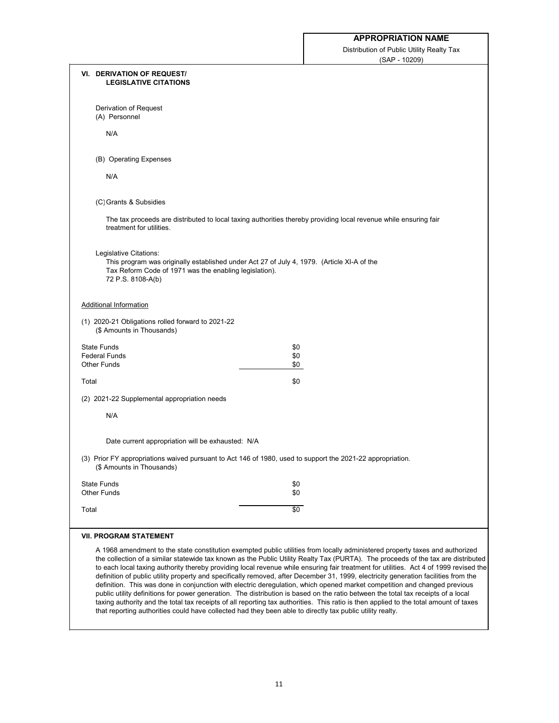Distribution of Public Utility Realty Tax (SAP - 10209)

|       | <b>VI. DERIVATION OF REQUEST/</b><br><b>LEGISLATIVE CITATIONS</b>                                                                                                                                   |                                                                                                                                                                                                                                                                                                                                                                                                                                                                                                                                                                                                                                                                                                                                                                                                                                                                                                                                                              |
|-------|-----------------------------------------------------------------------------------------------------------------------------------------------------------------------------------------------------|--------------------------------------------------------------------------------------------------------------------------------------------------------------------------------------------------------------------------------------------------------------------------------------------------------------------------------------------------------------------------------------------------------------------------------------------------------------------------------------------------------------------------------------------------------------------------------------------------------------------------------------------------------------------------------------------------------------------------------------------------------------------------------------------------------------------------------------------------------------------------------------------------------------------------------------------------------------|
|       | Derivation of Request<br>(A) Personnel                                                                                                                                                              |                                                                                                                                                                                                                                                                                                                                                                                                                                                                                                                                                                                                                                                                                                                                                                                                                                                                                                                                                              |
|       | N/A                                                                                                                                                                                                 |                                                                                                                                                                                                                                                                                                                                                                                                                                                                                                                                                                                                                                                                                                                                                                                                                                                                                                                                                              |
|       | (B) Operating Expenses                                                                                                                                                                              |                                                                                                                                                                                                                                                                                                                                                                                                                                                                                                                                                                                                                                                                                                                                                                                                                                                                                                                                                              |
|       | N/A                                                                                                                                                                                                 |                                                                                                                                                                                                                                                                                                                                                                                                                                                                                                                                                                                                                                                                                                                                                                                                                                                                                                                                                              |
|       | (C) Grants & Subsidies                                                                                                                                                                              |                                                                                                                                                                                                                                                                                                                                                                                                                                                                                                                                                                                                                                                                                                                                                                                                                                                                                                                                                              |
|       | treatment for utilities.                                                                                                                                                                            | The tax proceeds are distributed to local taxing authorities thereby providing local revenue while ensuring fair                                                                                                                                                                                                                                                                                                                                                                                                                                                                                                                                                                                                                                                                                                                                                                                                                                             |
|       | Legislative Citations:<br>This program was originally established under Act 27 of July 4, 1979. (Article XI-A of the<br>Tax Reform Code of 1971 was the enabling legislation).<br>72 P.S. 8108-A(b) |                                                                                                                                                                                                                                                                                                                                                                                                                                                                                                                                                                                                                                                                                                                                                                                                                                                                                                                                                              |
|       | <b>Additional Information</b>                                                                                                                                                                       |                                                                                                                                                                                                                                                                                                                                                                                                                                                                                                                                                                                                                                                                                                                                                                                                                                                                                                                                                              |
|       | (1) 2020-21 Obligations rolled forward to 2021-22<br>(\$ Amounts in Thousands)                                                                                                                      |                                                                                                                                                                                                                                                                                                                                                                                                                                                                                                                                                                                                                                                                                                                                                                                                                                                                                                                                                              |
|       | <b>State Funds</b>                                                                                                                                                                                  | \$0                                                                                                                                                                                                                                                                                                                                                                                                                                                                                                                                                                                                                                                                                                                                                                                                                                                                                                                                                          |
|       | <b>Federal Funds</b><br><b>Other Funds</b>                                                                                                                                                          | \$0<br>\$0                                                                                                                                                                                                                                                                                                                                                                                                                                                                                                                                                                                                                                                                                                                                                                                                                                                                                                                                                   |
| Total |                                                                                                                                                                                                     | \$0                                                                                                                                                                                                                                                                                                                                                                                                                                                                                                                                                                                                                                                                                                                                                                                                                                                                                                                                                          |
|       | (2) 2021-22 Supplemental appropriation needs                                                                                                                                                        |                                                                                                                                                                                                                                                                                                                                                                                                                                                                                                                                                                                                                                                                                                                                                                                                                                                                                                                                                              |
|       | N/A                                                                                                                                                                                                 |                                                                                                                                                                                                                                                                                                                                                                                                                                                                                                                                                                                                                                                                                                                                                                                                                                                                                                                                                              |
|       | Date current appropriation will be exhausted: N/A                                                                                                                                                   |                                                                                                                                                                                                                                                                                                                                                                                                                                                                                                                                                                                                                                                                                                                                                                                                                                                                                                                                                              |
|       | (\$ Amounts in Thousands)                                                                                                                                                                           | (3) Prior FY appropriations waived pursuant to Act 146 of 1980, used to support the 2021-22 appropriation.                                                                                                                                                                                                                                                                                                                                                                                                                                                                                                                                                                                                                                                                                                                                                                                                                                                   |
|       | <b>State Funds</b><br><b>Other Funds</b>                                                                                                                                                            | \$0<br>\$0                                                                                                                                                                                                                                                                                                                                                                                                                                                                                                                                                                                                                                                                                                                                                                                                                                                                                                                                                   |
| Total |                                                                                                                                                                                                     | \$0                                                                                                                                                                                                                                                                                                                                                                                                                                                                                                                                                                                                                                                                                                                                                                                                                                                                                                                                                          |
|       | <b>VII. PROGRAM STATEMENT</b>                                                                                                                                                                       |                                                                                                                                                                                                                                                                                                                                                                                                                                                                                                                                                                                                                                                                                                                                                                                                                                                                                                                                                              |
|       | that reporting authorities could have collected had they been able to directly tax public utility realty.                                                                                           | A 1968 amendment to the state constitution exempted public utilities from locally administered property taxes and authorized<br>the collection of a similar statewide tax known as the Public Utility Realty Tax (PURTA). The proceeds of the tax are distributed<br>to each local taxing authority thereby providing local revenue while ensuring fair treatment for utilities. Act 4 of 1999 revised the<br>definition of public utility property and specifically removed, after December 31, 1999, electricity generation facilities from the<br>definition. This was done in conjunction with electric deregulation, which opened market competition and changed previous<br>public utility definitions for power generation. The distribution is based on the ratio between the total tax receipts of a local<br>taxing authority and the total tax receipts of all reporting tax authorities. This ratio is then applied to the total amount of taxes |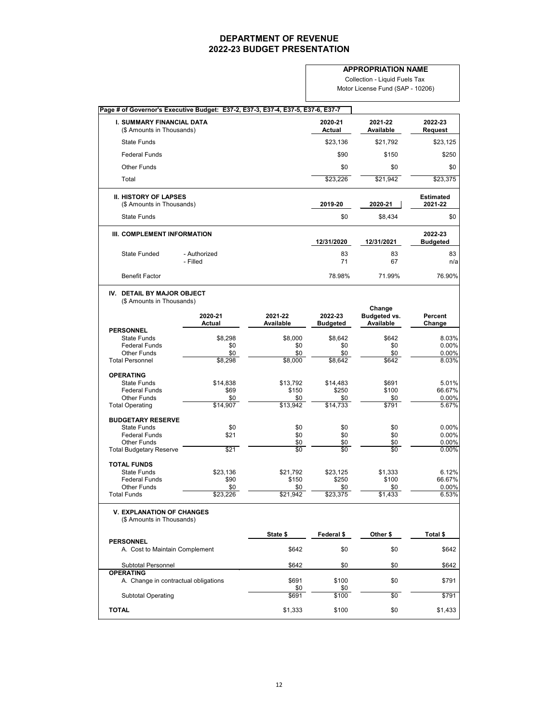**Page # of Governor's Executive Budget: E37-2, E37-3, E37-4, E37-5, E37-6, E37-7 I. SUMMARY FINANCIAL DATA 2020-21 2021-22 2022-23** (\$ Amounts in Thousands) **Actual Available Request** State Funds \$23,136 \$21,792 \$23,125 Federal Funds \$90 \$150 \$250 Other Funds \$0 \$0 \$0 Total \$23,375 \$23,375 \$23,375 \$23,226 \$21,942 \$23,375 \$23,375 \$23,375 \$23,375 \$23,375 **II. HISTORY OF LAPSES Estimated** (\$ Amounts in Thousands) **2019-20 2020-21 2021-22** State Funds \$0 \$8,434 \$0 **III. COMPLEMENT INFORMATION 2022-23 12/31/2020 12/31/2021 Budgeted** State Funded - Authorized 83 83 83 - Filled 71 67 n/a Benefit Factor 76.90% 76.90% 76.90% 76.90% **IV. DETAIL BY MAJOR OBJECT** (\$ Amounts in Thousands) **Change 2020-21 2021-22 2022-23 Budgeted vs. Percent Budgeted PERSONNEL**<br>State Funds State Funds \$8,298 \$8,000 \$8,642 \$642 8.03% Federal Funds \$0 \$0 \$0 \$0 0.00% Other Funds \$0 \$0 \$0 \$0 0.00% Total Personnel **\$8,298** \$8,298 \$8,000 \$8,642 \$642 \$642 8.03% **OPERATING** State Funds \$14,838 \$13,792 \$14,483 \$691 5.01% Federal Funds \$69 \$150 \$250 \$100 66.67% Other Funds \$0 \$0 \$0 \$0 0.00% Total Operating **614,907** \$14,907 \$13,942 \$14,733 \$791 \$791 \$5.67% **BUDGETARY RESERVE** State Funds \$0 \$0 \$0 \$0 0.00% Federal Funds \$21 \$0 \$0 \$0 0.00% Other Funds \$0 \$0 \$0 0.00% Total Budgetary Reserve **1988 1988 1988 1988 1989 1989 1989 1999 1999 1999 1999 1999 1999 1999 1999 1999 1999 1999 1999 1999 1999 1999 1999 1999 1999 1999 1999 1999 1 TOTAL FUNDS** State Funds \$23,136 \$21,792 \$23,125 \$1,333 6.12% Federal Funds \$90 \$150 \$250 \$100 66.67% Other Funds \$0 \$0 \$0 \$0 0.00% Total Funds \$23,226 \$21,942 \$23,375 \$1,433 6.53% **V. EXPLANATION OF CHANGES** (\$ Amounts in Thousands) **State \$ Federal \$ Other \$ Total \$ PERSONNEL**

| <b>Subtotal Personnel</b>            | \$642   | \$0   | \$0 | \$642   |
|--------------------------------------|---------|-------|-----|---------|
| <b>OPERATING</b>                     |         |       |     |         |
| A. Change in contractual obligations | \$691   | \$100 | \$0 | \$791   |
|                                      | \$0     | \$0   |     |         |
| <b>Subtotal Operating</b>            | \$691   | \$100 | \$0 | \$791   |
|                                      |         |       |     |         |
| <b>TOTAL</b>                         | \$1,333 | \$100 | \$0 | \$1,433 |
|                                      |         |       |     |         |

#### **APPROPRIATION NAME**

Collection - Liquid Fuels Tax Motor License Fund (SAP - 10206)

12

A. Cost to Maintain Complement  $$642$   $$0$   $$642$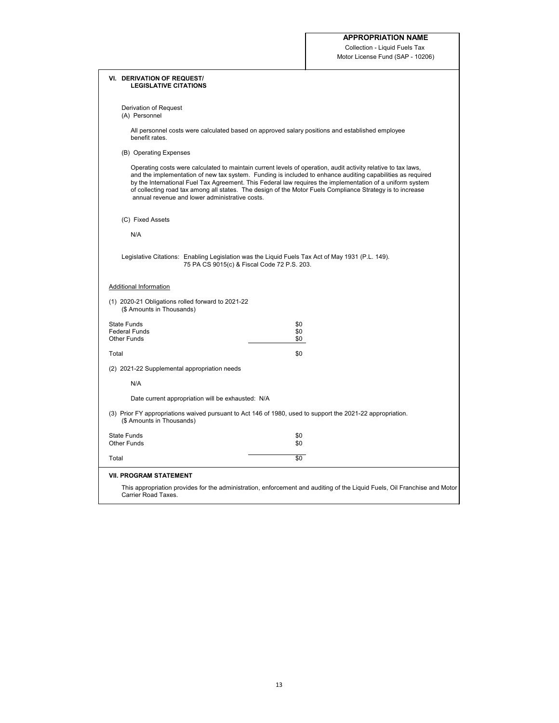Collection - Liquid Fuels Tax Motor License Fund (SAP - 10206)

| <b>VI. DERIVATION OF REQUEST/</b><br><b>LEGISLATIVE CITATIONS</b>              |                                                                                                                                                                                                                                                                                                                                                                                                                                                       |  |  |  |  |  |  |  |
|--------------------------------------------------------------------------------|-------------------------------------------------------------------------------------------------------------------------------------------------------------------------------------------------------------------------------------------------------------------------------------------------------------------------------------------------------------------------------------------------------------------------------------------------------|--|--|--|--|--|--|--|
| Derivation of Request<br>(A) Personnel                                         |                                                                                                                                                                                                                                                                                                                                                                                                                                                       |  |  |  |  |  |  |  |
| benefit rates.                                                                 | All personnel costs were calculated based on approved salary positions and established employee                                                                                                                                                                                                                                                                                                                                                       |  |  |  |  |  |  |  |
| (B) Operating Expenses                                                         |                                                                                                                                                                                                                                                                                                                                                                                                                                                       |  |  |  |  |  |  |  |
| annual revenue and lower administrative costs.                                 | Operating costs were calculated to maintain current levels of operation, audit activity relative to tax laws,<br>and the implementation of new tax system. Funding is included to enhance auditing capabilities as required<br>by the International Fuel Tax Agreement. This Federal law requires the implementation of a uniform system<br>of collecting road tax among all states. The design of the Motor Fuels Compliance Strategy is to increase |  |  |  |  |  |  |  |
| (C) Fixed Assets                                                               |                                                                                                                                                                                                                                                                                                                                                                                                                                                       |  |  |  |  |  |  |  |
| N/A                                                                            |                                                                                                                                                                                                                                                                                                                                                                                                                                                       |  |  |  |  |  |  |  |
|                                                                                | Legislative Citations: Enabling Legislation was the Liquid Fuels Tax Act of May 1931 (P.L. 149).<br>75 PA CS 9015(c) & Fiscal Code 72 P.S. 203.                                                                                                                                                                                                                                                                                                       |  |  |  |  |  |  |  |
| <b>Additional Information</b>                                                  |                                                                                                                                                                                                                                                                                                                                                                                                                                                       |  |  |  |  |  |  |  |
| (1) 2020-21 Obligations rolled forward to 2021-22<br>(\$ Amounts in Thousands) |                                                                                                                                                                                                                                                                                                                                                                                                                                                       |  |  |  |  |  |  |  |
| <b>State Funds</b><br><b>Federal Funds</b><br><b>Other Funds</b>               | \$0<br>\$0<br>\$0                                                                                                                                                                                                                                                                                                                                                                                                                                     |  |  |  |  |  |  |  |
| Total                                                                          | \$0                                                                                                                                                                                                                                                                                                                                                                                                                                                   |  |  |  |  |  |  |  |
| (2) 2021-22 Supplemental appropriation needs                                   |                                                                                                                                                                                                                                                                                                                                                                                                                                                       |  |  |  |  |  |  |  |
| N/A                                                                            |                                                                                                                                                                                                                                                                                                                                                                                                                                                       |  |  |  |  |  |  |  |
| Date current appropriation will be exhausted: N/A                              |                                                                                                                                                                                                                                                                                                                                                                                                                                                       |  |  |  |  |  |  |  |
| (\$ Amounts in Thousands)                                                      | (3) Prior FY appropriations waived pursuant to Act 146 of 1980, used to support the 2021-22 appropriation.                                                                                                                                                                                                                                                                                                                                            |  |  |  |  |  |  |  |
| <b>State Funds</b><br><b>Other Funds</b>                                       | \$0<br>\$0                                                                                                                                                                                                                                                                                                                                                                                                                                            |  |  |  |  |  |  |  |
| Total                                                                          | \$0                                                                                                                                                                                                                                                                                                                                                                                                                                                   |  |  |  |  |  |  |  |
| <b>VII. PROGRAM STATEMENT</b>                                                  |                                                                                                                                                                                                                                                                                                                                                                                                                                                       |  |  |  |  |  |  |  |
| <b>Carrier Road Taxes.</b>                                                     | This appropriation provides for the administration, enforcement and auditing of the Liquid Fuels, Oil Franchise and Motor                                                                                                                                                                                                                                                                                                                             |  |  |  |  |  |  |  |

13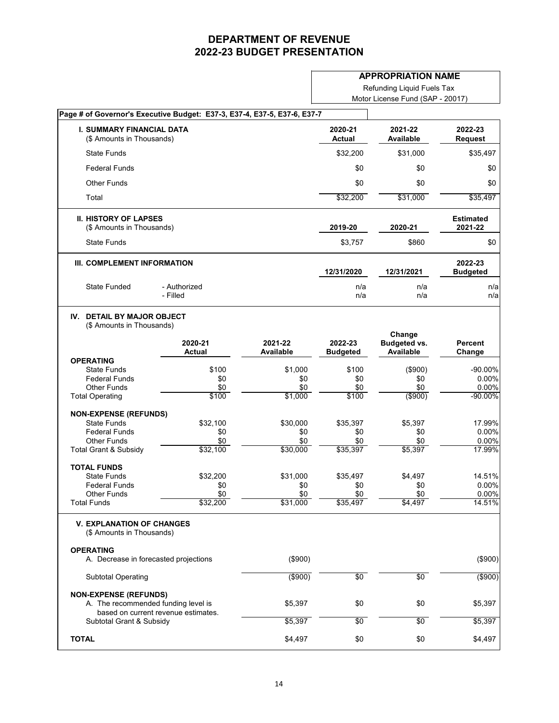#### **APPROPRIATION NAME**

Refunding Liquid Fuels Tax

| Motor License Fund (SAP - 20017) |  |  |
|----------------------------------|--|--|
|                                  |  |  |

| Page # of Governor's Executive Budget: E37-3, E37-4, E37-5, E37-6, E37-7 |                                                                                                            |                          |                             |                            |                                         |                             |
|--------------------------------------------------------------------------|------------------------------------------------------------------------------------------------------------|--------------------------|-----------------------------|----------------------------|-----------------------------------------|-----------------------------|
|                                                                          | <b>I. SUMMARY FINANCIAL DATA</b><br>(\$ Amounts in Thousands)                                              |                          |                             | 2020-21<br><b>Actual</b>   | 2021-22<br><b>Available</b>             | 2022-23<br><b>Request</b>   |
|                                                                          | <b>State Funds</b>                                                                                         |                          |                             | \$32,200                   | \$31,000                                | \$35,497                    |
|                                                                          | <b>Federal Funds</b>                                                                                       |                          |                             | \$0                        | \$0                                     | \$0                         |
|                                                                          | <b>Other Funds</b>                                                                                         |                          |                             | \$0                        | \$0                                     | \$0                         |
| Total                                                                    |                                                                                                            |                          |                             | \$32,200                   | \$31,000                                | \$35,497                    |
|                                                                          | <b>II. HISTORY OF LAPSES</b><br>(\$ Amounts in Thousands)                                                  |                          |                             | 2019-20                    | 2020-21                                 | <b>Estimated</b><br>2021-22 |
|                                                                          | <b>State Funds</b>                                                                                         |                          |                             | \$3,757                    | \$860                                   | \$0                         |
|                                                                          | III. COMPLEMENT INFORMATION                                                                                |                          |                             | 12/31/2020                 | 12/31/2021                              | 2022-23<br><b>Budgeted</b>  |
|                                                                          | <b>State Funded</b>                                                                                        | - Authorized<br>- Filled |                             | n/a<br>n/a                 | n/a<br>n/a                              | n/a<br>n/a                  |
| IV.                                                                      | <b>DETAIL BY MAJOR OBJECT</b><br>(\$ Amounts in Thousands)                                                 |                          |                             |                            | Change                                  |                             |
|                                                                          |                                                                                                            | 2020-21<br><b>Actual</b> | 2021-22<br><b>Available</b> | 2022-23<br><b>Budgeted</b> | <b>Budgeted vs.</b><br><b>Available</b> | <b>Percent</b><br>Change    |
| <b>OPERATING</b>                                                         |                                                                                                            |                          |                             |                            |                                         |                             |
|                                                                          | <b>State Funds</b>                                                                                         | \$100                    | \$1,000                     | \$100                      | (\$900)                                 | -90.00%                     |
|                                                                          | <b>Federal Funds</b>                                                                                       | \$0                      | \$0                         | \$0                        | \$0                                     | 0.00%                       |
| <b>Total Operating</b>                                                   | <b>Other Funds</b>                                                                                         | \$0<br>\$100             | \$0<br>\$1,000              | \$0<br>\$100               | \$0<br>( \$900)                         | 0.00%<br>$-90.00\%$         |
|                                                                          | <b>NON-EXPENSE (REFUNDS)</b>                                                                               |                          |                             |                            |                                         |                             |
|                                                                          | <b>State Funds</b>                                                                                         | \$32,100                 | \$30,000                    | \$35,397                   | \$5,397                                 | 17.99%                      |
|                                                                          | <b>Federal Funds</b>                                                                                       | \$0                      | \$0                         | \$0                        | \$0                                     | 0.00%                       |
|                                                                          | Other Funds                                                                                                | \$0                      | \$0                         | \$0                        | \$0                                     | 0.00%                       |
|                                                                          | <b>Total Grant &amp; Subsidy</b>                                                                           | \$32,100                 | \$30,000                    | \$35,397                   | \$5,397                                 | 17.99%                      |
| <b>TOTAL FUNDS</b>                                                       |                                                                                                            |                          |                             |                            |                                         |                             |
|                                                                          | <b>State Funds</b>                                                                                         | \$32,200                 | \$31,000                    | \$35,497                   | \$4,497                                 | 14.51%                      |
|                                                                          | <b>Federal Funds</b>                                                                                       | \$0                      | \$0                         | \$0                        | \$0                                     | 0.00%                       |
| <b>Total Funds</b>                                                       | <b>Other Funds</b>                                                                                         | \$0<br>\$32,200          | \$0<br>\$31,000             | \$0<br>\$35,497            | \$0<br>\$4,497                          | 0.00%<br>14.51%             |
| <b>OPERATING</b>                                                         | <b>V. EXPLANATION OF CHANGES</b><br>(\$ Amounts in Thousands)                                              |                          |                             |                            |                                         |                             |
|                                                                          | A. Decrease in forecasted projections                                                                      |                          | (\$900)                     |                            |                                         | (\$900)                     |
|                                                                          | <b>Subtotal Operating</b>                                                                                  |                          | $($ \$900)                  | $\overline{50}$            | $\overline{50}$                         | $($ \$900)                  |
|                                                                          | <b>NON-EXPENSE (REFUNDS)</b><br>A. The recommended funding level is<br>based on current revenue estimates. |                          | \$5,397                     | \$0                        | \$0                                     | \$5,397                     |
|                                                                          | Subtotal Grant & Subsidy                                                                                   |                          | \$5,397                     | $\overline{50}$            | $\overline{50}$                         | \$5,397                     |
| <b>TOTAL</b>                                                             |                                                                                                            |                          | \$4,497                     | \$0                        | \$0                                     | \$4,497                     |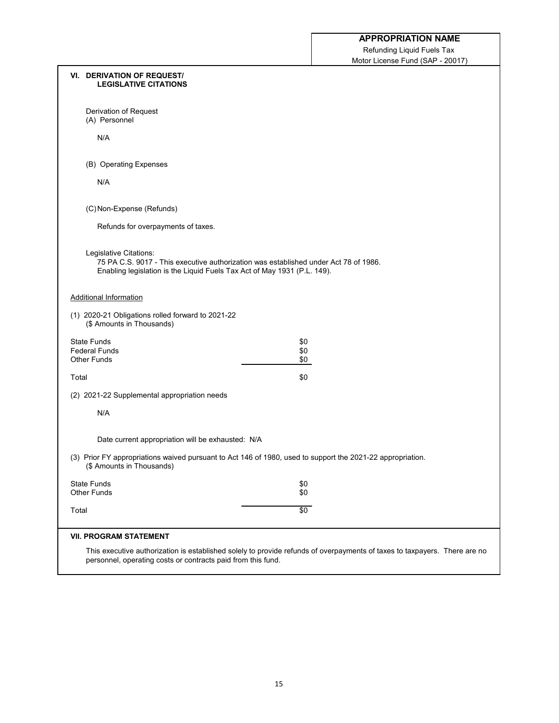Refunding Liquid Fuels Tax Motor License Fund (SAP - 20017)

| <b>LEGISLATIVE CITATIONS</b>                                                                                                                                                               |  |
|--------------------------------------------------------------------------------------------------------------------------------------------------------------------------------------------|--|
| Derivation of Request<br>(A) Personnel                                                                                                                                                     |  |
| N/A                                                                                                                                                                                        |  |
| (B) Operating Expenses                                                                                                                                                                     |  |
| N/A                                                                                                                                                                                        |  |
| (C) Non-Expense (Refunds)                                                                                                                                                                  |  |
| Refunds for overpayments of taxes.                                                                                                                                                         |  |
| Legislative Citations:<br>75 PA C.S. 9017 - This executive authorization was established under Act 78 of 1986.<br>Enabling legislation is the Liquid Fuels Tax Act of May 1931 (P.L. 149). |  |
| <b>Additional Information</b>                                                                                                                                                              |  |
| (1) 2020-21 Obligations rolled forward to 2021-22<br>(\$ Amounts in Thousands)                                                                                                             |  |
| <b>State Funds</b><br>\$0<br><b>Federal Funds</b><br>\$0                                                                                                                                   |  |
| <b>Other Funds</b><br>\$0                                                                                                                                                                  |  |
| Total<br>\$0                                                                                                                                                                               |  |
| (2) 2021-22 Supplemental appropriation needs                                                                                                                                               |  |
| N/A                                                                                                                                                                                        |  |
| Date current appropriation will be exhausted: N/A                                                                                                                                          |  |
| (3) Prior FY appropriations waived pursuant to Act 146 of 1980, used to support the 2021-22 appropriation.<br>(\$ Amounts in Thousands)                                                    |  |
| <b>State Funds</b><br>\$0                                                                                                                                                                  |  |
| <b>Other Funds</b><br>\$0                                                                                                                                                                  |  |
| $\sqrt{6}$<br>Total                                                                                                                                                                        |  |
| <b>VII. PROGRAM STATEMENT</b>                                                                                                                                                              |  |
| This executive authorization is established solely to provide refunds of overpayments of taxes to taxpayers. There are no<br>personnel, operating costs or contracts paid from this fund.  |  |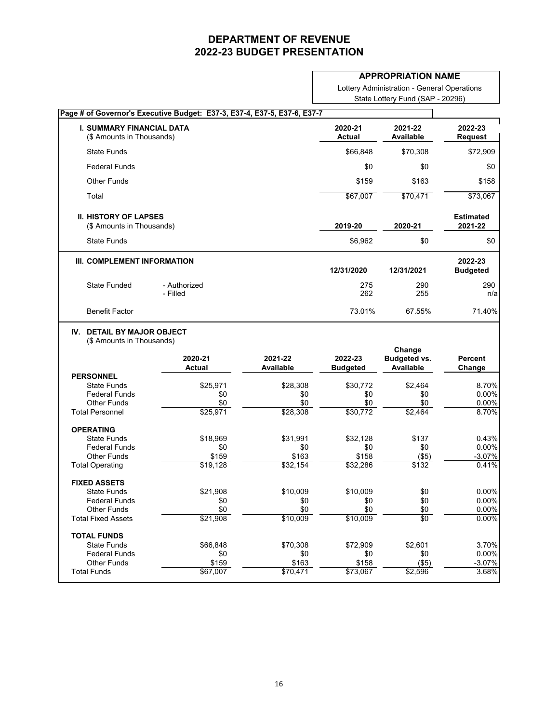#### **APPROPRIATION NAME**

Lottery Administration - General Operations State Lottery Fund (SAP - 20296)

| Page # of Governor's Executive Budget: E37-3, E37-4, E37-5, E37-6, E37-7 |                          |                             |                            |                                                   |                             |
|--------------------------------------------------------------------------|--------------------------|-----------------------------|----------------------------|---------------------------------------------------|-----------------------------|
| <b>I. SUMMARY FINANCIAL DATA</b><br>(\$ Amounts in Thousands)            |                          |                             | 2020-21<br><b>Actual</b>   | 2021-22<br><b>Available</b>                       | 2022-23<br><b>Request</b>   |
| <b>State Funds</b>                                                       |                          |                             | \$66,848                   | \$70,308                                          | \$72,909                    |
| <b>Federal Funds</b>                                                     |                          |                             | \$0                        | \$0                                               | \$0                         |
| <b>Other Funds</b>                                                       |                          |                             | \$159                      | \$163                                             | \$158                       |
| Total                                                                    |                          |                             | \$67,007                   | \$70,471                                          | \$73,067                    |
| <b>II. HISTORY OF LAPSES</b><br>(\$ Amounts in Thousands)                |                          |                             | 2019-20                    | 2020-21                                           | <b>Estimated</b><br>2021-22 |
| <b>State Funds</b>                                                       |                          |                             | \$6,962                    | \$0                                               | \$0                         |
| III. COMPLEMENT INFORMATION                                              |                          |                             | 12/31/2020                 | 12/31/2021                                        | 2022-23<br><b>Budgeted</b>  |
| <b>State Funded</b>                                                      | - Authorized<br>- Filled |                             | 275<br>262                 | 290<br>255                                        | 290<br>n/a                  |
| <b>Benefit Factor</b>                                                    |                          |                             | 73.01%                     | 67.55%                                            | 71.40%                      |
|                                                                          | 2020-21<br><b>Actual</b> | 2021-22<br><b>Available</b> | 2022-23<br><b>Budgeted</b> | Change<br><b>Budgeted vs.</b><br><b>Available</b> | <b>Percent</b><br>Change    |
| <b>PERSONNEL</b><br><b>State Funds</b>                                   | \$25,971                 | \$28,308                    | \$30,772                   | \$2,464                                           | 8.70%                       |
| <b>Federal Funds</b><br><b>Other Funds</b>                               | \$0                      | \$0                         | \$0                        | \$0                                               | 0.00%                       |
| <b>Total Personnel</b>                                                   | \$0<br>\$25,971          | \$0<br>\$28,308             | \$0<br>\$30,772            | \$0<br>\$2,464                                    | 0.00%<br>8.70%              |
| <b>OPERATING</b>                                                         |                          |                             |                            |                                                   |                             |
| <b>State Funds</b>                                                       | \$18,969                 | \$31,991                    | \$32,128                   | \$137                                             | 0.43%                       |
| <b>Federal Funds</b><br><b>Other Funds</b>                               | \$0<br>\$159             | \$0<br>\$163                | \$0<br>\$158               | \$0<br>(\$5)                                      | 0.00%<br>$-3.07%$           |
| <b>Total Operating</b>                                                   | \$19,128                 | \$32,154                    | \$32,286                   | \$132                                             | 0.41%                       |
| <b>FIXED ASSETS</b>                                                      |                          |                             |                            |                                                   |                             |
| <b>State Funds</b>                                                       | \$21,908                 | \$10,009                    | \$10,009                   | \$0                                               | 0.00%                       |
| <b>Federal Funds</b><br><b>Other Funds</b>                               | \$0<br>\$0               | \$0<br>\$0                  | \$0<br>\$0                 | \$0                                               | 0.00%<br>0.00%              |
| <b>Total Fixed Assets</b>                                                | \$21,908                 | \$10,009                    | \$10,009                   | \$0<br>\$0                                        | 0.00%                       |
| <b>TOTAL FUNDS</b>                                                       |                          |                             |                            |                                                   |                             |
| <b>State Funds</b>                                                       | \$66,848                 | \$70,308                    | \$72,909                   | \$2,601                                           | 3.70%                       |
| <b>Federal Funds</b><br><b>Other Funds</b>                               | \$0                      | \$0                         | \$0<br>\$158               | \$0                                               | 0.00%<br>$-3.07%$           |
| <b>Total Funds</b>                                                       | \$159<br>\$67,007        | \$163<br>\$70,471           | \$73,067                   | (\$5)<br>\$2,596                                  | 3.68%                       |
|                                                                          |                          |                             |                            |                                                   |                             |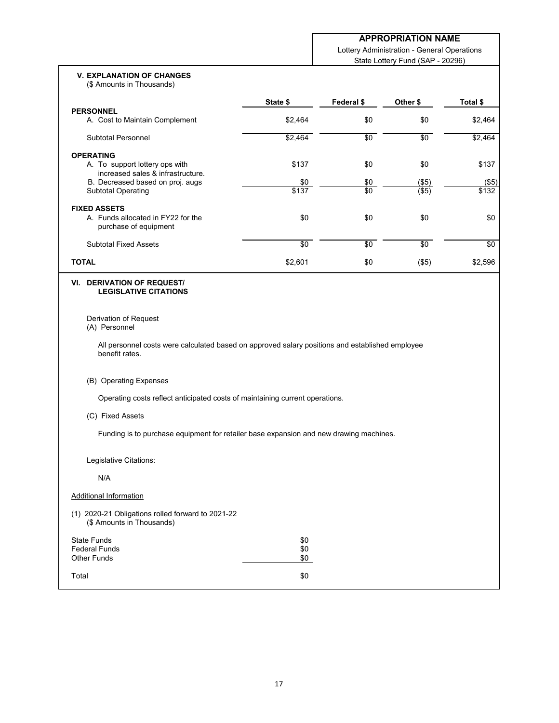Lottery Administration - General Operations State Lottery Fund (SAP - 20296)

#### **V. EXPLANATION OF CHANGES** (\$ Amounts in Thousands)

|                                                                     | State \$   | Federal \$ | Other \$   | Total \$        |
|---------------------------------------------------------------------|------------|------------|------------|-----------------|
| <b>PERSONNEL</b>                                                    |            |            |            |                 |
| A. Cost to Maintain Complement                                      | \$2,464    | \$0        | \$0        | \$2,464         |
| <b>Subtotal Personnel</b>                                           | \$2,464    | $\sqrt{6}$ | $\sqrt{6}$ | \$2,464         |
| <b>OPERATING</b>                                                    |            |            |            |                 |
| A. To support lottery ops with<br>increased sales & infrastructure. | \$137      | \$0        | \$0        | \$137           |
| B. Decreased based on proj. augs                                    | \$0        | \$0        | (\$5)      | $(\$5)$         |
| <b>Subtotal Operating</b>                                           | \$137      | $\sqrt{6}$ | $($ \$5)   | \$132           |
| <b>FIXED ASSETS</b>                                                 |            |            |            |                 |
| A. Funds allocated in FY22 for the<br>purchase of equipment         | \$0        | \$0        | \$0        | \$0             |
| <b>Subtotal Fixed Assets</b>                                        | $\sqrt{6}$ | \$0        | $\sqrt{6}$ | $\overline{30}$ |
| <b>TOTAL</b>                                                        | \$2,601    | \$0        | $($ \$5)   | \$2,596         |
|                                                                     |            |            |            |                 |

#### **VI. DERIVATION OF REQUEST/ LEGISLATIVE CITATIONS**

Derivation of Request (A) Personnel

All personnel costs were calculated based on approved salary positions and established employee benefit rates.

#### (B) Operating Expenses

Operating costs reflect anticipated costs of maintaining current operations.

#### (C) Fixed Assets

Funding is to purchase equipment for retailer base expansion and new drawing machines.

Legislative Citations:

N/A

### Additional Information

(1) 2020-21 Obligations rolled forward to 2021-22 (\$ Amounts in Thousands)

| <b>State Funds</b>   | \$0 |
|----------------------|-----|
| <b>Federal Funds</b> | \$0 |
| <b>Other Funds</b>   | \$0 |
| Total                | \$0 |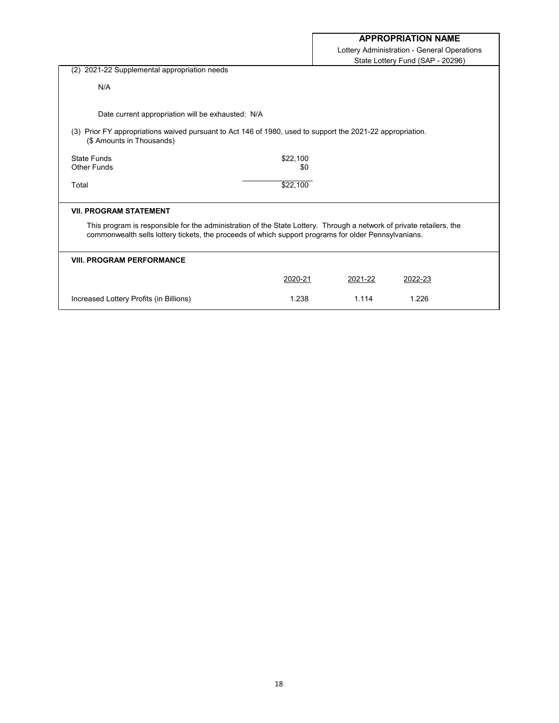|                                                                                                                                                                                                                              |                 | Lottery Administration - General Operations |                                  |  |
|------------------------------------------------------------------------------------------------------------------------------------------------------------------------------------------------------------------------------|-----------------|---------------------------------------------|----------------------------------|--|
|                                                                                                                                                                                                                              |                 |                                             | State Lottery Fund (SAP - 20296) |  |
| 2021-22 Supplemental appropriation needs<br>(2)                                                                                                                                                                              |                 |                                             |                                  |  |
| N/A                                                                                                                                                                                                                          |                 |                                             |                                  |  |
| Date current appropriation will be exhausted: N/A                                                                                                                                                                            |                 |                                             |                                  |  |
| (3) Prior FY appropriations waived pursuant to Act 146 of 1980, used to support the 2021-22 appropriation.<br>(\$ Amounts in Thousands)                                                                                      |                 |                                             |                                  |  |
| State Funds<br><b>Other Funds</b>                                                                                                                                                                                            | \$22,100<br>\$0 |                                             |                                  |  |
|                                                                                                                                                                                                                              |                 |                                             |                                  |  |
| Total                                                                                                                                                                                                                        | \$22,100        |                                             |                                  |  |
| <b>VII. PROGRAM STATEMENT</b>                                                                                                                                                                                                |                 |                                             |                                  |  |
| This program is responsible for the administration of the State Lottery. Through a network of private retailers, the<br>commonwealth sells lottery tickets, the proceeds of which support programs for older Pennsylvanians. |                 |                                             |                                  |  |
| <b>VIII. PROGRAM PERFORMANCE</b>                                                                                                                                                                                             |                 |                                             |                                  |  |
|                                                                                                                                                                                                                              | 2020-21         | 2021-22                                     | 2022-23                          |  |
| Increased Lottery Profits (in Billions)                                                                                                                                                                                      | 1.238           | 1.114                                       | 1.226                            |  |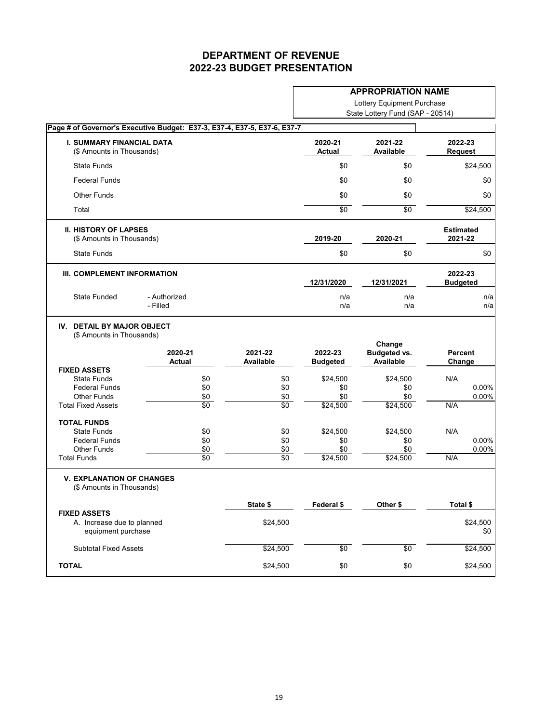|                                                                         |                                                                          |                             | <b>APPROPRIATION NAME</b><br>Lottery Equipment Purchase |                                                   |                             |
|-------------------------------------------------------------------------|--------------------------------------------------------------------------|-----------------------------|---------------------------------------------------------|---------------------------------------------------|-----------------------------|
|                                                                         |                                                                          |                             |                                                         |                                                   |                             |
|                                                                         |                                                                          |                             |                                                         | State Lottery Fund (SAP - 20514)                  |                             |
|                                                                         | Page # of Governor's Executive Budget: E37-3, E37-4, E37-5, E37-6, E37-7 |                             |                                                         |                                                   |                             |
| <b>I. SUMMARY FINANCIAL DATA</b><br>(\$ Amounts in Thousands)           |                                                                          |                             | 2020-21<br><b>Actual</b>                                | 2021-22<br><b>Available</b>                       | 2022-23<br><b>Request</b>   |
| <b>State Funds</b>                                                      |                                                                          |                             | \$0                                                     | \$0                                               | \$24,500                    |
| <b>Federal Funds</b>                                                    |                                                                          |                             | \$0                                                     | \$0                                               | \$0                         |
| <b>Other Funds</b>                                                      |                                                                          |                             | \$0                                                     | \$0                                               | \$0                         |
| Total                                                                   |                                                                          |                             | $\overline{50}$                                         | $\overline{50}$                                   | \$24,500                    |
| <b>II. HISTORY OF LAPSES</b><br>(\$ Amounts in Thousands)               |                                                                          |                             | 2019-20                                                 | 2020-21                                           | <b>Estimated</b><br>2021-22 |
| <b>State Funds</b>                                                      |                                                                          |                             | \$0                                                     | \$0                                               | \$0                         |
| III. COMPLEMENT INFORMATION                                             |                                                                          |                             | 12/31/2020                                              | 12/31/2021                                        | 2022-23<br><b>Budgeted</b>  |
| <b>State Funded</b>                                                     | - Authorized<br>- Filled                                                 |                             | n/a<br>n/a                                              | n/a<br>n/a                                        | n/a<br>n/a                  |
| (\$ Amounts in Thousands)                                               | 2020-21<br><b>Actual</b>                                                 | 2021-22<br><b>Available</b> | 2022-23<br><b>Budgeted</b>                              | Change<br><b>Budgeted vs.</b><br><b>Available</b> | <b>Percent</b><br>Change    |
| <b>FIXED ASSETS</b>                                                     |                                                                          |                             |                                                         |                                                   |                             |
| <b>State Funds</b><br><b>Federal Funds</b>                              | \$0                                                                      | \$0                         | \$24,500                                                | \$24,500                                          | N/A<br>0.00%                |
| <b>Other Funds</b>                                                      | \$0<br>\$0                                                               | \$0<br>\$0                  | \$0<br>\$0                                              | \$0<br>\$0                                        | 0.00%                       |
| <b>Total Fixed Assets</b>                                               | $\sqrt{6}$                                                               | $\sqrt{6}$                  | \$24,500                                                | \$24,500                                          | N/A                         |
| <b>TOTAL FUNDS</b>                                                      |                                                                          |                             |                                                         |                                                   |                             |
| <b>State Funds</b>                                                      | \$0                                                                      | \$0                         | \$24,500                                                | \$24,500                                          | N/A                         |
| <b>Federal Funds</b>                                                    | \$0                                                                      | \$0                         | \$0                                                     | \$0                                               | $0.00\%$                    |
| <b>Other Funds</b>                                                      | \$0                                                                      | \$0                         | \$0                                                     | \$0                                               | 0.00%                       |
| <b>Total Funds</b>                                                      | \$0                                                                      | $\overline{50}$             | \$24,500                                                | \$24,500                                          | N/A                         |
| <b>V. EXPLANATION OF CHANGES</b><br>(\$ Amounts in Thousands)           |                                                                          |                             |                                                         |                                                   |                             |
|                                                                         |                                                                          | State \$                    | Federal \$                                              | Other \$                                          | Total \$                    |
| <b>FIXED ASSETS</b><br>A. Increase due to planned<br>equipment purchase |                                                                          | \$24,500                    |                                                         |                                                   | \$24,500<br>\$0             |
| <b>Subtotal Fixed Assets</b>                                            |                                                                          | \$24,500                    | \$0                                                     | \$0                                               | \$24,500                    |
| <b>TOTAL</b>                                                            |                                                                          | \$24,500                    | \$0                                                     | \$0                                               | \$24,500                    |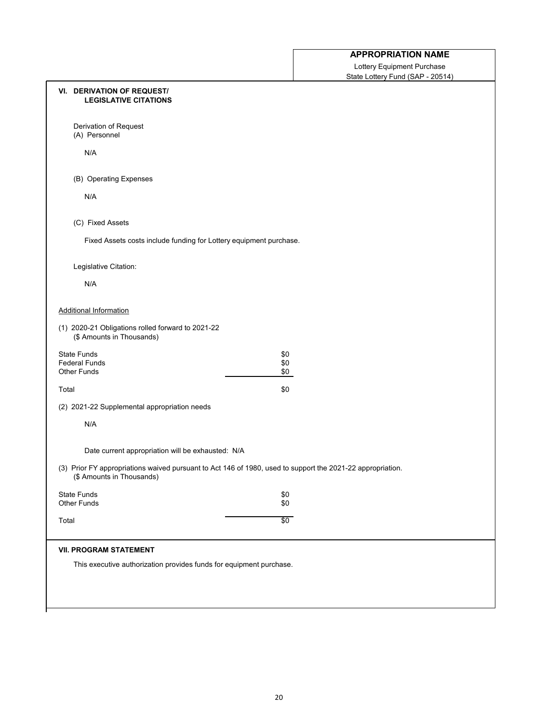Lottery Equipment Purchase State Lottery Fund (SAP - 20514)

|       | <b>VI. DERIVATION OF REQUEST/</b><br><b>LEGISLATIVE CITATIONS</b>              |                                                                                                            |  |
|-------|--------------------------------------------------------------------------------|------------------------------------------------------------------------------------------------------------|--|
|       | Derivation of Request<br>(A) Personnel                                         |                                                                                                            |  |
|       | N/A                                                                            |                                                                                                            |  |
|       | (B) Operating Expenses                                                         |                                                                                                            |  |
|       | N/A                                                                            |                                                                                                            |  |
|       | (C) Fixed Assets                                                               |                                                                                                            |  |
|       | Fixed Assets costs include funding for Lottery equipment purchase.             |                                                                                                            |  |
|       | Legislative Citation:                                                          |                                                                                                            |  |
|       | N/A                                                                            |                                                                                                            |  |
|       | <b>Additional Information</b>                                                  |                                                                                                            |  |
|       | (1) 2020-21 Obligations rolled forward to 2021-22<br>(\$ Amounts in Thousands) |                                                                                                            |  |
|       | <b>State Funds</b><br><b>Federal Funds</b>                                     | \$0<br>\$0                                                                                                 |  |
|       | <b>Other Funds</b>                                                             | \$0                                                                                                        |  |
| Total |                                                                                | \$0                                                                                                        |  |
|       | (2) 2021-22 Supplemental appropriation needs                                   |                                                                                                            |  |
|       | N/A                                                                            |                                                                                                            |  |
|       | Date current appropriation will be exhausted: N/A                              |                                                                                                            |  |
|       | (\$ Amounts in Thousands)                                                      | (3) Prior FY appropriations waived pursuant to Act 146 of 1980, used to support the 2021-22 appropriation. |  |
|       | <b>State Funds</b><br><b>Other Funds</b>                                       | \$0<br>\$0                                                                                                 |  |
| Total |                                                                                | \$0                                                                                                        |  |
|       | <b>VII. PROGRAM STATEMENT</b>                                                  |                                                                                                            |  |
|       | This executive authorization provides funds for equipment purchase.            |                                                                                                            |  |
|       |                                                                                |                                                                                                            |  |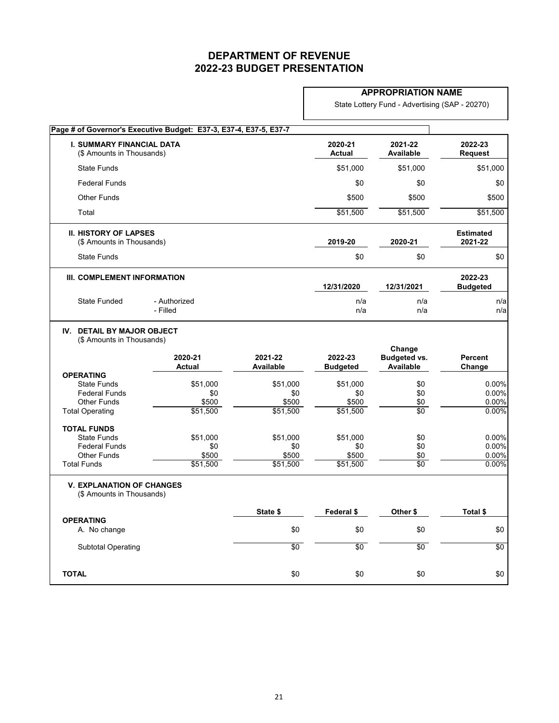### **APPROPRIATION NAME**

State Lottery Fund - Advertising (SAP - 20270)

|                                                                                                                | Page # of Governor's Executive Budget: E37-3, E37-4, E37-5, E37-7 |                                      |                                      |                                                   |                                  |
|----------------------------------------------------------------------------------------------------------------|-------------------------------------------------------------------|--------------------------------------|--------------------------------------|---------------------------------------------------|----------------------------------|
| <b>I. SUMMARY FINANCIAL DATA</b><br>(\$ Amounts in Thousands)                                                  |                                                                   |                                      | 2020-21<br><b>Actual</b>             | 2021-22<br><b>Available</b>                       | 2022-23<br><b>Request</b>        |
| <b>State Funds</b>                                                                                             |                                                                   |                                      | \$51,000                             | \$51,000                                          | \$51,000                         |
| <b>Federal Funds</b>                                                                                           |                                                                   |                                      | \$0                                  | \$0                                               | \$0                              |
| <b>Other Funds</b>                                                                                             |                                                                   |                                      | \$500                                | \$500                                             | \$500                            |
| Total                                                                                                          |                                                                   |                                      | \$51,500                             | \$51,500                                          | \$51,500                         |
| <b>II. HISTORY OF LAPSES</b><br>(\$ Amounts in Thousands)                                                      |                                                                   |                                      | 2019-20                              | 2020-21                                           | <b>Estimated</b><br>2021-22      |
| <b>State Funds</b>                                                                                             |                                                                   |                                      | \$0                                  | \$0                                               | \$0                              |
| III. COMPLEMENT INFORMATION                                                                                    |                                                                   |                                      | 12/31/2020                           | 12/31/2021                                        | 2022-23<br><b>Budgeted</b>       |
| <b>State Funded</b>                                                                                            | - Authorized<br>- Filled                                          |                                      | n/a<br>n/a                           | n/a<br>n/a                                        | n/a<br>n/a                       |
| IV. DETAIL BY MAJOR OBJECT<br>(\$ Amounts in Thousands)                                                        | 2020-21<br><b>Actual</b>                                          | 2021-22<br><b>Available</b>          | 2022-23<br><b>Budgeted</b>           | Change<br><b>Budgeted vs.</b><br><b>Available</b> | <b>Percent</b><br>Change         |
| <b>OPERATING</b><br><b>State Funds</b><br><b>Federal Funds</b><br><b>Other Funds</b><br><b>Total Operating</b> | \$51,000<br>\$0<br>\$500<br>\$51,500                              | \$51,000<br>\$0<br>\$500<br>\$51,500 | \$51,000<br>\$0<br>\$500<br>\$51,500 | \$0<br>\$0<br>\$0<br>$\overline{50}$              | 0.00%<br>0.00%<br>0.00%<br>0.00% |
| <b>TOTAL FUNDS</b><br><b>State Funds</b><br><b>Federal Funds</b><br><b>Other Funds</b><br><b>Total Funds</b>   | \$51,000<br>\$0<br>\$500<br>\$51,500                              | \$51,000<br>\$0<br>\$500<br>\$51,500 | \$51,000<br>\$0<br>\$500<br>\$51,500 | \$0<br>\$0<br><u>\$0</u><br>$\overline{50}$       | 0.00%<br>0.00%<br>0.00%<br>0.00% |
| <b>V. EXPLANATION OF CHANGES</b><br>(\$ Amounts in Thousands)                                                  |                                                                   |                                      |                                      |                                                   |                                  |
| <b>OPERATING</b>                                                                                               |                                                                   | State \$                             | Federal \$                           | Other \$                                          | Total \$                         |
| A. No change                                                                                                   |                                                                   | \$0                                  | \$0                                  | \$0                                               | \$0                              |
| <b>Subtotal Operating</b>                                                                                      |                                                                   | $\sqrt{6}$                           | \$0                                  | \$0                                               | \$0                              |
| <b>TOTAL</b>                                                                                                   |                                                                   | \$0                                  | \$0                                  | \$0                                               | \$0                              |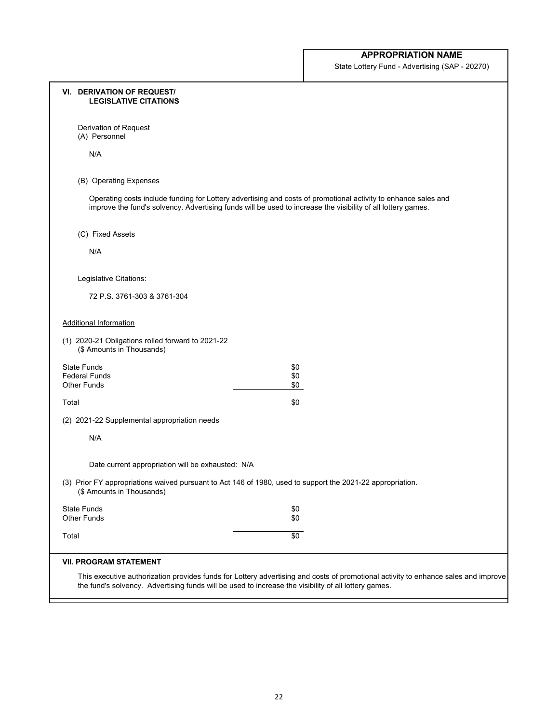State Lottery Fund - Advertising (SAP - 20270)

| <b>VI. DERIVATION OF REQUEST/</b><br><b>LEGISLATIVE CITATIONS</b>              |                                                                                                                                                                                                                                |
|--------------------------------------------------------------------------------|--------------------------------------------------------------------------------------------------------------------------------------------------------------------------------------------------------------------------------|
| Derivation of Request<br>(A) Personnel                                         |                                                                                                                                                                                                                                |
| N/A                                                                            |                                                                                                                                                                                                                                |
| (B) Operating Expenses                                                         |                                                                                                                                                                                                                                |
|                                                                                | Operating costs include funding for Lottery advertising and costs of promotional activity to enhance sales and<br>improve the fund's solvency. Advertising funds will be used to increase the visibility of all lottery games. |
| (C) Fixed Assets                                                               |                                                                                                                                                                                                                                |
| N/A                                                                            |                                                                                                                                                                                                                                |
| Legislative Citations:                                                         |                                                                                                                                                                                                                                |
| 72 P.S. 3761-303 & 3761-304                                                    |                                                                                                                                                                                                                                |
| <b>Additional Information</b>                                                  |                                                                                                                                                                                                                                |
| (1) 2020-21 Obligations rolled forward to 2021-22<br>(\$ Amounts in Thousands) |                                                                                                                                                                                                                                |
| <b>State Funds</b><br><b>Federal Funds</b>                                     | \$0<br>\$0                                                                                                                                                                                                                     |
| <b>Other Funds</b>                                                             | \$0                                                                                                                                                                                                                            |
| Total                                                                          | \$0                                                                                                                                                                                                                            |
| (2) 2021-22 Supplemental appropriation needs                                   |                                                                                                                                                                                                                                |
| N/A                                                                            |                                                                                                                                                                                                                                |
| Date current appropriation will be exhausted: N/A                              |                                                                                                                                                                                                                                |
| (\$ Amounts in Thousands)                                                      | (3) Prior FY appropriations waived pursuant to Act 146 of 1980, used to support the 2021-22 appropriation.                                                                                                                     |
| <b>State Funds</b><br><b>Other Funds</b>                                       | \$0<br>\$0                                                                                                                                                                                                                     |
| Total                                                                          | $\sqrt{6}$                                                                                                                                                                                                                     |
| <b>VII. PROGRAM STATEMENT</b>                                                  |                                                                                                                                                                                                                                |
|                                                                                | This executive authorization provides funds for Lottery advertising and costs of promotional activity to enhance sales and improve                                                                                             |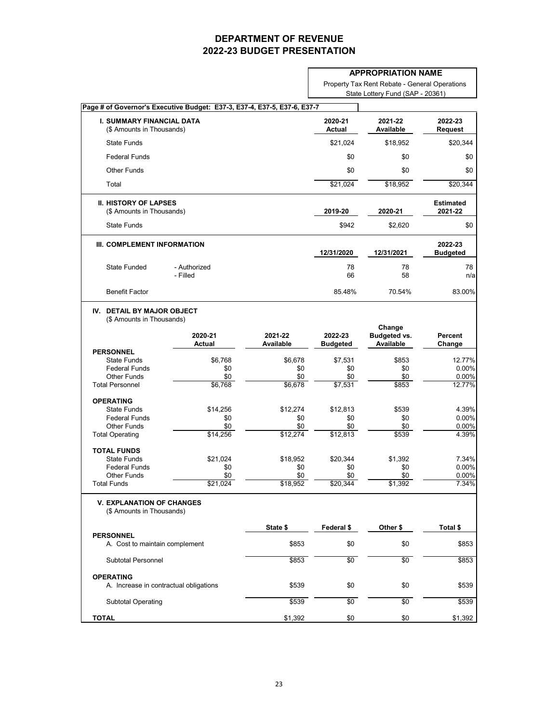|                                                               |                                                                          |                             |                            | <b>APPROPRIATION NAME</b>                         |                             |
|---------------------------------------------------------------|--------------------------------------------------------------------------|-----------------------------|----------------------------|---------------------------------------------------|-----------------------------|
|                                                               |                                                                          |                             |                            | Property Tax Rent Rebate - General Operations     |                             |
|                                                               |                                                                          |                             |                            | State Lottery Fund (SAP - 20361)                  |                             |
|                                                               | Page # of Governor's Executive Budget: E37-3, E37-4, E37-5, E37-6, E37-7 |                             |                            |                                                   |                             |
| <b>I. SUMMARY FINANCIAL DATA</b><br>(\$ Amounts in Thousands) |                                                                          |                             | 2020-21<br><b>Actual</b>   | 2021-22<br><b>Available</b>                       | 2022-23<br><b>Request</b>   |
| <b>State Funds</b>                                            |                                                                          |                             | \$21,024                   | \$18,952                                          | \$20,344                    |
| <b>Federal Funds</b>                                          |                                                                          |                             | \$0                        | \$0                                               | \$0                         |
| <b>Other Funds</b>                                            |                                                                          |                             | \$0                        | \$0                                               | \$0                         |
| Total                                                         |                                                                          |                             | \$21,024                   | \$18,952                                          | \$20,344                    |
| <b>II. HISTORY OF LAPSES</b><br>(\$ Amounts in Thousands)     |                                                                          |                             | 2019-20                    | 2020-21                                           | <b>Estimated</b><br>2021-22 |
| <b>State Funds</b>                                            |                                                                          |                             | \$942                      | \$2,620                                           | \$0                         |
| III. COMPLEMENT INFORMATION                                   |                                                                          |                             | 12/31/2020                 | 12/31/2021                                        | 2022-23<br><b>Budgeted</b>  |
| <b>State Funded</b>                                           | - Authorized<br>- Filled                                                 |                             | 78<br>66                   | 78<br>58                                          | 78<br>n/a                   |
| <b>Benefit Factor</b>                                         |                                                                          |                             | 85.48%                     | 70.54%                                            | 83.00%                      |
|                                                               | 2020-21<br><b>Actual</b>                                                 | 2021-22<br><b>Available</b> | 2022-23<br><b>Budgeted</b> | Change<br><b>Budgeted vs.</b><br><b>Available</b> | <b>Percent</b><br>Change    |
| <b>PERSONNEL</b><br><b>State Funds</b>                        | \$6,768                                                                  | \$6,678                     | \$7,531                    | \$853                                             | 12.77%                      |
| <b>Federal Funds</b>                                          | \$0                                                                      | \$0                         | \$0                        | \$0                                               | 0.00%                       |
| <b>Other Funds</b>                                            | \$0                                                                      | \$0                         | \$0                        | \$0                                               | 0.00%                       |
| <b>Total Personnel</b>                                        | \$6,768                                                                  | \$6,678                     | \$7,531                    | \$853                                             | 12.77%                      |
| <b>OPERATING</b>                                              |                                                                          |                             |                            |                                                   |                             |
| <b>State Funds</b><br><b>Federal Funds</b>                    | \$14,256<br>\$0                                                          | \$12,274<br>\$0             | \$12,813<br>\$0            | \$539<br>\$0                                      | 4.39%<br>0.00%              |
| <b>Other Funds</b>                                            | \$0                                                                      | \$0                         | \$0                        | \$0                                               | 0.00%                       |
| <b>Total Operating</b>                                        | \$14,256                                                                 | \$12,274                    | \$12,813                   | \$539                                             | 4.39%                       |
| <b>TOTAL FUNDS</b>                                            |                                                                          |                             |                            |                                                   |                             |
| <b>State Funds</b>                                            | \$21,024                                                                 | \$18,952                    | \$20,344                   | \$1,392                                           | 7.34%                       |
| <b>Federal Funds</b><br><b>Other Funds</b>                    | \$0<br>\$0                                                               | \$0<br>\$0                  | \$0<br>\$0                 | \$0<br>\$0                                        | 0.00%<br>0.00%              |
| <b>Total Funds</b>                                            | \$21,024                                                                 | \$18,952                    | \$20,344                   | \$1,392                                           | 7.34%                       |
| <b>V. EXPLANATION OF CHANGES</b><br>(\$ Amounts in Thousands) |                                                                          |                             |                            |                                                   |                             |
|                                                               |                                                                          | State \$                    | Federal \$                 | Other \$                                          | Total \$                    |
| <b>PERSONNEL</b><br>A. Cost to maintain complement            |                                                                          | \$853                       | \$0                        | \$0                                               | \$853                       |
| <b>Subtotal Personnel</b>                                     |                                                                          | \$853                       | $\sqrt{6}$                 | $\sqrt{6}$                                        | \$853                       |
| <b>OPERATING</b>                                              | A. Increase in contractual obligations                                   | \$539                       | \$0                        | \$0                                               | \$539                       |
| <b>Subtotal Operating</b>                                     |                                                                          | \$539                       | $\sqrt{6}$                 | \$0                                               | \$539                       |
| <b>TOTAL</b>                                                  |                                                                          | \$1,392                     | \$0                        | \$0                                               | \$1,392                     |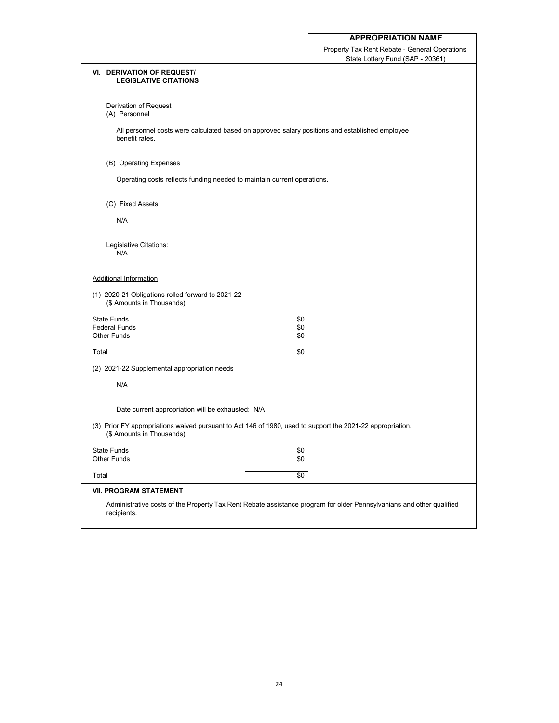Property Tax Rent Rebate - General Operations State Lottery Fund (SAP - 20361)

| <b>VI. DERIVATION OF REQUEST/</b><br><b>LEGISLATIVE CITATIONS</b> |                                                                                                                      |
|-------------------------------------------------------------------|----------------------------------------------------------------------------------------------------------------------|
| Derivation of Request<br>(A) Personnel                            |                                                                                                                      |
| benefit rates.                                                    | All personnel costs were calculated based on approved salary positions and established employee                      |
| (B) Operating Expenses                                            |                                                                                                                      |
|                                                                   | Operating costs reflects funding needed to maintain current operations.                                              |
| (C) Fixed Assets                                                  |                                                                                                                      |
| N/A                                                               |                                                                                                                      |
| Legislative Citations:<br>N/A                                     |                                                                                                                      |
| <b>Additional Information</b>                                     |                                                                                                                      |
| (\$ Amounts in Thousands)                                         | (1) 2020-21 Obligations rolled forward to 2021-22                                                                    |
| <b>State Funds</b>                                                | \$0                                                                                                                  |
| <b>Federal Funds</b><br><b>Other Funds</b>                        | \$0<br>\$0                                                                                                           |
| Total                                                             | \$0                                                                                                                  |
| (2) 2021-22 Supplemental appropriation needs                      |                                                                                                                      |
| N/A                                                               |                                                                                                                      |
|                                                                   | Date current appropriation will be exhausted: N/A                                                                    |
| (\$ Amounts in Thousands)                                         | (3) Prior FY appropriations waived pursuant to Act 146 of 1980, used to support the 2021-22 appropriation.           |
| <b>State Funds</b>                                                | \$0                                                                                                                  |
| <b>Other Funds</b>                                                | \$0                                                                                                                  |
| Total                                                             | $\sqrt{6}$                                                                                                           |
| <b>VII. PROGRAM STATEMENT</b>                                     |                                                                                                                      |
| recipients.                                                       | Administrative costs of the Property Tax Rent Rebate assistance program for older Pennsylvanians and other qualified |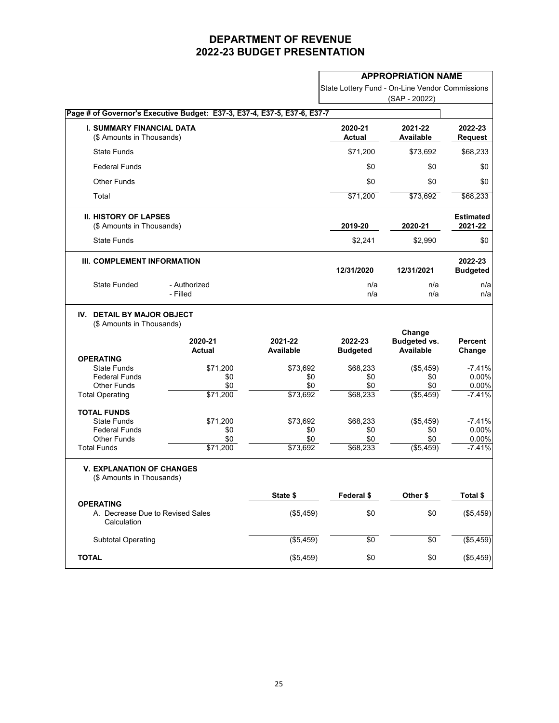|                                                                                                                |                                                                          |                                                        |                                                       | <b>APPROPRIATION NAME</b>                                |                                                  |
|----------------------------------------------------------------------------------------------------------------|--------------------------------------------------------------------------|--------------------------------------------------------|-------------------------------------------------------|----------------------------------------------------------|--------------------------------------------------|
|                                                                                                                |                                                                          |                                                        | State Lottery Fund - On-Line Vendor Commissions       |                                                          |                                                  |
|                                                                                                                |                                                                          |                                                        |                                                       | (SAP - 20022)                                            |                                                  |
|                                                                                                                | Page # of Governor's Executive Budget: E37-3, E37-4, E37-5, E37-6, E37-7 |                                                        |                                                       |                                                          |                                                  |
| <b>I. SUMMARY FINANCIAL DATA</b><br>(\$ Amounts in Thousands)                                                  |                                                                          |                                                        | 2020-21<br><b>Actual</b>                              | 2021-22<br><b>Available</b>                              | 2022-23<br><b>Request</b>                        |
| <b>State Funds</b>                                                                                             |                                                                          |                                                        | \$71,200                                              | \$73,692                                                 | \$68,233                                         |
| <b>Federal Funds</b>                                                                                           |                                                                          |                                                        | \$0                                                   | \$0                                                      | \$0                                              |
| <b>Other Funds</b>                                                                                             |                                                                          |                                                        | \$0                                                   | \$0                                                      | \$0                                              |
| Total                                                                                                          |                                                                          |                                                        | \$71,200                                              | \$73,692                                                 | \$68,233                                         |
| <b>II. HISTORY OF LAPSES</b><br>(\$ Amounts in Thousands)                                                      |                                                                          |                                                        | 2019-20                                               | 2020-21                                                  | <b>Estimated</b><br>2021-22                      |
| <b>State Funds</b>                                                                                             |                                                                          |                                                        | \$2,241                                               | \$2,990                                                  | \$0                                              |
| III. COMPLEMENT INFORMATION                                                                                    |                                                                          |                                                        | 12/31/2020                                            | 12/31/2021                                               | 2022-23<br><b>Budgeted</b>                       |
| <b>State Funded</b>                                                                                            | - Authorized<br>- Filled                                                 |                                                        | n/a<br>n/a                                            | n/a<br>n/a                                               | n/a<br>n/a                                       |
| <b>DETAIL BY MAJOR OBJECT</b><br>IV.<br>(\$ Amounts in Thousands)                                              | 2020-21                                                                  | 2021-22                                                | 2022-23                                               | Change<br><b>Budgeted vs.</b>                            | <b>Percent</b>                                   |
| <b>OPERATING</b><br><b>State Funds</b><br><b>Federal Funds</b><br><b>Other Funds</b><br><b>Total Operating</b> | <b>Actual</b><br>\$71,200<br>\$0<br>\$0<br>\$71,200                      | <b>Available</b><br>\$73,692<br>\$0<br>\$0<br>\$73,692 | <b>Budgeted</b><br>\$68,233<br>\$0<br>\$0<br>\$68,233 | <b>Available</b><br>(\$5,459)<br>\$0<br>\$0<br>(\$5,459) | Change<br>$-7.41%$<br>0.00%<br>0.00%<br>$-7.41%$ |
| <b>TOTAL FUNDS</b><br><b>State Funds</b><br><b>Federal Funds</b><br><b>Other Funds</b><br><b>Total Funds</b>   | \$71,200<br>\$0<br>\$0<br>\$71,200                                       | \$73,692<br>\$0<br>\$0<br>\$73,692                     | \$68,233<br>\$0<br>\$0<br>\$68,233                    | (\$5,459)<br>\$0<br>\$0<br>( \$5,459)                    | $-7.41%$<br>0.00%<br>0.00%<br>$-7.41%$           |
| <b>V. EXPLANATION OF CHANGES</b><br>(\$ Amounts in Thousands)                                                  |                                                                          |                                                        |                                                       |                                                          |                                                  |
|                                                                                                                |                                                                          | State \$                                               | Federal \$                                            | Other \$                                                 | Total \$                                         |
| <b>OPERATING</b><br>A. Decrease Due to Revised Sales<br>Calculation                                            |                                                                          | (\$5,459)                                              | \$0                                                   | \$0                                                      | (\$5,459)                                        |
| <b>Subtotal Operating</b>                                                                                      |                                                                          | (\$5,459)                                              | \$0                                                   | \$0                                                      | (\$5,459)                                        |
| <b>TOTAL</b>                                                                                                   |                                                                          | (\$5,459)                                              | \$0                                                   | \$0                                                      | (\$5,459)                                        |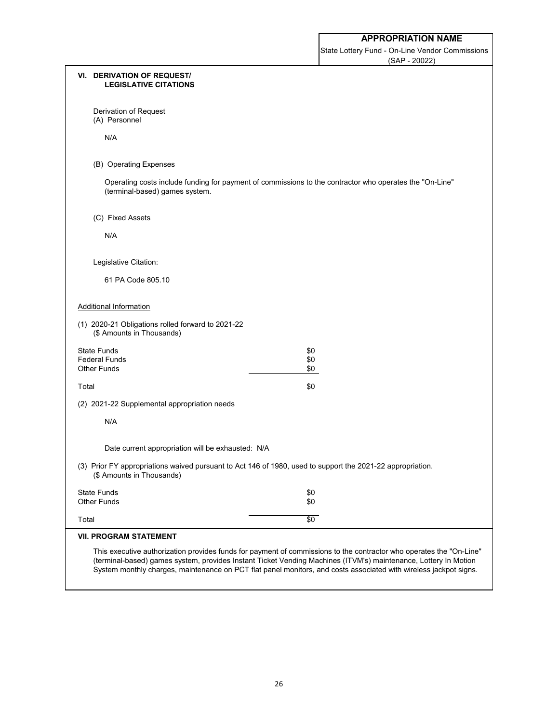State Lottery Fund - On-Line Vendor Commissions (SAP - 20022)

| <b>VI. DERIVATION OF REQUEST/</b><br><b>LEGISLATIVE CITATIONS</b>                                                                       |                                                                                                                                                                                                                                                                                                                                                             |
|-----------------------------------------------------------------------------------------------------------------------------------------|-------------------------------------------------------------------------------------------------------------------------------------------------------------------------------------------------------------------------------------------------------------------------------------------------------------------------------------------------------------|
| Derivation of Request<br>(A) Personnel                                                                                                  |                                                                                                                                                                                                                                                                                                                                                             |
| N/A                                                                                                                                     |                                                                                                                                                                                                                                                                                                                                                             |
| (B) Operating Expenses                                                                                                                  |                                                                                                                                                                                                                                                                                                                                                             |
| (terminal-based) games system.                                                                                                          | Operating costs include funding for payment of commissions to the contractor who operates the "On-Line"                                                                                                                                                                                                                                                     |
| (C) Fixed Assets                                                                                                                        |                                                                                                                                                                                                                                                                                                                                                             |
| N/A                                                                                                                                     |                                                                                                                                                                                                                                                                                                                                                             |
| Legislative Citation:                                                                                                                   |                                                                                                                                                                                                                                                                                                                                                             |
| 61 PA Code 805.10                                                                                                                       |                                                                                                                                                                                                                                                                                                                                                             |
| <b>Additional Information</b>                                                                                                           |                                                                                                                                                                                                                                                                                                                                                             |
| (1) 2020-21 Obligations rolled forward to 2021-22<br>(\$ Amounts in Thousands)                                                          |                                                                                                                                                                                                                                                                                                                                                             |
| <b>State Funds</b>                                                                                                                      | \$0                                                                                                                                                                                                                                                                                                                                                         |
| <b>Federal Funds</b><br><b>Other Funds</b>                                                                                              | \$0<br>\$0                                                                                                                                                                                                                                                                                                                                                  |
| Total                                                                                                                                   | \$0                                                                                                                                                                                                                                                                                                                                                         |
| (2) 2021-22 Supplemental appropriation needs                                                                                            |                                                                                                                                                                                                                                                                                                                                                             |
| N/A                                                                                                                                     |                                                                                                                                                                                                                                                                                                                                                             |
| Date current appropriation will be exhausted: N/A                                                                                       |                                                                                                                                                                                                                                                                                                                                                             |
| (3) Prior FY appropriations waived pursuant to Act 146 of 1980, used to support the 2021-22 appropriation.<br>(\$ Amounts in Thousands) |                                                                                                                                                                                                                                                                                                                                                             |
| <b>State Funds</b><br><b>Other Funds</b>                                                                                                | \$0<br>\$0                                                                                                                                                                                                                                                                                                                                                  |
| Total                                                                                                                                   | $\sqrt{6}$                                                                                                                                                                                                                                                                                                                                                  |
| <b>VII. PROGRAM STATEMENT</b>                                                                                                           |                                                                                                                                                                                                                                                                                                                                                             |
|                                                                                                                                         | This executive authorization provides funds for payment of commissions to the contractor who operates the "On-Line"<br>(terminal-based) games system, provides Instant Ticket Vending Machines (ITVM's) maintenance, Lottery In Motion<br>System monthly charges, maintenance on PCT flat panel monitors, and costs associated with wireless jackpot signs. |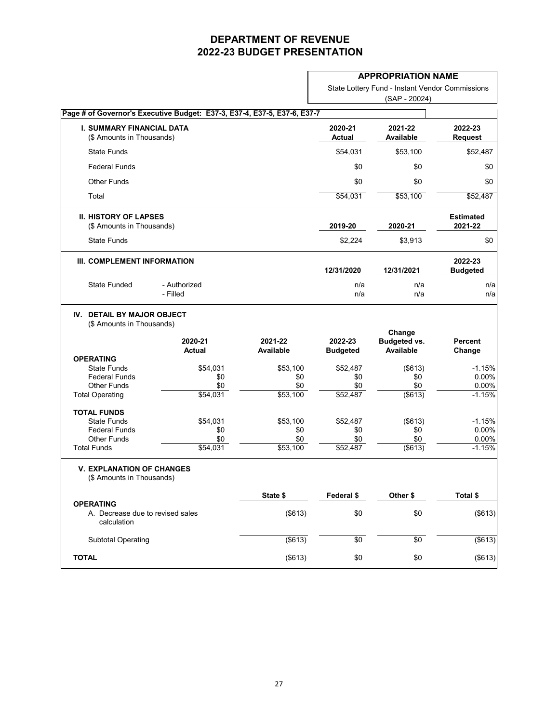| State Lottery Fund - Instant Vendor Commissions |
|-------------------------------------------------|
| (SAP - 20024)                                   |

|                                                                                                                | Page # of Governor's Executive Budget: E37-3, E37-4, E37-5, E37-6, E37-7 |                                    |                                    |                                                   |                                        |
|----------------------------------------------------------------------------------------------------------------|--------------------------------------------------------------------------|------------------------------------|------------------------------------|---------------------------------------------------|----------------------------------------|
| <b>I. SUMMARY FINANCIAL DATA</b><br>(\$ Amounts in Thousands)                                                  |                                                                          |                                    | 2020-21<br><b>Actual</b>           | 2021-22<br><b>Available</b>                       | 2022-23<br><b>Request</b>              |
| <b>State Funds</b>                                                                                             |                                                                          |                                    | \$54,031                           | \$53,100                                          | \$52,487                               |
| <b>Federal Funds</b>                                                                                           |                                                                          |                                    | \$0                                | \$0                                               | \$0                                    |
| <b>Other Funds</b>                                                                                             |                                                                          |                                    | \$0                                | \$0                                               | \$0                                    |
| Total                                                                                                          |                                                                          |                                    | \$54,031                           | \$53,100                                          | \$52,487                               |
| <b>II. HISTORY OF LAPSES</b><br>(\$ Amounts in Thousands)                                                      |                                                                          |                                    | 2019-20                            | 2020-21                                           | <b>Estimated</b><br>2021-22            |
| <b>State Funds</b>                                                                                             |                                                                          |                                    | \$2,224                            | \$3,913                                           | \$0                                    |
| III. COMPLEMENT INFORMATION                                                                                    |                                                                          |                                    | 12/31/2020                         | 12/31/2021                                        | 2022-23<br><b>Budgeted</b>             |
| <b>State Funded</b>                                                                                            | - Authorized<br>- Filled                                                 |                                    | n/a<br>n/a                         | n/a<br>n/a                                        | n/a<br>n/a                             |
| <b>DETAIL BY MAJOR OBJECT</b><br>IV.<br>(\$ Amounts in Thousands)                                              | 2020-21<br><b>Actual</b>                                                 | 2021-22<br><b>Available</b>        | 2022-23<br><b>Budgeted</b>         | Change<br><b>Budgeted vs.</b><br><b>Available</b> | <b>Percent</b><br>Change               |
| <b>OPERATING</b><br><b>State Funds</b><br><b>Federal Funds</b><br><b>Other Funds</b><br><b>Total Operating</b> | \$54,031<br>\$0<br>\$0<br>\$54,031                                       | \$53,100<br>\$0<br>\$0<br>\$53,100 | \$52,487<br>\$0<br>\$0<br>\$52,487 | (\$613)<br>\$0<br>\$0<br>(\$613)                  | $-1.15%$<br>0.00%<br>0.00%<br>$-1.15%$ |
| <b>TOTAL FUNDS</b><br><b>State Funds</b><br><b>Federal Funds</b><br><b>Other Funds</b><br><b>Total Funds</b>   | \$54,031<br>\$0<br>\$0<br>\$54,031                                       | \$53,100<br>\$0<br>\$0<br>\$53,100 | \$52,487<br>\$0<br>\$0<br>\$52,487 | (\$613)<br>\$0<br>\$0<br>$($ \$613)               | $-1.15%$<br>0.00%<br>0.00%<br>$-1.15%$ |
| <b>V. EXPLANATION OF CHANGES</b><br>(\$ Amounts in Thousands)                                                  |                                                                          |                                    |                                    |                                                   |                                        |
|                                                                                                                |                                                                          | State \$                           | Federal \$                         | Other \$                                          | Total \$                               |
| <b>OPERATING</b><br>A. Decrease due to revised sales<br>calculation                                            |                                                                          | (\$613)                            | \$0                                | \$0                                               | (\$613)                                |
| <b>Subtotal Operating</b>                                                                                      |                                                                          | $($ \$613)                         | \$0                                | \$0                                               | (\$613)                                |
|                                                                                                                |                                                                          |                                    |                                    |                                                   |                                        |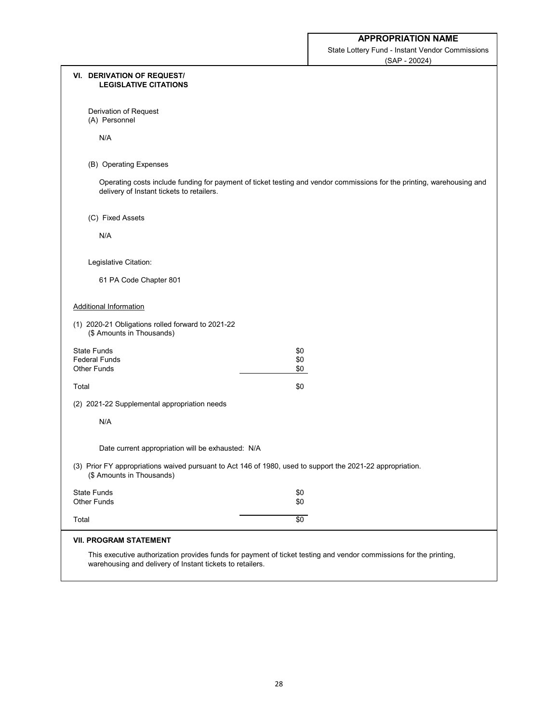State Lottery Fund - Instant Vendor Commissions (SAP - 20024)

| <b>VI. DERIVATION OF REQUEST/</b><br><b>LEGISLATIVE CITATIONS</b>              |                                                                                                                        |
|--------------------------------------------------------------------------------|------------------------------------------------------------------------------------------------------------------------|
| Derivation of Request<br>(A) Personnel                                         |                                                                                                                        |
| N/A                                                                            |                                                                                                                        |
| (B) Operating Expenses                                                         |                                                                                                                        |
| delivery of Instant tickets to retailers.                                      | Operating costs include funding for payment of ticket testing and vendor commissions for the printing, warehousing and |
| (C) Fixed Assets                                                               |                                                                                                                        |
| N/A                                                                            |                                                                                                                        |
| Legislative Citation:                                                          |                                                                                                                        |
| 61 PA Code Chapter 801                                                         |                                                                                                                        |
| <b>Additional Information</b>                                                  |                                                                                                                        |
| (1) 2020-21 Obligations rolled forward to 2021-22<br>(\$ Amounts in Thousands) |                                                                                                                        |
| <b>State Funds</b>                                                             | \$0                                                                                                                    |
| <b>Federal Funds</b><br><b>Other Funds</b>                                     | \$0<br>\$0                                                                                                             |
|                                                                                |                                                                                                                        |
| Total                                                                          | \$0                                                                                                                    |
| (2) 2021-22 Supplemental appropriation needs                                   |                                                                                                                        |
| N/A                                                                            |                                                                                                                        |
| Date current appropriation will be exhausted: N/A                              |                                                                                                                        |
| (\$ Amounts in Thousands)                                                      | (3) Prior FY appropriations waived pursuant to Act 146 of 1980, used to support the 2021-22 appropriation.             |
| <b>State Funds</b><br><b>Other Funds</b>                                       | \$0<br>\$0                                                                                                             |
| Total                                                                          | $\overline{50}$                                                                                                        |
| <b>VII. PROGRAM STATEMENT</b>                                                  |                                                                                                                        |
| warehousing and delivery of Instant tickets to retailers.                      | This executive authorization provides funds for payment of ticket testing and vendor commissions for the printing,     |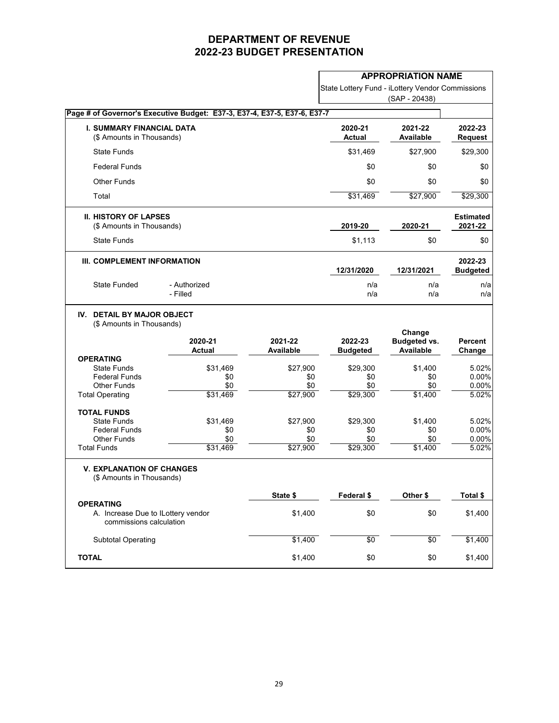|                                                                                                                |                                                                          |                                    | <b>APPROPRIATION NAME</b>                        |                                                   |                                  |
|----------------------------------------------------------------------------------------------------------------|--------------------------------------------------------------------------|------------------------------------|--------------------------------------------------|---------------------------------------------------|----------------------------------|
|                                                                                                                |                                                                          |                                    | State Lottery Fund - iLottery Vendor Commissions | (SAP - 20438)                                     |                                  |
|                                                                                                                | Page # of Governor's Executive Budget: E37-3, E37-4, E37-5, E37-6, E37-7 |                                    |                                                  |                                                   |                                  |
| <b>I. SUMMARY FINANCIAL DATA</b><br>(\$ Amounts in Thousands)                                                  |                                                                          |                                    | 2020-21<br><b>Actual</b>                         | 2021-22<br><b>Available</b>                       | 2022-23<br><b>Request</b>        |
| <b>State Funds</b>                                                                                             |                                                                          |                                    | \$31,469                                         | \$27,900                                          | \$29,300                         |
| <b>Federal Funds</b>                                                                                           |                                                                          |                                    | \$0                                              | \$0                                               | \$0                              |
| <b>Other Funds</b>                                                                                             |                                                                          |                                    | \$0                                              | \$0                                               | \$0                              |
| Total                                                                                                          |                                                                          |                                    | \$31,469                                         | \$27,900                                          | \$29,300                         |
| <b>II. HISTORY OF LAPSES</b><br>(\$ Amounts in Thousands)                                                      |                                                                          |                                    | 2019-20                                          | 2020-21                                           | <b>Estimated</b><br>2021-22      |
| <b>State Funds</b>                                                                                             |                                                                          |                                    | \$1,113                                          | \$0                                               | \$0                              |
| III. COMPLEMENT INFORMATION                                                                                    |                                                                          |                                    | 12/31/2020                                       | 12/31/2021                                        | 2022-23<br><b>Budgeted</b>       |
| <b>State Funded</b>                                                                                            | - Authorized<br>- Filled                                                 |                                    | n/a<br>n/a                                       | n/a<br>n/a                                        | n/a<br>n/a                       |
| IV. DETAIL BY MAJOR OBJECT<br>(\$ Amounts in Thousands)                                                        | 2020-21<br><b>Actual</b>                                                 | 2021-22<br><b>Available</b>        | 2022-23<br><b>Budgeted</b>                       | Change<br><b>Budgeted vs.</b><br><b>Available</b> | <b>Percent</b><br>Change         |
| <b>OPERATING</b><br><b>State Funds</b><br><b>Federal Funds</b><br><b>Other Funds</b><br><b>Total Operating</b> | \$31,469<br>\$0<br>\$0<br>\$31,469                                       | \$27,900<br>\$0<br>\$0<br>\$27,900 | \$29,300<br>\$0<br>\$0<br>\$29,300               | \$1,400<br>\$0<br>\$0<br>\$1,400                  | 5.02%<br>0.00%<br>0.00%<br>5.02% |
| <b>TOTAL FUNDS</b><br><b>State Funds</b><br><b>Federal Funds</b><br><b>Other Funds</b><br><b>Total Funds</b>   | \$31,469<br>\$0<br>\$0<br>\$31,469                                       | \$27,900<br>\$0<br>\$0<br>\$27,900 | \$29,300<br>\$0<br>\$0<br>\$29,300               | \$1,400<br>\$0<br>\$0<br>\$1,400                  | 5.02%<br>0.00%<br>0.00%<br>5.02% |
| <b>V. EXPLANATION OF CHANGES</b><br>(\$ Amounts in Thousands)                                                  |                                                                          | State \$                           | Federal \$                                       | Other \$                                          | Total \$                         |
| <b>OPERATING</b><br>A. Increase Due to ILottery vendor<br>commissions calculation                              |                                                                          | \$1,400                            | \$0                                              | \$0                                               | \$1,400                          |
| <b>Subtotal Operating</b>                                                                                      |                                                                          | \$1,400                            | $\sqrt{6}$                                       | $\sqrt{6}$                                        | \$1,400                          |
| <b>TOTAL</b>                                                                                                   |                                                                          | \$1,400                            | \$0                                              | \$0                                               | \$1,400                          |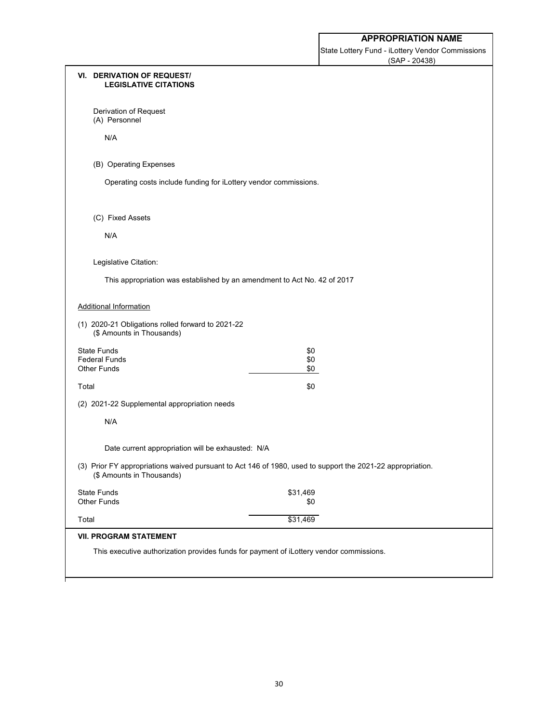State Lottery Fund - iLottery Vendor Commissions (SAP - 20438)

| <b>VI. DERIVATION OF REQUEST/</b><br><b>LEGISLATIVE CITATIONS</b>              |                                                                                                            |  |
|--------------------------------------------------------------------------------|------------------------------------------------------------------------------------------------------------|--|
| Derivation of Request<br>(A) Personnel                                         |                                                                                                            |  |
| N/A                                                                            |                                                                                                            |  |
| (B) Operating Expenses                                                         |                                                                                                            |  |
| Operating costs include funding for iLottery vendor commissions.               |                                                                                                            |  |
| (C) Fixed Assets                                                               |                                                                                                            |  |
| N/A                                                                            |                                                                                                            |  |
| Legislative Citation:                                                          |                                                                                                            |  |
| This appropriation was established by an amendment to Act No. 42 of 2017       |                                                                                                            |  |
| <b>Additional Information</b>                                                  |                                                                                                            |  |
| (1) 2020-21 Obligations rolled forward to 2021-22<br>(\$ Amounts in Thousands) |                                                                                                            |  |
| <b>State Funds</b>                                                             | \$0                                                                                                        |  |
| <b>Federal Funds</b>                                                           | \$0                                                                                                        |  |
| <b>Other Funds</b>                                                             | \$0                                                                                                        |  |
| Total                                                                          | \$0                                                                                                        |  |
| (2) 2021-22 Supplemental appropriation needs                                   |                                                                                                            |  |
| N/A                                                                            |                                                                                                            |  |
| Date current appropriation will be exhausted: N/A                              |                                                                                                            |  |
| (\$ Amounts in Thousands)                                                      | (3) Prior FY appropriations waived pursuant to Act 146 of 1980, used to support the 2021-22 appropriation. |  |
| <b>State Funds</b><br><b>Other Funds</b>                                       | \$31,469<br>\$0                                                                                            |  |
| Total                                                                          | \$31,469                                                                                                   |  |
| <b>VII. PROGRAM STATEMENT</b>                                                  |                                                                                                            |  |
|                                                                                | This executive authorization provides funds for payment of iLottery vendor commissions.                    |  |
|                                                                                |                                                                                                            |  |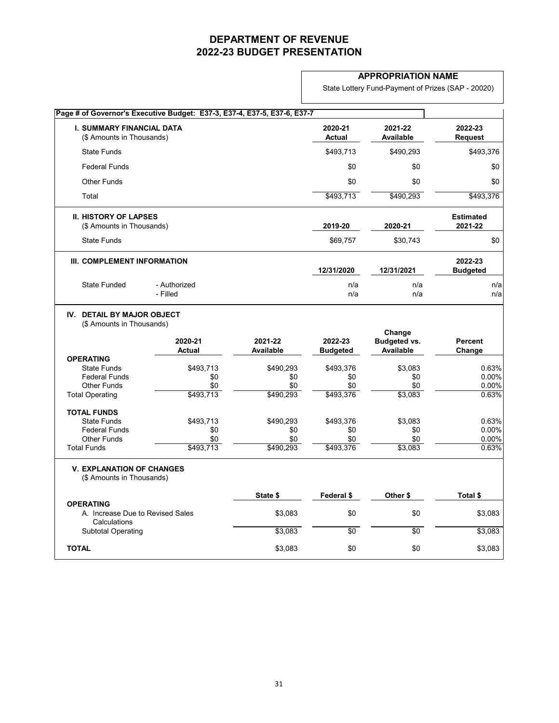### **APPROPRIATION NAME**

State Lottery Fund-Payment of Prizes (SAP - 20020)

|                                                                      | Page # of Governor's Executive Budget: E37-3, E37-4, E37-5, E37-6, E37-7 |                             |                            |                                                   |                             |
|----------------------------------------------------------------------|--------------------------------------------------------------------------|-----------------------------|----------------------------|---------------------------------------------------|-----------------------------|
| <b>I. SUMMARY FINANCIAL DATA</b><br>(\$ Amounts in Thousands)        |                                                                          |                             | 2020-21<br><b>Actual</b>   | 2021-22<br><b>Available</b>                       | 2022-23<br><b>Request</b>   |
| <b>State Funds</b>                                                   |                                                                          |                             | \$493,713                  | \$490,293                                         | \$493,376                   |
| <b>Federal Funds</b>                                                 |                                                                          |                             | \$0                        | \$0                                               | \$0                         |
| <b>Other Funds</b>                                                   |                                                                          |                             | \$0                        | \$0                                               | \$0                         |
| Total                                                                |                                                                          |                             | \$493,713                  | \$490,293                                         | \$493,376                   |
| <b>II. HISTORY OF LAPSES</b><br>(\$ Amounts in Thousands)            |                                                                          |                             | 2019-20                    | 2020-21                                           | <b>Estimated</b><br>2021-22 |
| <b>State Funds</b>                                                   |                                                                          |                             | \$69,757                   | \$30,743                                          | \$0                         |
| III. COMPLEMENT INFORMATION                                          |                                                                          |                             | 12/31/2020                 | 12/31/2021                                        | 2022-23<br><b>Budgeted</b>  |
| <b>State Funded</b>                                                  | - Authorized<br>- Filled                                                 |                             | n/a<br>n/a                 | n/a<br>n/a                                        | n/a<br>n/a                  |
| <b>DETAIL BY MAJOR OBJECT</b><br>(\$ Amounts in Thousands)           | 2020-21<br><b>Actual</b>                                                 | 2021-22<br><b>Available</b> | 2022-23<br><b>Budgeted</b> | Change<br><b>Budgeted vs.</b><br><b>Available</b> | <b>Percent</b><br>Change    |
| <b>OPERATING</b><br><b>State Funds</b>                               | \$493,713                                                                | \$490,293                   | \$493,376                  | \$3,083                                           |                             |
|                                                                      |                                                                          |                             |                            |                                                   |                             |
|                                                                      |                                                                          |                             |                            |                                                   | 0.63%                       |
| <b>Federal Funds</b><br><b>Other Funds</b>                           | \$0<br>\$0                                                               | \$0<br>\$0                  | \$0<br>\$0                 | \$0<br>\$0                                        | 0.00%<br>0.00%              |
| <b>Total Operating</b>                                               | \$493,713                                                                | \$490,293                   | \$493,376                  | \$3,083                                           | 0.63%                       |
| <b>TOTAL FUNDS</b>                                                   |                                                                          |                             |                            |                                                   |                             |
| <b>State Funds</b>                                                   | \$493,713                                                                | \$490,293                   | \$493,376                  | \$3,083                                           | 0.63%                       |
| <b>Federal Funds</b>                                                 | \$0                                                                      | \$0                         | \$0                        | \$0                                               | 0.00%                       |
| <b>Other Funds</b><br><b>Total Funds</b>                             | \$0<br>\$493,713                                                         | \$0<br>\$490,293            | \$0<br>\$493,376           | \$0<br>\$3,083                                    | 0.00%<br>0.63%              |
| <b>V. EXPLANATION OF CHANGES</b><br>(\$ Amounts in Thousands)        |                                                                          |                             |                            |                                                   |                             |
|                                                                      |                                                                          | State \$                    | Federal \$                 | Other \$                                          | Total \$                    |
| <b>OPERATING</b><br>A. Increase Due to Revised Sales<br>Calculations |                                                                          | \$3,083                     | \$0                        | \$0                                               | \$3,083                     |
| <b>Subtotal Operating</b>                                            |                                                                          | \$3,083                     | $\sqrt{6}$                 | $\sqrt{6}$                                        | \$3,083                     |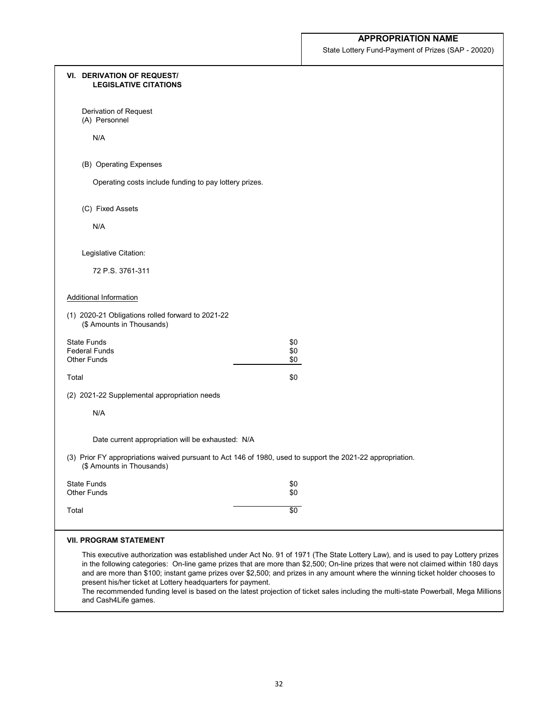State Lottery Fund-Payment of Prizes (SAP - 20020)

| <b>VI. DERIVATION OF REQUEST/</b><br><b>LEGISLATIVE CITATIONS</b>              |                                                                                                                                                                                                                                                                                                                                                                                                                                                                                                                                               |
|--------------------------------------------------------------------------------|-----------------------------------------------------------------------------------------------------------------------------------------------------------------------------------------------------------------------------------------------------------------------------------------------------------------------------------------------------------------------------------------------------------------------------------------------------------------------------------------------------------------------------------------------|
| Derivation of Request<br>(A) Personnel                                         |                                                                                                                                                                                                                                                                                                                                                                                                                                                                                                                                               |
| N/A                                                                            |                                                                                                                                                                                                                                                                                                                                                                                                                                                                                                                                               |
| (B) Operating Expenses                                                         |                                                                                                                                                                                                                                                                                                                                                                                                                                                                                                                                               |
| Operating costs include funding to pay lottery prizes.                         |                                                                                                                                                                                                                                                                                                                                                                                                                                                                                                                                               |
| (C) Fixed Assets                                                               |                                                                                                                                                                                                                                                                                                                                                                                                                                                                                                                                               |
| N/A                                                                            |                                                                                                                                                                                                                                                                                                                                                                                                                                                                                                                                               |
| Legislative Citation:                                                          |                                                                                                                                                                                                                                                                                                                                                                                                                                                                                                                                               |
| 72 P.S. 3761-311                                                               |                                                                                                                                                                                                                                                                                                                                                                                                                                                                                                                                               |
| <b>Additional Information</b>                                                  |                                                                                                                                                                                                                                                                                                                                                                                                                                                                                                                                               |
| (1) 2020-21 Obligations rolled forward to 2021-22<br>(\$ Amounts in Thousands) |                                                                                                                                                                                                                                                                                                                                                                                                                                                                                                                                               |
| <b>State Funds</b>                                                             | \$0                                                                                                                                                                                                                                                                                                                                                                                                                                                                                                                                           |
| <b>Federal Funds</b><br><b>Other Funds</b>                                     | \$0<br>\$0                                                                                                                                                                                                                                                                                                                                                                                                                                                                                                                                    |
| Total                                                                          | \$0                                                                                                                                                                                                                                                                                                                                                                                                                                                                                                                                           |
| (2) 2021-22 Supplemental appropriation needs                                   |                                                                                                                                                                                                                                                                                                                                                                                                                                                                                                                                               |
| N/A                                                                            |                                                                                                                                                                                                                                                                                                                                                                                                                                                                                                                                               |
| Date current appropriation will be exhausted: N/A                              |                                                                                                                                                                                                                                                                                                                                                                                                                                                                                                                                               |
| (\$ Amounts in Thousands)                                                      | (3) Prior FY appropriations waived pursuant to Act 146 of 1980, used to support the 2021-22 appropriation.                                                                                                                                                                                                                                                                                                                                                                                                                                    |
| <b>State Funds</b>                                                             | \$0                                                                                                                                                                                                                                                                                                                                                                                                                                                                                                                                           |
| <b>Other Funds</b>                                                             | \$0                                                                                                                                                                                                                                                                                                                                                                                                                                                                                                                                           |
| Total                                                                          | $\sqrt{6}$                                                                                                                                                                                                                                                                                                                                                                                                                                                                                                                                    |
| <b>VII. PROGRAM STATEMENT</b>                                                  |                                                                                                                                                                                                                                                                                                                                                                                                                                                                                                                                               |
| present his/her ticket at Lottery headquarters for payment.                    | This executive authorization was established under Act No. 91 of 1971 (The State Lottery Law), and is used to pay Lottery prizes<br>in the following categories: On-line game prizes that are more than \$2,500; On-line prizes that were not claimed within 180 days<br>and are more than \$100; instant game prizes over \$2,500; and prizes in any amount where the winning ticket holder chooses to<br>The recommended funding level is based on the latest projection of ticket sales including the multi-state Powerhall, Moga Millions |

The recommended funding level is based on the latest projection of ticket sales including the multi-state Powerball, Mega Millions and Cash4Life games.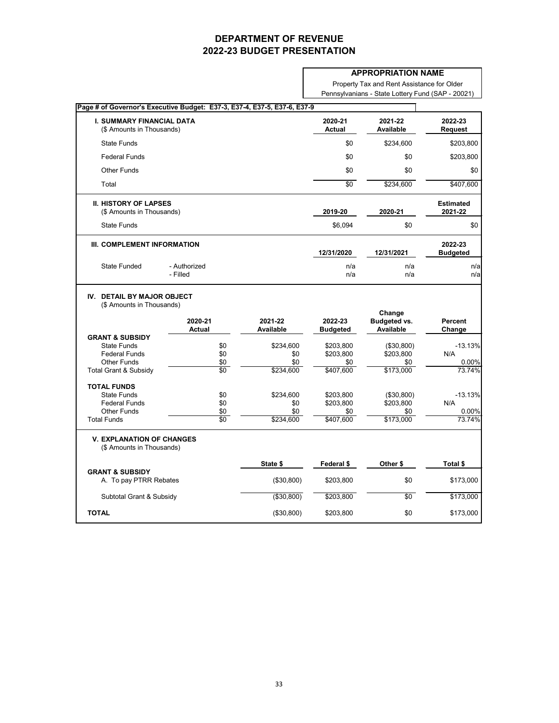### **APPROPRIATION NAME**

Property Tax and Rent Assistance for Older Pennsylvanians - State Lottery Fund (SAP - 20021)

| Page # of Governor's Executive Budget: E37-3, E37-4, E37-5, E37-6, E37-9 |                          |                             |                            |                                         |                                                                                        |
|--------------------------------------------------------------------------|--------------------------|-----------------------------|----------------------------|-----------------------------------------|----------------------------------------------------------------------------------------|
| <b>I. SUMMARY FINANCIAL DATA</b><br>(\$ Amounts in Thousands)            |                          |                             | 2020-21<br><b>Actual</b>   | 2021-22<br><b>Available</b>             | 2022-23<br><b>Request</b>                                                              |
| <b>State Funds</b>                                                       |                          |                             | \$0                        | \$234,600                               | \$203,800                                                                              |
| <b>Federal Funds</b>                                                     |                          |                             | \$0                        | \$0                                     | \$203,800                                                                              |
| <b>Other Funds</b>                                                       |                          |                             | \$0                        | \$0                                     | \$0                                                                                    |
| Total                                                                    |                          |                             | $\sqrt{6}$                 | \$234,600                               | \$407,600                                                                              |
| <b>II. HISTORY OF LAPSES</b><br>(\$ Amounts in Thousands)                |                          |                             | 2019-20                    | 2020-21                                 | <b>Estimated</b><br>2021-22                                                            |
| <b>State Funds</b>                                                       |                          |                             | \$6,094                    | \$0                                     | \$0                                                                                    |
| III. COMPLEMENT INFORMATION                                              |                          |                             | 12/31/2020                 | 12/31/2021                              | 2022-23<br><b>Budgeted</b>                                                             |
| <b>State Funded</b>                                                      | - Authorized<br>- Filled |                             | n/a<br>n/a                 | n/a<br>n/a                              | n/a<br>n/a                                                                             |
| <b>DETAIL BY MAJOR OBJECT</b><br>IV.<br>(\$ Amounts in Thousands)        |                          |                             |                            | Change                                  |                                                                                        |
|                                                                          | 2020-21<br><b>Actual</b> | 2021-22<br><b>Available</b> | 2022-23<br><b>Budgeted</b> | <b>Budgeted vs.</b><br><b>Available</b> | <b>Percent</b><br>Change                                                               |
| <b>GRANT &amp; SUBSIDY</b>                                               |                          |                             |                            |                                         |                                                                                        |
| <b>State Funds</b><br><b>Federal Funds</b>                               | \$0                      | \$234,600                   | \$203,800                  | (\$30,800)                              | N/A                                                                                    |
| <b>Other Funds</b>                                                       | \$0<br>\$0               | \$0<br>\$0                  | \$203,800<br>\$0           | \$203,800<br>\$0                        |                                                                                        |
| <b>Total Grant &amp; Subsidy</b>                                         | \$0                      | \$234,600                   | \$407,600                  | \$173,000                               |                                                                                        |
| <b>TOTAL FUNDS</b>                                                       |                          |                             |                            |                                         |                                                                                        |
| <b>State Funds</b>                                                       | \$0                      | \$234,600                   | \$203,800                  | (\$30,800)                              |                                                                                        |
| <b>Federal Funds</b>                                                     | \$0                      | \$0                         | \$203,800                  | \$203,800                               | N/A                                                                                    |
| <b>Other Funds</b><br><b>Total Funds</b>                                 | \$0<br>$\sqrt[6]{9}$     | \$0<br>\$234,600            | \$0<br>\$407,600           | \$0<br>\$173,000                        |                                                                                        |
| <b>V. EXPLANATION OF CHANGES</b><br>(\$ Amounts in Thousands)            |                          |                             |                            |                                         |                                                                                        |
|                                                                          |                          | State \$                    | Federal \$                 | Other \$                                | Total \$                                                                               |
| <b>GRANT &amp; SUBSIDY</b><br>A. To pay PTRR Rebates                     |                          | (\$30,800)                  | \$203,800                  | \$0                                     |                                                                                        |
| Subtotal Grant & Subsidy                                                 |                          | ( \$30, 800)                | \$203,800                  | \$0                                     | $-13.13%$<br>0.00%<br>73.74%<br>$-13.13%$<br>0.00%<br>73.74%<br>\$173,000<br>\$173,000 |
| <b>TOTAL</b>                                                             |                          | (\$30,800)                  | \$203,800                  | \$0                                     | \$173,000                                                                              |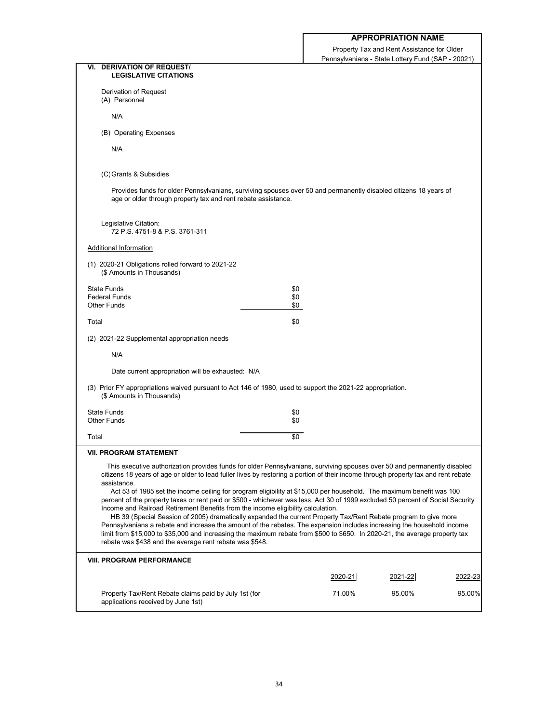Property Tax and Rent Assistance for Older Pennsylvanians - State Lottery Fund (SAP - 20021)

|                                                                                                                                                                                                                                                                                                                                                                                                                                                                                                                                                                                                                                                                                                                                                                                                                                                                                                                                                                                                                                                                                                      |            | $\frac{1}{2}$ chrisylvalilaris - Olate Lottery Fund (OAF - 2002 F) |         |
|------------------------------------------------------------------------------------------------------------------------------------------------------------------------------------------------------------------------------------------------------------------------------------------------------------------------------------------------------------------------------------------------------------------------------------------------------------------------------------------------------------------------------------------------------------------------------------------------------------------------------------------------------------------------------------------------------------------------------------------------------------------------------------------------------------------------------------------------------------------------------------------------------------------------------------------------------------------------------------------------------------------------------------------------------------------------------------------------------|------------|--------------------------------------------------------------------|---------|
| <b>DERIVATION OF REQUEST/</b><br>VI.<br><b>LEGISLATIVE CITATIONS</b>                                                                                                                                                                                                                                                                                                                                                                                                                                                                                                                                                                                                                                                                                                                                                                                                                                                                                                                                                                                                                                 |            |                                                                    |         |
| Derivation of Request<br>(A) Personnel                                                                                                                                                                                                                                                                                                                                                                                                                                                                                                                                                                                                                                                                                                                                                                                                                                                                                                                                                                                                                                                               |            |                                                                    |         |
| N/A                                                                                                                                                                                                                                                                                                                                                                                                                                                                                                                                                                                                                                                                                                                                                                                                                                                                                                                                                                                                                                                                                                  |            |                                                                    |         |
| (B) Operating Expenses                                                                                                                                                                                                                                                                                                                                                                                                                                                                                                                                                                                                                                                                                                                                                                                                                                                                                                                                                                                                                                                                               |            |                                                                    |         |
| N/A                                                                                                                                                                                                                                                                                                                                                                                                                                                                                                                                                                                                                                                                                                                                                                                                                                                                                                                                                                                                                                                                                                  |            |                                                                    |         |
| (C) Grants & Subsidies                                                                                                                                                                                                                                                                                                                                                                                                                                                                                                                                                                                                                                                                                                                                                                                                                                                                                                                                                                                                                                                                               |            |                                                                    |         |
| Provides funds for older Pennsylvanians, surviving spouses over 50 and permanently disabled citizens 18 years of<br>age or older through property tax and rent rebate assistance.                                                                                                                                                                                                                                                                                                                                                                                                                                                                                                                                                                                                                                                                                                                                                                                                                                                                                                                    |            |                                                                    |         |
| Legislative Citation:<br>72 P.S. 4751-8 & P.S. 3761-311                                                                                                                                                                                                                                                                                                                                                                                                                                                                                                                                                                                                                                                                                                                                                                                                                                                                                                                                                                                                                                              |            |                                                                    |         |
| <b>Additional Information</b>                                                                                                                                                                                                                                                                                                                                                                                                                                                                                                                                                                                                                                                                                                                                                                                                                                                                                                                                                                                                                                                                        |            |                                                                    |         |
| (1) 2020-21 Obligations rolled forward to 2021-22<br>(\$ Amounts in Thousands)                                                                                                                                                                                                                                                                                                                                                                                                                                                                                                                                                                                                                                                                                                                                                                                                                                                                                                                                                                                                                       |            |                                                                    |         |
| <b>State Funds</b>                                                                                                                                                                                                                                                                                                                                                                                                                                                                                                                                                                                                                                                                                                                                                                                                                                                                                                                                                                                                                                                                                   | \$0        |                                                                    |         |
| <b>Federal Funds</b><br><b>Other Funds</b>                                                                                                                                                                                                                                                                                                                                                                                                                                                                                                                                                                                                                                                                                                                                                                                                                                                                                                                                                                                                                                                           | \$0<br>\$0 |                                                                    |         |
| Total                                                                                                                                                                                                                                                                                                                                                                                                                                                                                                                                                                                                                                                                                                                                                                                                                                                                                                                                                                                                                                                                                                | \$0        |                                                                    |         |
| (2) 2021-22 Supplemental appropriation needs                                                                                                                                                                                                                                                                                                                                                                                                                                                                                                                                                                                                                                                                                                                                                                                                                                                                                                                                                                                                                                                         |            |                                                                    |         |
| N/A                                                                                                                                                                                                                                                                                                                                                                                                                                                                                                                                                                                                                                                                                                                                                                                                                                                                                                                                                                                                                                                                                                  |            |                                                                    |         |
| Date current appropriation will be exhausted: N/A                                                                                                                                                                                                                                                                                                                                                                                                                                                                                                                                                                                                                                                                                                                                                                                                                                                                                                                                                                                                                                                    |            |                                                                    |         |
| (3) Prior FY appropriations waived pursuant to Act 146 of 1980, used to support the 2021-22 appropriation.<br>(\$ Amounts in Thousands)                                                                                                                                                                                                                                                                                                                                                                                                                                                                                                                                                                                                                                                                                                                                                                                                                                                                                                                                                              |            |                                                                    |         |
| <b>State Funds</b><br><b>Other Funds</b>                                                                                                                                                                                                                                                                                                                                                                                                                                                                                                                                                                                                                                                                                                                                                                                                                                                                                                                                                                                                                                                             | \$0<br>\$0 |                                                                    |         |
|                                                                                                                                                                                                                                                                                                                                                                                                                                                                                                                                                                                                                                                                                                                                                                                                                                                                                                                                                                                                                                                                                                      |            |                                                                    |         |
| Total                                                                                                                                                                                                                                                                                                                                                                                                                                                                                                                                                                                                                                                                                                                                                                                                                                                                                                                                                                                                                                                                                                | \$0        |                                                                    |         |
| <b>VII. PROGRAM STATEMENT</b><br>This executive authorization provides funds for older Pennsylvanians, surviving spouses over 50 and permanently disabled<br>citizens 18 years of age or older to lead fuller lives by restoring a portion of their income through property tax and rent rebate<br>assistance.<br>Act 53 of 1985 set the income ceiling for program eligibility at \$15,000 per household. The maximum benefit was 100<br>percent of the property taxes or rent paid or \$500 - whichever was less. Act 30 of 1999 excluded 50 percent of Social Security<br>Income and Railroad Retirement Benefits from the income eligibility calculation.<br>HB 39 (Special Session of 2005) dramatically expanded the current Property Tax/Rent Rebate program to give more<br>Pennsylvanians a rebate and increase the amount of the rebates. The expansion includes increasing the household income<br>limit from \$15,000 to \$35,000 and increasing the maximum rebate from \$500 to \$650. In 2020-21, the average property tax<br>rebate was \$438 and the average rent rebate was \$548. |            |                                                                    |         |
| <b>VIII. PROGRAM PERFORMANCE</b>                                                                                                                                                                                                                                                                                                                                                                                                                                                                                                                                                                                                                                                                                                                                                                                                                                                                                                                                                                                                                                                                     |            |                                                                    |         |
|                                                                                                                                                                                                                                                                                                                                                                                                                                                                                                                                                                                                                                                                                                                                                                                                                                                                                                                                                                                                                                                                                                      | 2020-21    | 2021-22                                                            | 2022-23 |
| Property Tax/Rent Rebate claims paid by July 1st (for<br>applications received by June 1st)                                                                                                                                                                                                                                                                                                                                                                                                                                                                                                                                                                                                                                                                                                                                                                                                                                                                                                                                                                                                          | 71.00%     | 95.00%                                                             | 95.00%  |
|                                                                                                                                                                                                                                                                                                                                                                                                                                                                                                                                                                                                                                                                                                                                                                                                                                                                                                                                                                                                                                                                                                      |            |                                                                    |         |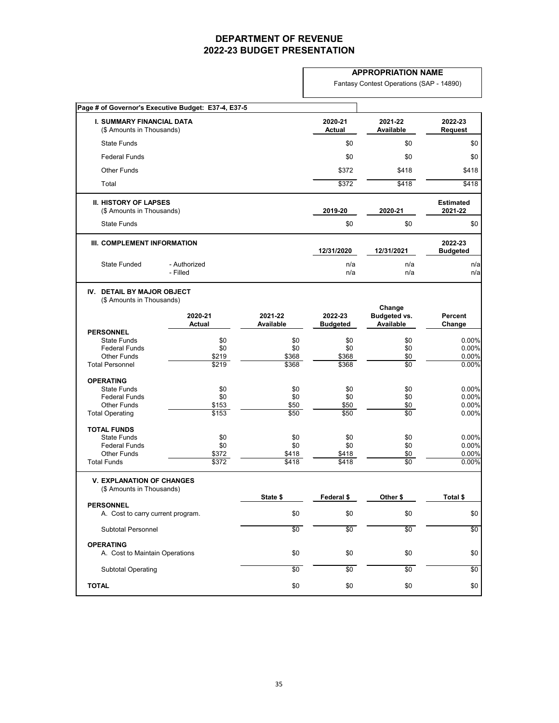### **APPROPRIATION NAME**

Fantasy Contest Operations (SAP - 14890)

|                                                                   | Page # of Governor's Executive Budget: E37-4, E37-5 |                             |                            |                                                   |                             |
|-------------------------------------------------------------------|-----------------------------------------------------|-----------------------------|----------------------------|---------------------------------------------------|-----------------------------|
| <b>I. SUMMARY FINANCIAL DATA</b><br>(\$ Amounts in Thousands)     |                                                     |                             | 2020-21<br><b>Actual</b>   | 2021-22<br><b>Available</b>                       | 2022-23<br><b>Request</b>   |
| <b>State Funds</b>                                                |                                                     |                             | \$0                        | \$0                                               | \$0                         |
| <b>Federal Funds</b>                                              |                                                     |                             | \$0                        | \$0                                               | \$0                         |
| <b>Other Funds</b>                                                |                                                     |                             | \$372                      | \$418                                             | \$418                       |
| Total                                                             |                                                     |                             | \$372                      | \$418                                             | \$418                       |
|                                                                   |                                                     |                             |                            |                                                   |                             |
| <b>II. HISTORY OF LAPSES</b><br>(\$ Amounts in Thousands)         |                                                     |                             | 2019-20                    | 2020-21                                           | <b>Estimated</b><br>2021-22 |
| <b>State Funds</b>                                                |                                                     |                             | \$0                        | \$0                                               | \$0                         |
|                                                                   |                                                     |                             |                            |                                                   |                             |
| III. COMPLEMENT INFORMATION                                       |                                                     |                             | 12/31/2020                 | 12/31/2021                                        | 2022-23<br><b>Budgeted</b>  |
|                                                                   |                                                     |                             |                            |                                                   |                             |
| <b>State Funded</b>                                               | - Authorized<br>- Filled                            |                             | n/a<br>n/a                 | n/a<br>n/a                                        | n/a<br>n/a                  |
| <b>DETAIL BY MAJOR OBJECT</b><br>IV.<br>(\$ Amounts in Thousands) | 2020-21<br><b>Actual</b>                            | 2021-22<br><b>Available</b> | 2022-23<br><b>Budgeted</b> | Change<br><b>Budgeted vs.</b><br><b>Available</b> | <b>Percent</b><br>Change    |
| <b>PERSONNEL</b><br><b>State Funds</b>                            | \$0                                                 | \$0                         | \$0                        | \$0                                               | $0.00\%$                    |
| <b>Federal Funds</b>                                              | \$0                                                 | \$0                         | \$0                        | \$0                                               | $0.00\%$                    |
| <b>Other Funds</b>                                                | \$219                                               | \$368                       | \$368                      | \$0                                               | $0.00\%$                    |
| <b>Total Personnel</b>                                            | \$219                                               | $\frac{1}{3368}$            | \$368                      | $\overline{50}$                                   | 0.00%                       |
| <b>OPERATING</b>                                                  |                                                     |                             |                            |                                                   |                             |
| <b>State Funds</b>                                                | \$0                                                 | \$0                         | \$0                        | \$0                                               | $0.00\%$                    |
| <b>Federal Funds</b>                                              | \$0                                                 | \$0                         | \$0                        | \$0                                               | 0.00%                       |
| <b>Other Funds</b>                                                | \$153                                               | \$50                        | \$50                       | \$0                                               | 0.00%                       |
| <b>Total Operating</b>                                            | \$153                                               | \$50                        | \$50                       | \$0                                               | $0.00\%$                    |
| <b>TOTAL FUNDS</b>                                                |                                                     |                             |                            |                                                   |                             |
| <b>State Funds</b>                                                | \$0                                                 | \$0                         | \$0                        | \$0                                               | $0.00\%$                    |
| <b>Federal Funds</b>                                              | \$0                                                 | \$0                         | \$0                        | \$0                                               | $0.00\%$                    |
| <b>Other Funds</b><br><b>Total Funds</b>                          | \$372<br>\$372                                      | \$418<br>\$418              | \$418<br>\$418             | \$0<br>$\sqrt{60}$                                | $0.00\%$<br>$0.00\%$        |
| <b>V. EXPLANATION OF CHANGES</b>                                  |                                                     |                             |                            |                                                   |                             |
| (\$ Amounts in Thousands)                                         |                                                     |                             |                            |                                                   |                             |
| <b>PERSONNEL</b>                                                  |                                                     | State \$                    | Federal \$                 | Other \$                                          | Total \$                    |
| A. Cost to carry current program.                                 |                                                     | \$0                         | \$0                        | \$0                                               | \$0                         |
| <b>Subtotal Personnel</b>                                         |                                                     | \$0                         | \$0                        | \$0                                               | \$0                         |
| <b>OPERATING</b>                                                  |                                                     |                             |                            |                                                   |                             |
| A. Cost to Maintain Operations                                    |                                                     | \$0                         | \$0                        | \$0                                               | \$0                         |
| <b>Subtotal Operating</b>                                         |                                                     | \$0                         | \$0                        | $\sqrt{60}$                                       | $\sqrt{6}$                  |
| <b>TOTAL</b>                                                      |                                                     | \$0                         | \$0                        | \$0                                               | \$0                         |
|                                                                   |                                                     |                             |                            |                                                   |                             |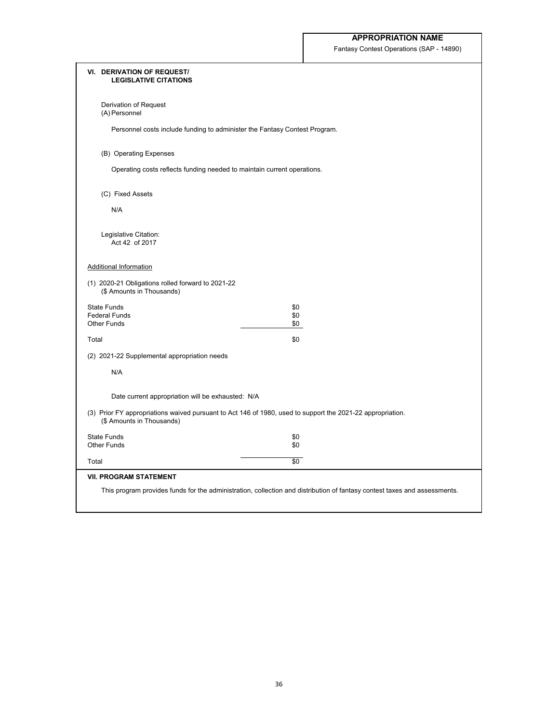Fantasy Contest Operations (SAP - 14890)

| <b>VI. DERIVATION OF REQUEST/</b><br><b>LEGISLATIVE CITATIONS</b>              |                                                                                                                           |  |
|--------------------------------------------------------------------------------|---------------------------------------------------------------------------------------------------------------------------|--|
| Derivation of Request<br>(A) Personnel                                         |                                                                                                                           |  |
| Personnel costs include funding to administer the Fantasy Contest Program.     |                                                                                                                           |  |
| (B) Operating Expenses                                                         |                                                                                                                           |  |
| Operating costs reflects funding needed to maintain current operations.        |                                                                                                                           |  |
| (C) Fixed Assets                                                               |                                                                                                                           |  |
| N/A                                                                            |                                                                                                                           |  |
| Legislative Citation:<br>Act 42 of 2017                                        |                                                                                                                           |  |
| <b>Additional Information</b>                                                  |                                                                                                                           |  |
| (1) 2020-21 Obligations rolled forward to 2021-22<br>(\$ Amounts in Thousands) |                                                                                                                           |  |
| <b>State Funds</b>                                                             | \$0                                                                                                                       |  |
| <b>Federal Funds</b><br><b>Other Funds</b>                                     | \$0<br>\$0                                                                                                                |  |
| Total                                                                          | \$0                                                                                                                       |  |
| (2) 2021-22 Supplemental appropriation needs                                   |                                                                                                                           |  |
| N/A                                                                            |                                                                                                                           |  |
| Date current appropriation will be exhausted: N/A                              |                                                                                                                           |  |
| (\$ Amounts in Thousands)                                                      | (3) Prior FY appropriations waived pursuant to Act 146 of 1980, used to support the 2021-22 appropriation.                |  |
| <b>State Funds</b>                                                             | \$0                                                                                                                       |  |
| <b>Other Funds</b>                                                             | \$0                                                                                                                       |  |
| Total                                                                          | \$0                                                                                                                       |  |
| <b>VII. PROGRAM STATEMENT</b>                                                  |                                                                                                                           |  |
|                                                                                | This program provides funds for the administration, collection and distribution of fantasy contest taxes and assessments. |  |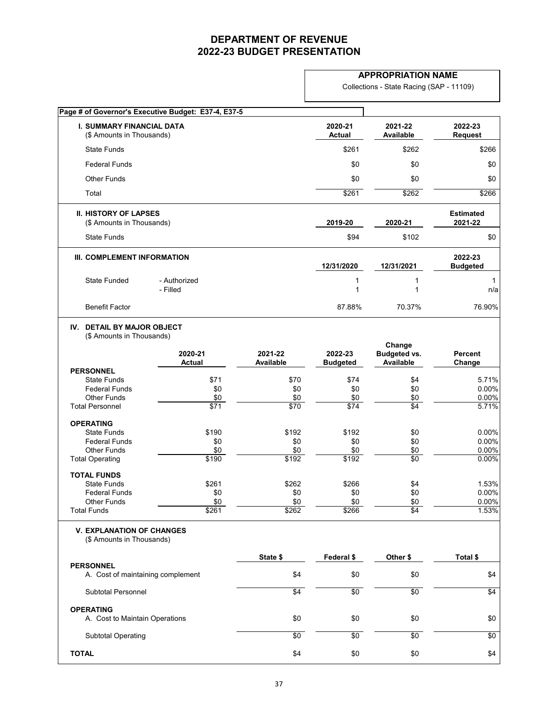### **APPROPRIATION NAME**

Collections - State Racing (SAP - 11109)

|                                                                   | Page # of Governor's Executive Budget: E37-4, E37-5 |                  |                          |                                                   |                             |
|-------------------------------------------------------------------|-----------------------------------------------------|------------------|--------------------------|---------------------------------------------------|-----------------------------|
| <b>I. SUMMARY FINANCIAL DATA</b><br>(\$ Amounts in Thousands)     |                                                     |                  | 2020-21<br><b>Actual</b> | 2021-22<br>Available                              | 2022-23<br><b>Request</b>   |
| <b>State Funds</b>                                                |                                                     |                  | \$261                    | \$262                                             | \$266                       |
| <b>Federal Funds</b>                                              |                                                     |                  | \$0                      | \$0                                               | \$0                         |
| <b>Other Funds</b>                                                |                                                     |                  | \$0                      | \$0                                               | \$0                         |
| Total                                                             |                                                     |                  | \$261                    | \$262                                             | \$266                       |
| <b>II. HISTORY OF LAPSES</b><br>(\$ Amounts in Thousands)         |                                                     |                  | 2019-20                  | 2020-21                                           | <b>Estimated</b><br>2021-22 |
| <b>State Funds</b>                                                |                                                     |                  | \$94                     | \$102                                             | \$0                         |
| III. COMPLEMENT INFORMATION                                       |                                                     |                  | 12/31/2020               | 12/31/2021                                        | 2022-23<br><b>Budgeted</b>  |
| <b>State Funded</b>                                               | - Authorized<br>- Filled                            |                  |                          |                                                   | n/a                         |
| <b>Benefit Factor</b>                                             |                                                     |                  | 87.88%                   | 70.37%                                            | 76.90%                      |
| <b>DETAIL BY MAJOR OBJECT</b><br>IV.<br>(\$ Amounts in Thousands) | 2020-21<br><b>Actual</b>                            | 2021-22          | 2022-23                  | Change<br><b>Budgeted vs.</b><br><b>Available</b> | <b>Percent</b>              |
| <b>PERSONNEL</b>                                                  |                                                     | <b>Available</b> | <b>Budgeted</b>          |                                                   | Change                      |
| <b>State Funds</b>                                                | \$71                                                | \$70             | \$74                     | \$4                                               | 5.71%                       |
| <b>Federal Funds</b>                                              | \$0                                                 | \$0              | \$0                      | \$0                                               | 0.00%                       |
| <b>Other Funds</b>                                                | \$0                                                 | \$0              | \$0                      | \$0                                               | 0.00%                       |
| <b>Total Personnel</b>                                            | \$71                                                | $\sqrt{$70}$     | $\sqrt{$74}$             | \$4                                               | 5.71%                       |
| <b>OPERATING</b>                                                  |                                                     |                  |                          |                                                   |                             |
| <b>State Funds</b>                                                | \$190                                               | \$192            | \$192                    | \$0                                               | 0.00%                       |
| <b>Federal Funds</b>                                              | \$0                                                 | \$0              | \$0                      | \$0                                               | 0.00%                       |
| <b>Other Funds</b>                                                | \$0                                                 | \$0              | \$0                      | \$0                                               | 0.00%                       |
| <b>Total Operating</b>                                            | \$190                                               | \$192            | \$192                    | \$0                                               | 0.00%                       |
| <b>TOTAL FUNDS</b>                                                |                                                     |                  |                          |                                                   |                             |
| <b>State Funds</b>                                                | \$261                                               | \$262            | \$266                    | \$4                                               | 1.53%                       |
| <b>Federal Funds</b>                                              | \$0                                                 | \$0              | \$0                      | \$0                                               | 0.00%                       |
| <b>Other Funds</b><br><b>Total Funds</b>                          | \$0<br>\$261                                        | \$0<br>\$262     | \$0<br>\$266             | \$0<br>$\sqrt{4}$                                 | 0.00%<br>1.53%              |
| <b>V. EXPLANATION OF CHANGES</b><br>(\$ Amounts in Thousands)     |                                                     |                  |                          |                                                   |                             |
|                                                                   |                                                     | State \$         | Federal \$               | Other \$                                          | Total \$                    |
| <b>PERSONNEL</b><br>A. Cost of maintaining complement             |                                                     | \$4              | \$0                      | \$0                                               | \$4                         |
| <b>Subtotal Personnel</b>                                         |                                                     | $\sqrt[6]{4}$    | \$0                      | \$0                                               | $\sqrt{4}$                  |
| <b>OPERATING</b>                                                  |                                                     |                  |                          |                                                   |                             |
| A. Cost to Maintain Operations                                    |                                                     | \$0              | \$0                      | \$0                                               | \$0                         |
| <b>Subtotal Operating</b>                                         |                                                     | \$0              | $\sqrt[6]{}$             | $\sqrt{6}$                                        | \$0                         |
| <b>TOTAL</b>                                                      |                                                     | \$4              | \$0                      | \$0                                               | \$4                         |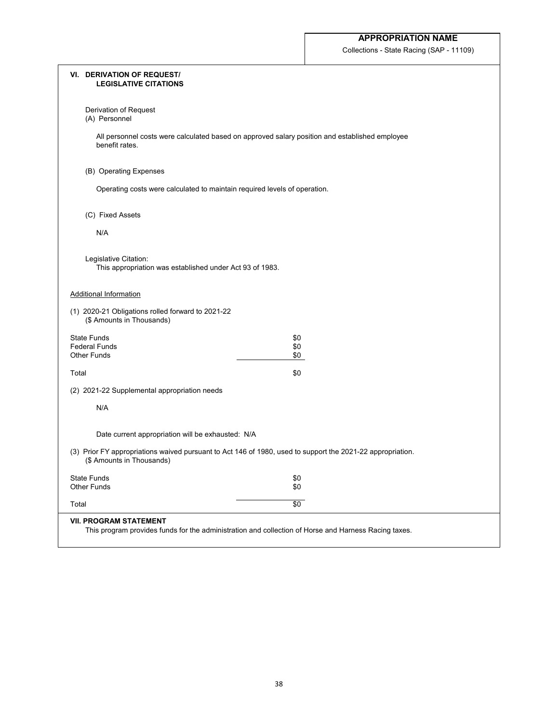Collections - State Racing (SAP - 11109)

|       | <b>VI. DERIVATION OF REQUEST/</b><br><b>LEGISLATIVE CITATIONS</b>                                                                       |
|-------|-----------------------------------------------------------------------------------------------------------------------------------------|
|       | Derivation of Request<br>(A) Personnel                                                                                                  |
|       | All personnel costs were calculated based on approved salary position and established employee<br>benefit rates.                        |
|       | (B) Operating Expenses                                                                                                                  |
|       | Operating costs were calculated to maintain required levels of operation.                                                               |
|       | (C) Fixed Assets                                                                                                                        |
|       | N/A                                                                                                                                     |
|       | Legislative Citation:<br>This appropriation was established under Act 93 of 1983.                                                       |
|       | <b>Additional Information</b>                                                                                                           |
|       | (1) 2020-21 Obligations rolled forward to 2021-22<br>(\$ Amounts in Thousands)                                                          |
|       | <b>State Funds</b><br>\$0                                                                                                               |
|       | <b>Federal Funds</b><br>\$0<br><b>Other Funds</b><br>\$0                                                                                |
| Total | \$0                                                                                                                                     |
|       | (2) 2021-22 Supplemental appropriation needs                                                                                            |
|       | N/A                                                                                                                                     |
|       | Date current appropriation will be exhausted: N/A                                                                                       |
|       | (3) Prior FY appropriations waived pursuant to Act 146 of 1980, used to support the 2021-22 appropriation.<br>(\$ Amounts in Thousands) |
|       | <b>State Funds</b><br>\$0                                                                                                               |
|       | <b>Other Funds</b><br>\$0                                                                                                               |
| Total | \$0                                                                                                                                     |
|       | <b>VII. PROGRAM STATEMENT</b><br>This program provides funds for the administration and collection of Horse and Harness Racing taxes.   |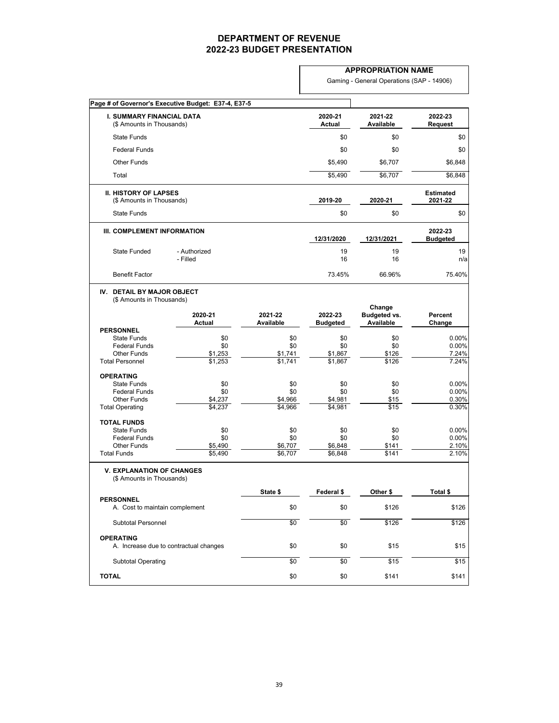|                                                                                                                | Page # of Governor's Executive Budget: E37-4, E37-5 |                                          |                                  |                                                   |                                  |
|----------------------------------------------------------------------------------------------------------------|-----------------------------------------------------|------------------------------------------|----------------------------------|---------------------------------------------------|----------------------------------|
| <b>I. SUMMARY FINANCIAL DATA</b><br>(\$ Amounts in Thousands)                                                  |                                                     |                                          | 2020-21<br><b>Actual</b>         | 2021-22<br><b>Available</b>                       | 2022-23<br><b>Request</b>        |
| <b>State Funds</b>                                                                                             |                                                     |                                          | \$0                              | \$0                                               | \$0                              |
| <b>Federal Funds</b>                                                                                           |                                                     |                                          | \$0                              | \$0                                               | \$0                              |
| <b>Other Funds</b>                                                                                             |                                                     |                                          | \$5,490                          | \$6,707                                           | \$6,848                          |
| Total                                                                                                          |                                                     |                                          | \$5,490                          | \$6,707                                           | \$6,848                          |
| <b>II. HISTORY OF LAPSES</b><br>(\$ Amounts in Thousands)                                                      |                                                     |                                          | 2019-20                          | 2020-21                                           | <b>Estimated</b><br>2021-22      |
| <b>State Funds</b>                                                                                             |                                                     |                                          | \$0                              | \$0                                               | \$0                              |
| <b>III. COMPLEMENT INFORMATION</b>                                                                             |                                                     |                                          | 12/31/2020                       | 12/31/2021                                        | 2022-23<br><b>Budgeted</b>       |
| <b>State Funded</b>                                                                                            | - Authorized<br>- Filled                            |                                          | 19<br>16                         | 19<br>16                                          | 19<br>n/a                        |
| <b>Benefit Factor</b>                                                                                          |                                                     |                                          | 73.45%                           | 66.96%                                            | 75.40%                           |
| IV. DETAIL BY MAJOR OBJECT<br>(\$ Amounts in Thousands)                                                        | 2020-21<br><b>Actual</b>                            | 2021-22<br><b>Available</b>              | 2022-23<br><b>Budgeted</b>       | Change<br><b>Budgeted vs.</b><br><b>Available</b> | <b>Percent</b><br>Change         |
| <b>PERSONNEL</b><br><b>State Funds</b><br><b>Federal Funds</b><br><b>Other Funds</b><br><b>Total Personnel</b> | \$0<br>\$0<br>\$1,253<br>\$1,253                    | \$0<br>\$0<br>\$1,741<br>$\sqrt{$1,741}$ | \$0<br>\$0<br>\$1,867<br>\$1,867 | \$0<br>\$0<br>\$126<br>\$126                      | 0.00%<br>0.00%<br>7.24%<br>7.24% |
| <b>OPERATING</b><br><b>State Funds</b><br><b>Federal Funds</b><br><b>Other Funds</b><br><b>Total Operating</b> | \$0<br>\$0<br>\$4,237<br>\$4,237                    | \$0<br>\$0<br>\$4,966<br>\$4,966         | \$0<br>\$0<br>\$4,981<br>\$4,981 | \$0<br>\$0<br>\$15<br>\$15                        | 0.00%<br>0.00%<br>0.30%<br>0.30% |
| <b>TOTAL FUNDS</b><br><b>State Funds</b><br><b>Federal Funds</b><br><b>Other Funds</b><br><b>Total Funds</b>   | \$0<br>\$0<br>\$5,490<br>\$5,490                    | \$0<br>\$0<br>\$6,707<br>\$6,707         | \$0<br>\$0<br>\$6,848<br>\$6,848 | \$0<br>\$0<br>\$141<br>\$141                      | 0.00%<br>0.00%<br>2.10%<br>2.10% |
| <b>V. EXPLANATION OF CHANGES</b><br>(\$ Amounts in Thousands)                                                  |                                                     | State \$                                 | Federal \$                       | Other \$                                          | Total \$                         |
| <b>PERSONNEL</b><br>A. Cost to maintain complement                                                             |                                                     | \$0                                      | \$0                              | \$126                                             | \$126                            |
| <b>Subtotal Personnel</b>                                                                                      |                                                     | \$0                                      | \$0                              | \$126                                             | \$126                            |
| <b>OPERATING</b>                                                                                               | A. Increase due to contractual changes              | \$0                                      | \$0                              | \$15                                              | \$15                             |
| <b>Subtotal Operating</b>                                                                                      |                                                     | $\sqrt{6}$                               | $\sqrt{6}$                       | $\sqrt{$15}$                                      | $\sqrt{$15}$                     |

| TAT A L<br>TOTAL | m /<br>งบ | ሶር<br>งบ | 141ه. |  |
|------------------|-----------|----------|-------|--|
|                  |           |          |       |  |

| <b>APPROPRIATION NAME</b> |  |
|---------------------------|--|
|---------------------------|--|

Gaming - General Operations (SAP - 14906)

39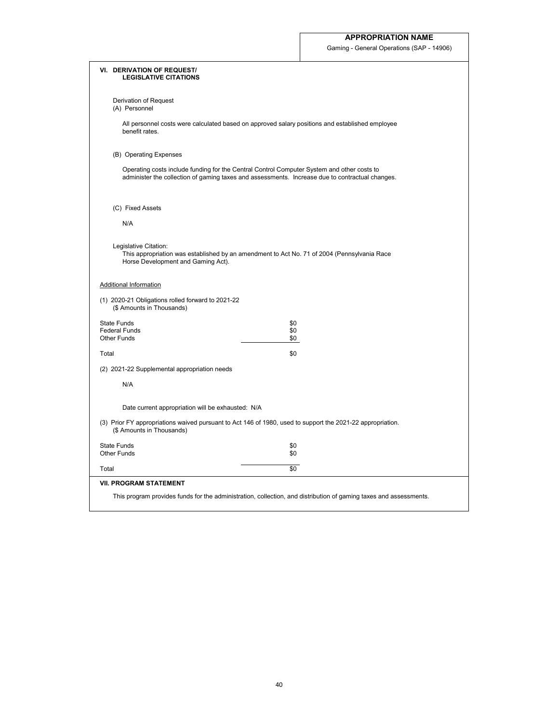Gaming - General Operations (SAP - 14906)

|                                            | <b>VI. DERIVATION OF REQUEST/</b><br><b>LEGISLATIVE CITATIONS</b>                                                                                                                             |
|--------------------------------------------|-----------------------------------------------------------------------------------------------------------------------------------------------------------------------------------------------|
|                                            | Derivation of Request<br>(A) Personnel                                                                                                                                                        |
|                                            | All personnel costs were calculated based on approved salary positions and established employee<br>benefit rates.                                                                             |
|                                            | (B) Operating Expenses                                                                                                                                                                        |
|                                            | Operating costs include funding for the Central Control Computer System and other costs to<br>administer the collection of gaming taxes and assessments. Increase due to contractual changes. |
|                                            | (C) Fixed Assets                                                                                                                                                                              |
| N/A                                        |                                                                                                                                                                                               |
|                                            | Legislative Citation:<br>This appropriation was established by an amendment to Act No. 71 of 2004 (Pennsylvania Race<br>Horse Development and Gaming Act).                                    |
|                                            | <b>Additional Information</b>                                                                                                                                                                 |
|                                            | (1) 2020-21 Obligations rolled forward to 2021-22<br>(\$ Amounts in Thousands)                                                                                                                |
| <b>State Funds</b>                         | \$0                                                                                                                                                                                           |
| <b>Federal Funds</b><br><b>Other Funds</b> | \$0<br>\$0                                                                                                                                                                                    |
| Total                                      | \$0                                                                                                                                                                                           |
|                                            | (2) 2021-22 Supplemental appropriation needs                                                                                                                                                  |
| N/A                                        |                                                                                                                                                                                               |
|                                            | Date current appropriation will be exhausted: N/A                                                                                                                                             |
|                                            | (3) Prior FY appropriations waived pursuant to Act 146 of 1980, used to support the 2021-22 appropriation.<br>(\$ Amounts in Thousands)                                                       |
| <b>State Funds</b><br><b>Other Funds</b>   | \$0<br>\$0                                                                                                                                                                                    |
| Total                                      | $\sqrt{60}$                                                                                                                                                                                   |
|                                            | <b>VII. PROGRAM STATEMENT</b>                                                                                                                                                                 |
|                                            | This program provides funds for the administration, collection, and distribution of gaming taxes and assessments.                                                                             |
|                                            |                                                                                                                                                                                               |

40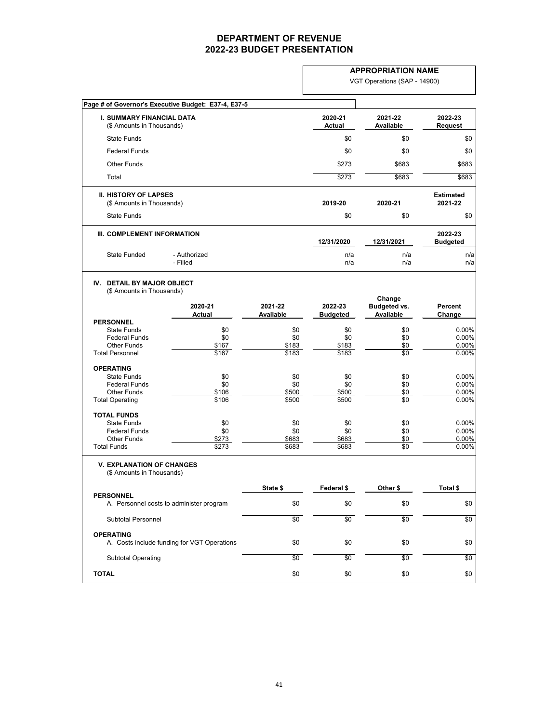|                                                                   |                          |                             | <b>APPROPRIATION NAME</b>  |                                         |                             |  |
|-------------------------------------------------------------------|--------------------------|-----------------------------|----------------------------|-----------------------------------------|-----------------------------|--|
|                                                                   |                          |                             |                            | VGT Operations (SAP - 14900)            |                             |  |
| Page # of Governor's Executive Budget: E37-4, E37-5               |                          |                             |                            |                                         |                             |  |
| <b>I. SUMMARY FINANCIAL DATA</b><br>(\$ Amounts in Thousands)     |                          |                             | 2020-21<br><b>Actual</b>   | 2021-22<br><b>Available</b>             | 2022-23<br><b>Request</b>   |  |
| <b>State Funds</b>                                                |                          |                             | \$0                        | \$0                                     | \$0                         |  |
| <b>Federal Funds</b>                                              |                          |                             | \$0                        | \$0                                     | \$0                         |  |
| <b>Other Funds</b>                                                |                          |                             | \$273                      | \$683                                   | \$683                       |  |
| Total                                                             |                          |                             | \$273                      | \$683                                   | \$683                       |  |
| <b>II. HISTORY OF LAPSES</b><br>(\$ Amounts in Thousands)         |                          |                             | 2019-20                    | 2020-21                                 | <b>Estimated</b><br>2021-22 |  |
| <b>State Funds</b>                                                |                          |                             | \$0                        | \$0                                     | \$0                         |  |
| III. COMPLEMENT INFORMATION                                       |                          |                             |                            |                                         | 2022-23                     |  |
|                                                                   |                          |                             | 12/31/2020                 | 12/31/2021                              | <b>Budgeted</b>             |  |
| <b>State Funded</b>                                               | - Authorized<br>- Filled |                             | n/a<br>n/a                 | n/a<br>n/a                              | n/a<br>n/a                  |  |
| <b>DETAIL BY MAJOR OBJECT</b><br>IV.<br>(\$ Amounts in Thousands) |                          |                             |                            | Change                                  |                             |  |
|                                                                   | 2020-21<br><b>Actual</b> | 2021-22<br><b>Available</b> | 2022-23<br><b>Budgeted</b> | <b>Budgeted vs.</b><br><b>Available</b> | <b>Percent</b><br>Change    |  |
| <b>PERSONNEL</b><br><b>State Funds</b>                            | \$0                      | \$0                         | \$0                        | \$0                                     | 0.00%                       |  |
| <b>Federal Funds</b>                                              | \$0                      | \$0                         | \$0                        | \$0                                     | 0.00%                       |  |
| <b>Other Funds</b>                                                | \$167                    | \$183                       | \$183                      | \$0                                     | 0.00%                       |  |
| <b>Total Personnel</b>                                            | \$167                    | \$183                       | \$183                      | \$0                                     | 0.00%                       |  |
| <b>OPERATING</b>                                                  |                          |                             |                            |                                         |                             |  |
| <b>State Funds</b><br><b>Federal Funds</b>                        | \$0                      | \$0<br>\$0                  | \$0<br>\$0                 | \$0                                     | 0.00%                       |  |
| <b>Other Funds</b>                                                | \$0<br>\$106             | \$500                       | \$500                      | \$0<br>\$0                              | 0.00%<br>0.00%              |  |
| <b>Total Operating</b>                                            | \$106                    | \$500                       | \$500                      | $\overline{50}$                         | 0.00%                       |  |
| <b>TOTAL FUNDS</b>                                                |                          |                             |                            |                                         |                             |  |
| <b>State Funds</b>                                                | \$0                      | \$0                         | \$0                        | \$0                                     | 0.00%                       |  |
| <b>Federal Funds</b><br><b>Other Funds</b>                        | \$0                      | \$0                         | \$0                        | \$0                                     | 0.00%                       |  |
| <b>Total Funds</b>                                                | \$273<br>\$273           | \$683<br>\$683              | \$683<br>\$683             | \$0<br>$\sqrt{6}$                       | 0.00%<br>0.00%              |  |
| <b>V. EXPLANATION OF CHANGES</b><br>(\$ Amounts in Thousands)     |                          |                             |                            |                                         |                             |  |
|                                                                   |                          | State \$                    | Federal \$                 | Other \$                                | Total \$                    |  |
| <b>PERSONNEL</b><br>A. Personnel costs to administer program      |                          | \$0                         | \$0                        | \$0                                     | \$0                         |  |
| <b>Subtotal Personnel</b>                                         |                          | $\sqrt{6}$                  | $\sqrt{6}$                 | $\sqrt{6}$                              | $\sqrt{$0}$                 |  |
|                                                                   |                          |                             |                            |                                         |                             |  |
| <b>OPERATING</b><br>A. Costs include funding for VGT Operations   |                          | \$0                         | \$0                        | \$0                                     | \$0                         |  |
| <b>Subtotal Operating</b>                                         |                          | \$0                         | \$0                        | \$0                                     | \$0                         |  |
| <b>TOTAL</b>                                                      |                          | \$0                         | \$0                        | \$0                                     | \$0                         |  |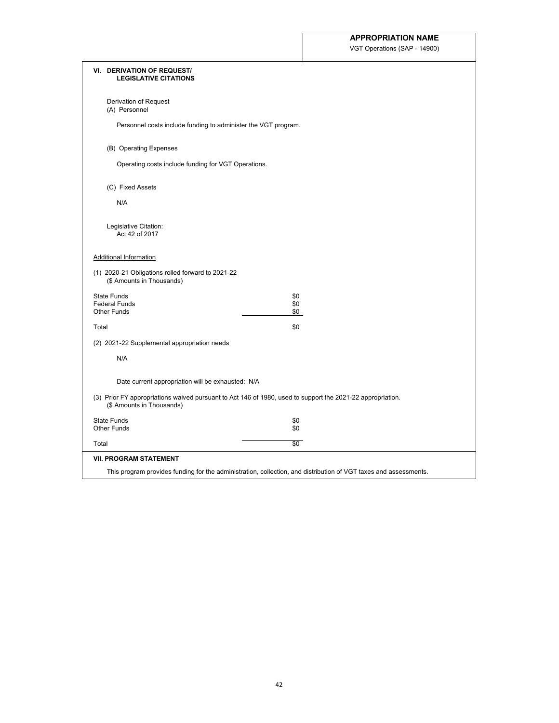VGT Operations (SAP - 14900)

|       | <b>VI. DERIVATION OF REQUEST/</b><br><b>LEGISLATIVE CITATIONS</b>                                                                       |
|-------|-----------------------------------------------------------------------------------------------------------------------------------------|
|       | Derivation of Request<br>(A) Personnel                                                                                                  |
|       | Personnel costs include funding to administer the VGT program.                                                                          |
|       | (B) Operating Expenses                                                                                                                  |
|       | Operating costs include funding for VGT Operations.                                                                                     |
|       | (C) Fixed Assets                                                                                                                        |
|       | N/A                                                                                                                                     |
|       | Legislative Citation:<br>Act 42 of 2017                                                                                                 |
|       | <b>Additional Information</b>                                                                                                           |
|       | (1) 2020-21 Obligations rolled forward to 2021-22<br>(\$ Amounts in Thousands)                                                          |
|       | <b>State Funds</b><br>\$0                                                                                                               |
|       | <b>Federal Funds</b><br>\$0<br><b>Other Funds</b><br>\$0                                                                                |
| Total | \$0                                                                                                                                     |
|       | (2) 2021-22 Supplemental appropriation needs                                                                                            |
|       | N/A                                                                                                                                     |
|       | Date current appropriation will be exhausted: N/A                                                                                       |
|       | (3) Prior FY appropriations waived pursuant to Act 146 of 1980, used to support the 2021-22 appropriation.<br>(\$ Amounts in Thousands) |
|       | <b>State Funds</b><br>\$0<br><b>Other Funds</b><br>\$0                                                                                  |
| Total | $\overline{50}$                                                                                                                         |
|       | <b>VII. PROGRAM STATEMENT</b>                                                                                                           |
|       | This program provides funding for the administration, collection, and distribution of VGT taxes and assessments.                        |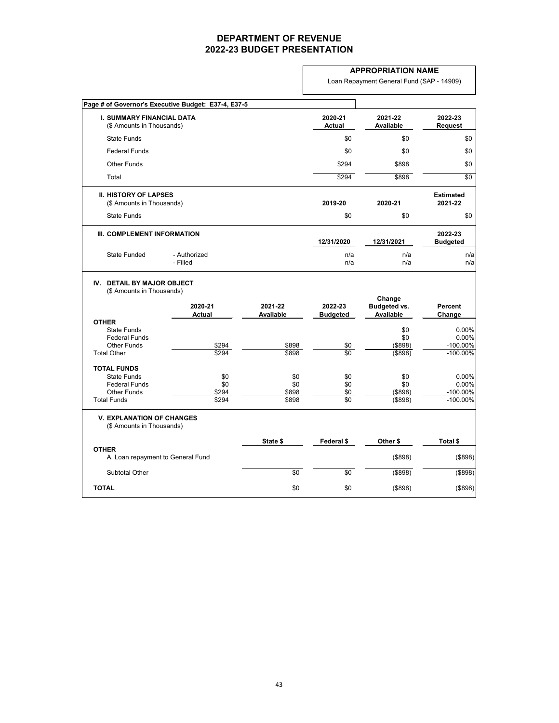|                                                                                                              |                                                     |                              |                                 | <b>APPROPRIATION NAME</b>                         |                                              |
|--------------------------------------------------------------------------------------------------------------|-----------------------------------------------------|------------------------------|---------------------------------|---------------------------------------------------|----------------------------------------------|
|                                                                                                              |                                                     |                              |                                 | Loan Repayment General Fund (SAP - 14909)         |                                              |
|                                                                                                              | Page # of Governor's Executive Budget: E37-4, E37-5 |                              |                                 |                                                   |                                              |
| <b>I. SUMMARY FINANCIAL DATA</b><br>(\$ Amounts in Thousands)                                                |                                                     |                              | 2020-21<br><b>Actual</b>        | 2021-22<br><b>Available</b>                       | 2022-23<br><b>Request</b>                    |
| <b>State Funds</b>                                                                                           |                                                     |                              | \$0                             | \$0                                               | \$0                                          |
| <b>Federal Funds</b>                                                                                         |                                                     |                              | \$0                             | \$0                                               | \$0                                          |
| <b>Other Funds</b>                                                                                           |                                                     |                              | \$294                           | \$898                                             | \$0                                          |
| Total                                                                                                        |                                                     |                              | \$294                           | \$898                                             | \$0                                          |
| <b>II. HISTORY OF LAPSES</b><br>(\$ Amounts in Thousands)                                                    |                                                     |                              | 2019-20                         | 2020-21                                           | <b>Estimated</b><br>2021-22                  |
| <b>State Funds</b>                                                                                           |                                                     |                              | \$0                             | \$0                                               | \$0                                          |
| III. COMPLEMENT INFORMATION                                                                                  |                                                     |                              | 12/31/2020                      | 12/31/2021                                        | 2022-23<br><b>Budgeted</b>                   |
| <b>State Funded</b>                                                                                          | - Authorized<br>- Filled                            |                              | n/a<br>n/a                      | n/a<br>n/a                                        | n/a<br>n/a                                   |
| <b>DETAIL BY MAJOR OBJECT</b><br>IV.<br>(\$ Amounts in Thousands)                                            | 2020-21<br><b>Actual</b>                            | 2021-22<br><b>Available</b>  | 2022-23<br><b>Budgeted</b>      | Change<br><b>Budgeted vs.</b><br><b>Available</b> | <b>Percent</b><br>Change                     |
| <b>OTHER</b><br><b>State Funds</b><br><b>Federal Funds</b><br><b>Other Funds</b><br><b>Total Other</b>       | \$294<br>\$294                                      | \$898<br>\$898               | \$0<br>$\overline{60}$          | \$0<br>\$0<br>(\$898)<br>(\$898)                  | 0.00%<br>0.00%<br>$-100.00\%$<br>$-100.00\%$ |
| <b>TOTAL FUNDS</b><br><b>State Funds</b><br><b>Federal Funds</b><br><b>Other Funds</b><br><b>Total Funds</b> | \$0<br>\$0<br>\$294<br>\$294                        | \$0<br>\$0<br>\$898<br>\$898 | \$0<br>\$0<br>\$0<br>$\sqrt{6}$ | \$0<br>\$0<br>(\$898)<br>(\$898)                  | 0.00%<br>0.00%<br>$-100.00\%$<br>$-100.00\%$ |
| <b>V. EXPLANATION OF CHANGES</b><br>(\$ Amounts in Thousands)                                                |                                                     |                              |                                 |                                                   |                                              |
|                                                                                                              |                                                     | State \$                     | Federal \$                      | Other \$                                          | Total \$                                     |
| <b>OTHER</b><br>A. Loan repayment to General Fund                                                            |                                                     |                              |                                 | (\$898)                                           | (\$898)                                      |
| Subtotal Other                                                                                               |                                                     | \$0                          | \$0                             | $($ \$898)                                        | $($ \$898)                                   |
| <b>TOTAL</b>                                                                                                 |                                                     | \$0                          | \$0                             | (\$898)                                           | (\$898)                                      |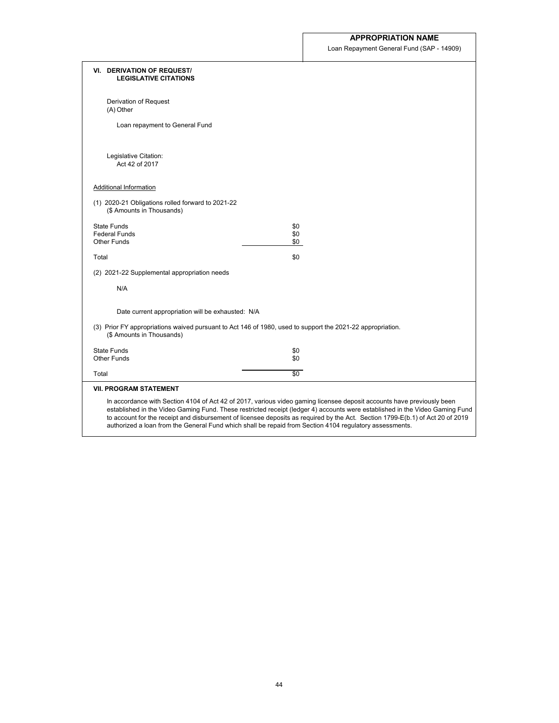Loan Repayment General Fund (SAP - 14909)

 $\mathcal{L}_{\mathcal{A}}$ 

| <b>VI. DERIVATION OF REQUEST/</b><br><b>LEGISLATIVE CITATIONS</b>              |                                                                                                                                                                                                                                                                                                                                                                                                                                                                                                     |
|--------------------------------------------------------------------------------|-----------------------------------------------------------------------------------------------------------------------------------------------------------------------------------------------------------------------------------------------------------------------------------------------------------------------------------------------------------------------------------------------------------------------------------------------------------------------------------------------------|
| Derivation of Request<br>(A) Other                                             |                                                                                                                                                                                                                                                                                                                                                                                                                                                                                                     |
| Loan repayment to General Fund                                                 |                                                                                                                                                                                                                                                                                                                                                                                                                                                                                                     |
| Legislative Citation:<br>Act 42 of 2017                                        |                                                                                                                                                                                                                                                                                                                                                                                                                                                                                                     |
| <b>Additional Information</b>                                                  |                                                                                                                                                                                                                                                                                                                                                                                                                                                                                                     |
| (1) 2020-21 Obligations rolled forward to 2021-22<br>(\$ Amounts in Thousands) |                                                                                                                                                                                                                                                                                                                                                                                                                                                                                                     |
| <b>State Funds</b><br><b>Federal Funds</b>                                     | \$0                                                                                                                                                                                                                                                                                                                                                                                                                                                                                                 |
| <b>Other Funds</b>                                                             | \$0<br>\$0                                                                                                                                                                                                                                                                                                                                                                                                                                                                                          |
| Total                                                                          | \$0                                                                                                                                                                                                                                                                                                                                                                                                                                                                                                 |
| (2) 2021-22 Supplemental appropriation needs                                   |                                                                                                                                                                                                                                                                                                                                                                                                                                                                                                     |
| N/A                                                                            |                                                                                                                                                                                                                                                                                                                                                                                                                                                                                                     |
| Date current appropriation will be exhausted: N/A                              |                                                                                                                                                                                                                                                                                                                                                                                                                                                                                                     |
| (\$ Amounts in Thousands)                                                      | (3) Prior FY appropriations waived pursuant to Act 146 of 1980, used to support the 2021-22 appropriation.                                                                                                                                                                                                                                                                                                                                                                                          |
| <b>State Funds</b><br><b>Other Funds</b>                                       | \$0<br>\$0                                                                                                                                                                                                                                                                                                                                                                                                                                                                                          |
| Total                                                                          | $\sqrt{6}$                                                                                                                                                                                                                                                                                                                                                                                                                                                                                          |
| <b>VII. PROGRAM STATEMENT</b>                                                  |                                                                                                                                                                                                                                                                                                                                                                                                                                                                                                     |
|                                                                                | In accordance with Section 4104 of Act 42 of 2017, various video gaming licensee deposit accounts have previously been<br>established in the Video Gaming Fund. These restricted receipt (ledger 4) accounts were established in the Video Gaming Fund<br>to account for the receipt and disbursement of licensee deposits as required by the Act. Section 1799-E(b.1) of Act 20 of 2019<br>authorized a loan from the General Fund which shall be repaid from Section 4104 regulatory assessments. |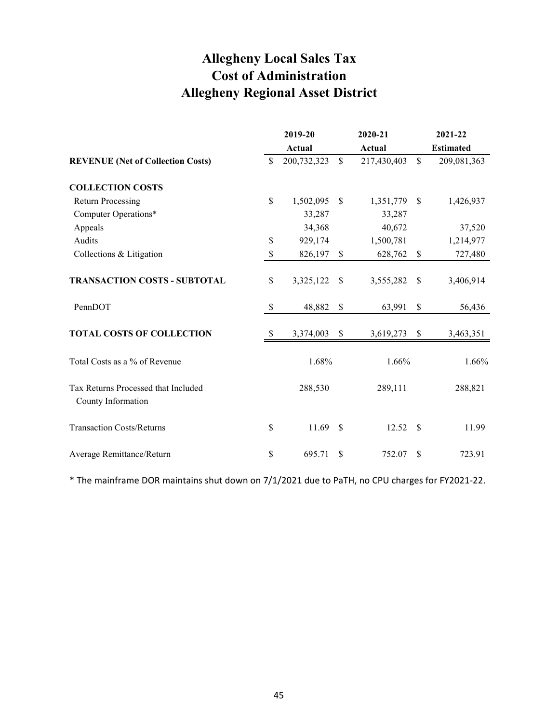# **Allegheny Local Sales Tax Cost of Administration Allegheny Regional Asset District**

|                                                           |                           | 2019-20       |             | 2020-21     |               | 2021-22          |
|-----------------------------------------------------------|---------------------------|---------------|-------------|-------------|---------------|------------------|
|                                                           |                           | <b>Actual</b> |             | Actual      |               | <b>Estimated</b> |
| <b>REVENUE</b> (Net of Collection Costs)                  | \$                        | 200,732,323   | $\mathbf S$ | 217,430,403 | $\mathcal{S}$ | 209,081,363      |
| <b>COLLECTION COSTS</b>                                   |                           |               |             |             |               |                  |
| <b>Return Processing</b>                                  | $\mathbb{S}$              | 1,502,095     | \$          | 1,351,779   | <sup>\$</sup> | 1,426,937        |
| Computer Operations*                                      |                           | 33,287        |             | 33,287      |               |                  |
| Appeals                                                   |                           | 34,368        |             | 40,672      |               | 37,520           |
| Audits                                                    | $\$$                      | 929,174       |             | 1,500,781   |               | 1,214,977        |
| Collections & Litigation                                  | \$                        | 826,197       | \$          | 628,762     | \$            | 727,480          |
| <b>TRANSACTION COSTS - SUBTOTAL</b>                       | \$                        | 3,325,122     | \$          | 3,555,282   | \$            | 3,406,914        |
| PennDOT                                                   | $\boldsymbol{\mathsf{S}}$ | 48,882        | \$          | 63,991      | \$            | 56,436           |
| <b>TOTAL COSTS OF COLLECTION</b>                          | -S                        | 3,374,003     | \$          | 3,619,273   | \$            | 3,463,351        |
| Total Costs as a % of Revenue                             |                           | 1.68%         |             | 1.66%       |               | 1.66%            |
| Tax Returns Processed that Included<br>County Information |                           | 288,530       |             | 289,111     |               | 288,821          |
| <b>Transaction Costs/Returns</b>                          | \$                        | 11.69         | \$          | 12.52       | - \$          | 11.99            |
| Average Remittance/Return                                 | \$                        | 695.71        | \$          | 752.07      | \$            | 723.91           |

\* The mainframe DOR maintains shut down on 7/1/2021 due to PaTH, no CPU charges for FY2021-22.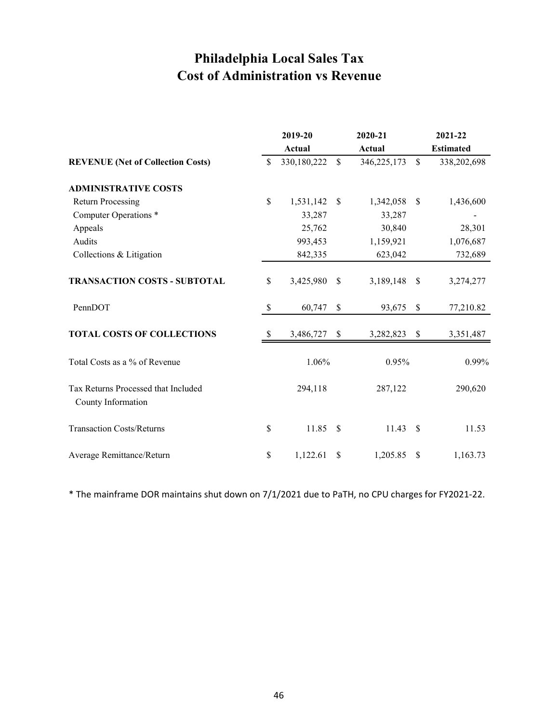# **Philadelphia Local Sales Tax Cost of Administration vs Revenue**

|                                                           |              | 2019-20       |              | 2020-21     |                           | 2021-22          |
|-----------------------------------------------------------|--------------|---------------|--------------|-------------|---------------------------|------------------|
|                                                           |              | <b>Actual</b> |              | Actual      |                           | <b>Estimated</b> |
| <b>REVENUE</b> (Net of Collection Costs)                  | $\mathbb{S}$ | 330,180,222   | $\mathbb{S}$ | 346,225,173 | $\mathbb{S}$              | 338,202,698      |
| <b>ADMINISTRATIVE COSTS</b>                               |              |               |              |             |                           |                  |
| <b>Return Processing</b>                                  | \$           | 1,531,142     | $\mathbb{S}$ | 1,342,058   | $\mathcal{S}$             | 1,436,600        |
| Computer Operations *                                     |              | 33,287        |              | 33,287      |                           |                  |
| Appeals                                                   |              | 25,762        |              | 30,840      |                           | 28,301           |
| Audits                                                    |              | 993,453       |              | 1,159,921   |                           | 1,076,687        |
| Collections & Litigation                                  |              | 842,335       |              | 623,042     |                           | 732,689          |
| <b>TRANSACTION COSTS - SUBTOTAL</b>                       | \$           | 3,425,980     | \$           | 3,189,148   | \$                        | 3,274,277        |
| PennDOT                                                   | \$           | 60,747        | \$           | 93,675      | \$                        | 77,210.82        |
| <b>TOTAL COSTS OF COLLECTIONS</b>                         | \$           | 3,486,727     | $\mathbb{S}$ | 3,282,823   | $\boldsymbol{\mathsf{S}}$ | 3,351,487        |
| Total Costs as a % of Revenue                             |              | 1.06%         |              | 0.95%       |                           | 0.99%            |
| Tax Returns Processed that Included<br>County Information |              | 294,118       |              | 287,122     |                           | 290,620          |
| <b>Transaction Costs/Returns</b>                          | \$           | 11.85         | \$           | 11.43       | \$                        | 11.53            |
| Average Remittance/Return                                 | \$           | 1,122.61      | \$           | 1,205.85    | \$                        | 1,163.73         |

\* The mainframe DOR maintains shut down on 7/1/2021 due to PaTH, no CPU charges for FY2021-22.